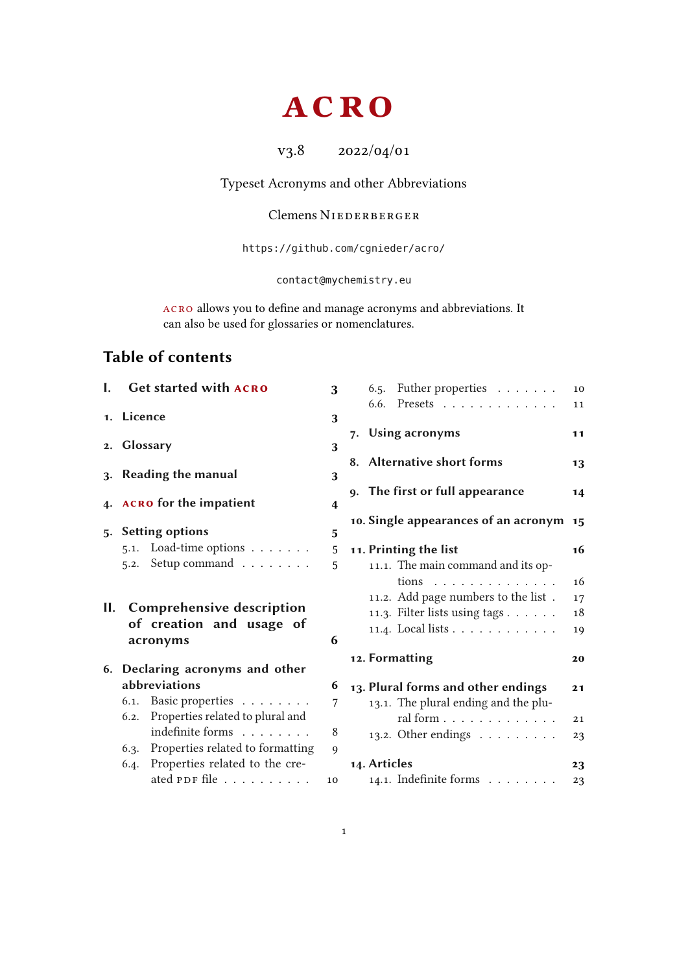# **ACRO**

v3.8 2022/04/01

<span id="page-0-0"></span>Typeset Acronyms and other Abbreviations

### Clemens NIEDERBERGER

<https://github.com/cgnieder/acro/>

#### [contact@mychemistry.eu](mailto:contact@mychemistry.eu)

acro allows you to define and manage acronyms and abbreviations. It can also be used for glossaries or nomenclatures.

## Table of contents

| I. | <b>Get started with ACRO</b>                                             | 3           | 6.5. Futher properties<br>6.6. Presets                                                                                                                  | 10<br>11             |
|----|--------------------------------------------------------------------------|-------------|---------------------------------------------------------------------------------------------------------------------------------------------------------|----------------------|
|    | 1. Licence                                                               | 3           |                                                                                                                                                         |                      |
|    | 2. Glossary                                                              | 3           | 7. Using acronyms                                                                                                                                       | 11                   |
|    | 3. Reading the manual                                                    | 3           | 8. Alternative short forms                                                                                                                              | 13                   |
|    | 4. ACRO for the impatient                                                | 4           | 9. The first or full appearance                                                                                                                         | 14                   |
| 5. | <b>Setting options</b>                                                   | 5           | 10. Single appearances of an acronym 15                                                                                                                 |                      |
|    | 5.1. Load-time options $\ldots$                                          | 5           | 11. Printing the list                                                                                                                                   | 16                   |
|    | 5.2. Setup command                                                       | 5           | 11.1. The main command and its op-                                                                                                                      |                      |
| Н. | <b>Comprehensive description</b><br>of creation and usage of<br>acronyms | 6           | tions $\ldots \ldots \ldots \ldots$<br>11.2. Add page numbers to the list.<br>11.3. Filter lists using tags<br>11.4. Local lists $\ldots \ldots \ldots$ | 16<br>17<br>18<br>19 |
|    | 6. Declaring acronyms and other                                          |             | 12. Formatting                                                                                                                                          | 20                   |
|    | abbreviations                                                            | 6           | 13. Plural forms and other endings                                                                                                                      | 21                   |
|    | 6.1. Basic properties<br>Properties related to plural and<br>6.2.        | 7           | 13.1. The plural ending and the plu-                                                                                                                    |                      |
|    | indefinite forms                                                         | 8           | ral form                                                                                                                                                | 21                   |
|    | Properties related to formatting<br>6.3.                                 | $\mathbf Q$ | 13.2. Other endings $\dots \dots$                                                                                                                       | 23                   |
|    | Properties related to the cre-<br>6.4.                                   |             | 14. Articles                                                                                                                                            | 23                   |
|    | ated PDF file                                                            | 10          | 14.1. Indefinite forms $\ldots \ldots$                                                                                                                  | 23                   |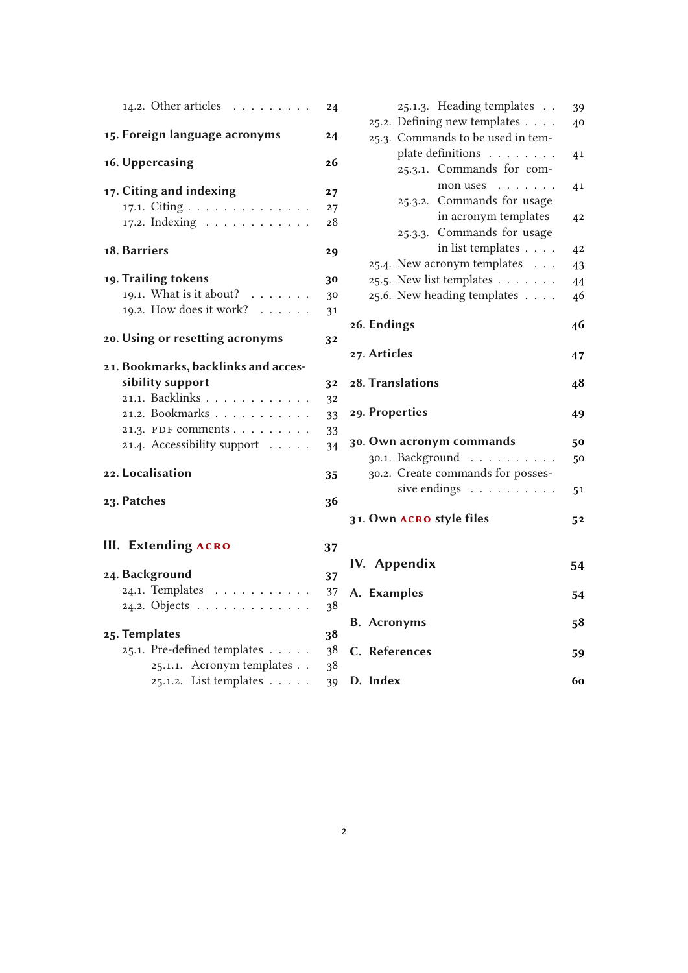| 14.2. Other articles $\ldots \ldots \ldots$         | 24       | 25.1.3. Heading templates                                         | 39             |
|-----------------------------------------------------|----------|-------------------------------------------------------------------|----------------|
| 15. Foreign language acronyms                       | 24       | 25.2. Defining new templates<br>25.3. Commands to be used in tem- | 40             |
| 16. Uppercasing                                     | 26       | plate definitions<br>25.3.1. Commands for com-                    | 41             |
| 17. Citing and indexing                             | 27       | mon uses $\ldots \ldots$                                          | 4 <sub>1</sub> |
| 17.1. Citing                                        | 27       | 25.3.2. Commands for usage<br>in acronym templates                | 4 <sup>2</sup> |
| 17.2. Indexing                                      | 28       | 25.3.3. Commands for usage                                        |                |
| 18. Barriers                                        | 29       | in list templates                                                 | 4 <sup>2</sup> |
|                                                     |          | 25.4. New acronym templates                                       | 43             |
| 19. Trailing tokens                                 | 30       | 25.5. New list templates $\ldots \ldots$                          | 44             |
| 19.1. What is it about?                             | 30       | 25.6. New heading templates                                       | 46             |
| 19.2. How does it work? $\ldots$                    | 31       |                                                                   |                |
|                                                     |          | 26. Endings                                                       | 46             |
| 20. Using or resetting acronyms                     | 32       | 27. Articles                                                      |                |
| 21. Bookmarks, backlinks and acces-                 |          |                                                                   | 47             |
| sibility support                                    | 32       | 28. Translations                                                  | 48             |
| 21.1. Backlinks                                     | 32       |                                                                   |                |
| 21.2. Bookmarks                                     | 33       | 29. Properties                                                    | 49             |
| 21.3. PDF comments                                  | 33       |                                                                   |                |
| 21.4. Accessibility support                         | 34       | 30. Own acronym commands                                          | 50             |
|                                                     |          | 30.1. Background                                                  | 50             |
| 22. Localisation                                    | 35       | 30.2. Create commands for posses-                                 |                |
| 23. Patches                                         | 36       | sive endings $\dots \dots \dots$                                  | 51             |
|                                                     |          | 31. Own ACRO style files                                          | 52             |
|                                                     |          |                                                                   |                |
| <b>III.</b> Extending ACRO                          | 37       |                                                                   |                |
| 24. Background                                      | 37       | IV. Appendix                                                      | 54             |
| 24.1. Templates                                     | 37       | A. Examples                                                       |                |
| 24.2. Objects                                       | 38       |                                                                   | 54             |
|                                                     |          | <b>B.</b> Acronyms                                                | 58             |
| 25. Templates                                       | 38       |                                                                   |                |
|                                                     |          |                                                                   |                |
| 25.1. Pre-defined templates                         | 38       | C. References                                                     |                |
| 25.1.1. Acronym templates<br>25.1.2. List templates | 38<br>39 | D. Index                                                          | 59<br>60       |

|                  | 25.3. Commands to be used in tem- |                                          |    |
|------------------|-----------------------------------|------------------------------------------|----|
|                  | plate definitions                 |                                          |    |
|                  |                                   | 25.3.1. Commands for com-                |    |
|                  |                                   | mon uses $\dots \dots$                   | 41 |
|                  |                                   | 25.3.2. Commands for usage               |    |
|                  |                                   | in acronym templates                     | 42 |
|                  |                                   | 25.3.3. Commands for usage               |    |
|                  |                                   | in list templates                        | 42 |
|                  |                                   | 25.4. New acronym templates              | 43 |
|                  |                                   | 25.5. New list templates $\ldots \ldots$ | 44 |
|                  |                                   | 25.6. New heading templates              | 46 |
| 26. Endings      |                                   |                                          | 46 |
|                  |                                   |                                          |    |
| 27. Articles     |                                   |                                          | 47 |
|                  |                                   |                                          |    |
| 28. Translations |                                   |                                          | 48 |
| 29. Properties   |                                   |                                          | 49 |
|                  |                                   | 30. Own acronym commands                 | 50 |
|                  |                                   | 30.1. Background                         | 50 |
|                  |                                   | 30.2. Create commands for posses-        |    |
|                  |                                   | sive endings                             | 51 |
|                  |                                   | 31. Own ACRO style files                 | 52 |
| IV. Appendix     |                                   |                                          | 54 |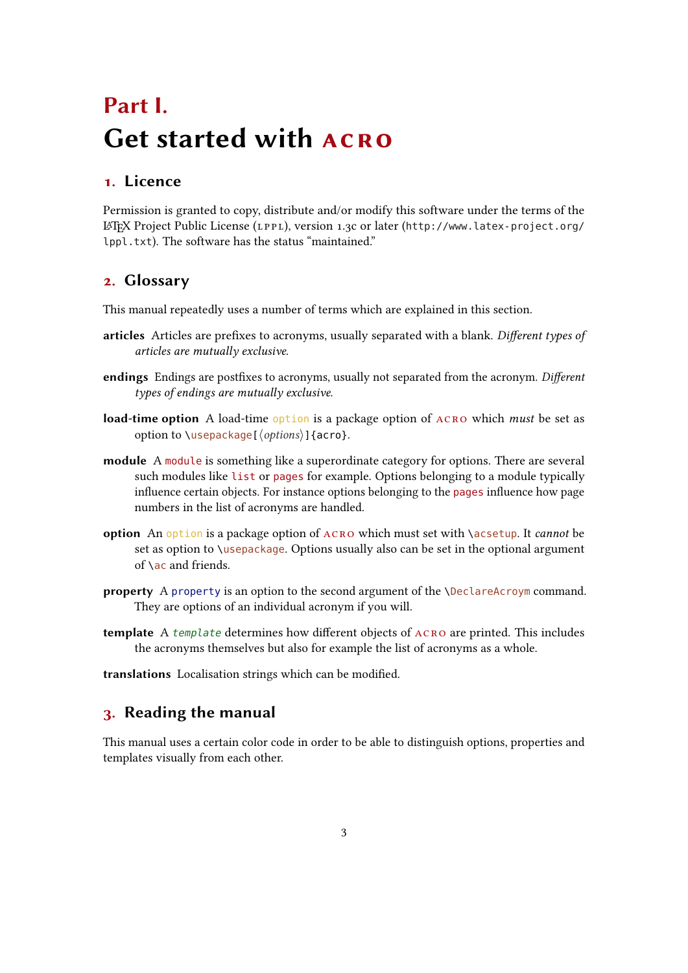# <span id="page-2-4"></span><span id="page-2-0"></span>Part I. Get started with ACRO

### <span id="page-2-1"></span>1. Licence

Permission is granted to copy, distribute and/or modify this software under the terms of the LaTeX Project Public License [\(LPPL\)](#page-57-2), version 1.3c or later ([http://www.latex-project.org/](http://www.latex-project.org/lppl.txt) [lppl.txt](http://www.latex-project.org/lppl.txt)). The software has the status "maintained."

### <span id="page-2-2"></span>2. Glossary

This manual repeatedly uses a number of terms which are explained in this section.

- articles Articles are prefixes to acronyms, usually separated with a blank. Different types of articles are mutually exclusive.
- endings Endings are postfixes to acronyms, usually not separated from the acronym. Different types of endings are mutually exclusive.
- load-time option A load-time option is a package option of ACRO which must be set as option to \usepackage[\\timesable 3] {acro}.
- **module** A module is something like a superordinate category for options. There are several such modules like list or pages for example. Options belonging to a module typically influence certain objects. For instance options belonging to the pages influence how page numbers in the list of acronyms are handled.
- option An option is a package option of  $ACRO$  which must set with  $\a$ csetup. It cannot be set as option to \usepackage. Options usually also can be set in the optional argument of  $\lambda$  ac and friends.
- property A property is an option to the second argument of the *\DeclareAcroym* command. They are options of an individual acronym if you will.
- template A template determines how different objects of  $ACRO$  are printed. This includes the acronyms themselves but also for example the list of acronyms as a whole.

translations Localisation strings which can be modified.

### <span id="page-2-3"></span>3. Reading the manual

This manual uses a certain color code in order to be able to distinguish options, properties and templates visually from each other.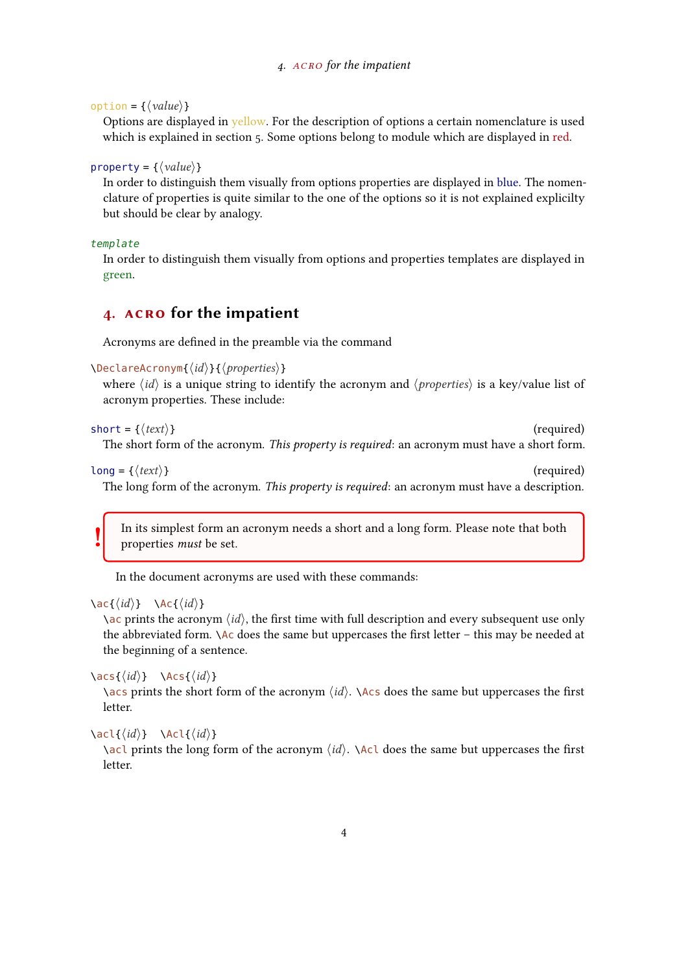```
option = {\langle value \rangle}
```
Options are displayed in yellow. For the description of options a certain nomenclature is used which is explained in section [5.](#page-4-0) Some options belong to module which are displayed in red.

property =  $\{\langle value \rangle\}$ 

In order to distinguish them visually from options properties are displayed in blue. The nomenclature of properties is quite similar to the one of the options so it is not explained explicilty but should be clear by analogy.

template

In order to distinguish them visually from options and properties templates are displayed in green.

### <span id="page-3-0"></span>4. acro for the impatient

Acronyms are defined in the preamble via the command

\DeclareAcronym{⟨id⟩}{⟨properties⟩}

where  $\langle id \rangle$  is a unique string to identify the acronym and  $\langle properties \rangle$  is a key/value list of acronym properties. These include:

short = { $\langle text \rangle$ } (required) The short form of the acronym. This property is required: an acronym must have a short form.

 $long = \{\langle text \rangle\}$  (required)

!

The long form of the acronym. This property is required: an acronym must have a description.

In its simplest form an acronym needs a short and a long form. Please note that both properties must be set.

In the document acronyms are used with these commands:

```
\{id\} \Ac{\{id\}}
```
 $\langle$ ac prints the acronym  $\langle id \rangle$ , the first time with full description and every subsequent use only the abbreviated form.  $\Delta c$  does the same but uppercases the first letter – this may be needed at the beginning of a sentence.

 $\text{Res}\{\langle id \rangle\}$  \Acs $\{\langle id \rangle\}$ 

 $\langle \cdot \rangle$  \acs prints the short form of the acronym  $\langle id \rangle$ .  $\langle \cdot \rangle$  Acs does the same but uppercases the first letter.

 $\{c1\}\{id\} \ \ \ \ \ \$ 

\acl prints the long form of the acronym  $\langle id \rangle$ . \Acl does the same but uppercases the first letter.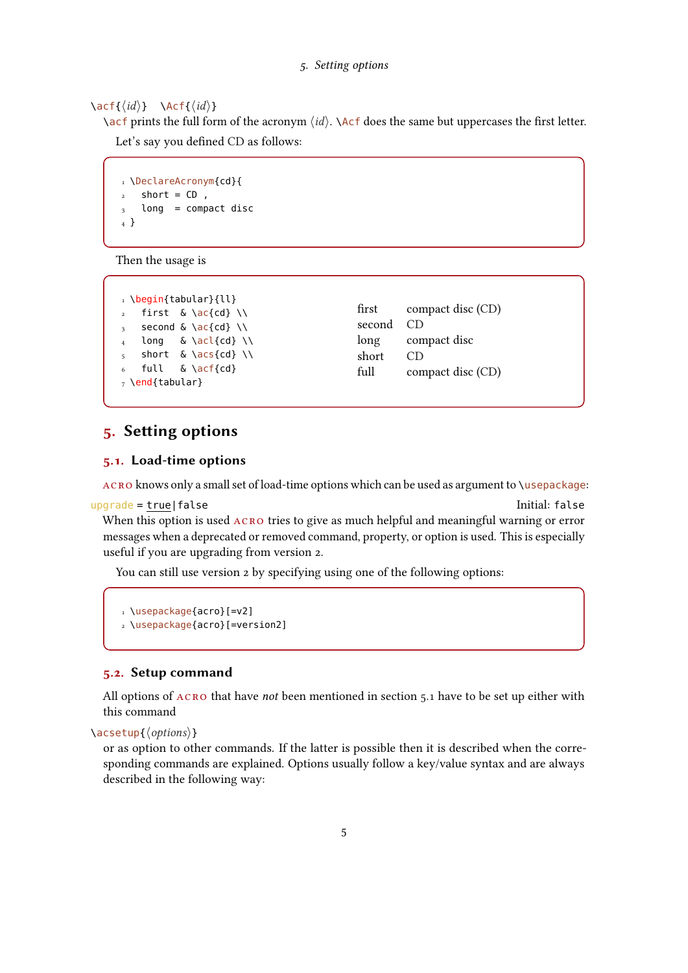#### <span id="page-4-3"></span> $\setminus \text{act}\{\langle id \rangle\}$  \Acf $\{\langle id \rangle\}$

 $\setminus$  acf prints the full form of the acronym  $\langle id \rangle$ .  $\setminus$  Acf does the same but uppercases the first letter. Let's say you defined [CD](#page-57-3) as follows:

```
1 \DeclareAcronym{cd}{
2 short = CD,
   long = compact disc4 }
```
Then the usage is

```
1 \begin{tabular}{ll}
2 first & \ac{cd} \\
3 second & \ac{cd} \\
4 long & \acl{cd} \ \ \ \ \ \short \& \acs{cd} \\
  full & \acf{cd}
_7 \text{ }\text{+} \end{tabular}
```

```
(CD)
second CD
long compact disc
short CD
full compact disc (CD)
```
### <span id="page-4-0"></span>5. Setting options

#### <span id="page-4-1"></span>5.1. Load-time options

acro knows only a small set of load-time options which can be used as argument to \usepackage:

upgrade = true|false Initial: false When this option is used ACRO tries to give as much helpful and meaningful warning or error messages when a deprecated or removed command, property, or option is used. This is especially useful if you are upgrading from version 2.

You can still use version 2 by specifying using one of the following options:

```
1 \usepackage{acro}[=v2]
2 \usepackage{acro}[=version2]
```
#### <span id="page-4-2"></span>5.2. Setup command

All options of  $ACRO$  that have *not* been mentioned in section  $5.1$  have to be set up either with this command

\acsetup{⟨options⟩}

or as option to other commands. If the latter is possible then it is described when the corresponding commands are explained. Options usually follow a key/value syntax and are always described in the following way: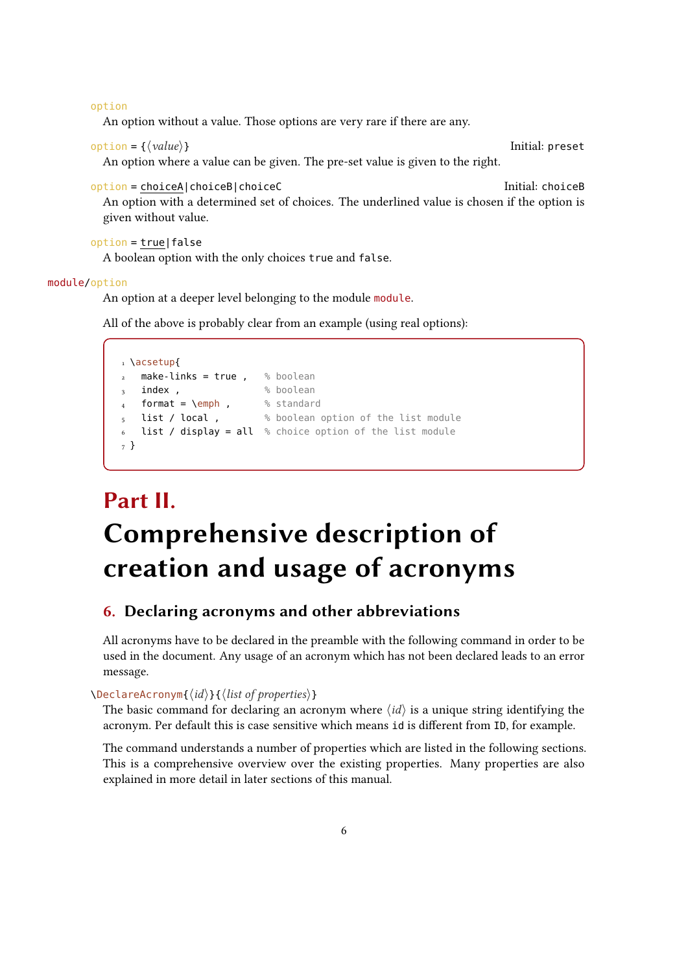option

An option without a value. Those options are very rare if there are any.

```
option = {⟨value⟩} Initial: preset
 An option where a value can be given. The pre-set value is given to the right.
```

```
option = choiceA|choiceB|choiceC Initial: choiceB
```
An option with a determined set of choices. The underlined value is chosen if the option is given without value.

option = true|false

A boolean option with the only choices true and false.

#### module/option

An option at a deeper level belonging to the module module.

All of the above is probably clear from an example (using real options):

```
1 \acsetup{
\frac{2}{3} make-links = true , \frac{8}{3} boolean<br>\frac{3}{3} index , \frac{2}{3}_3 index ,
4 format = \emph, \frac{1}{4} format = \emph, \frac{1}{4} s standard
5 list / local , % boolean option of the list module
6 list / display = all % choice option of the list module
7 }
```
# <span id="page-5-0"></span>Part II. Comprehensive description of creation and usage of acronyms

### <span id="page-5-1"></span>6. Declaring acronyms and other abbreviations

All acronyms have to be declared in the preamble with the following command in order to be used in the document. Any usage of an acronym which has not been declared leads to an error message.

#### \DeclareAcronym{⟨id⟩}{⟨list of properties⟩}

The basic command for declaring an acronym where  $\langle id \rangle$  is a unique string identifying the acronym. Per default this is case sensitive which means id is different from ID, for example.

The command understands a number of properties which are listed in the following sections. This is a comprehensive overview over the existing properties. Many properties are also explained in more detail in later sections of this manual.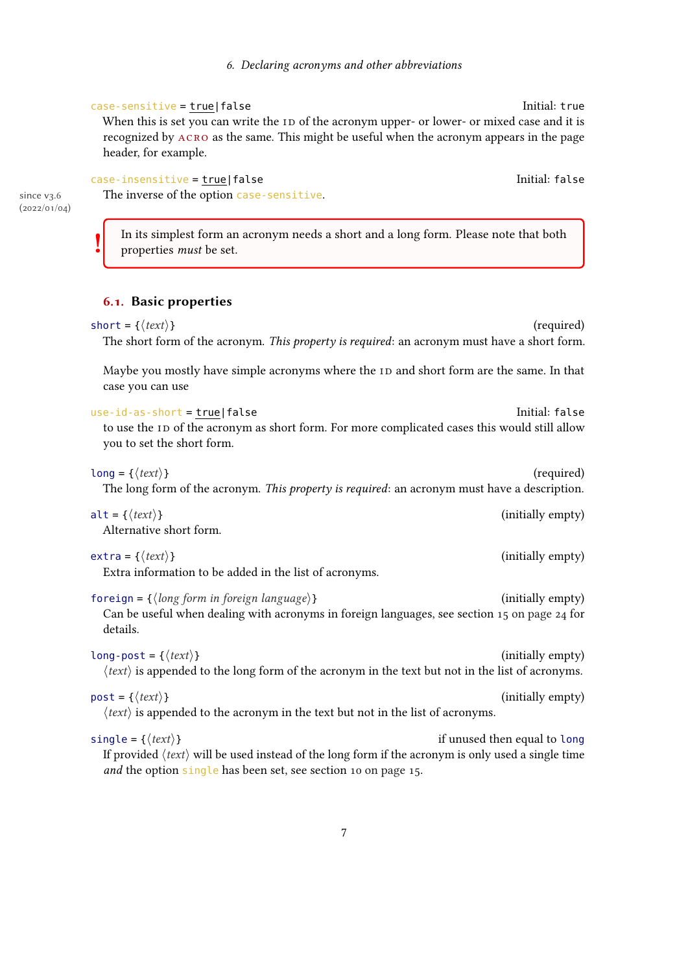```
case-sensitive = true|false Initial: true Initial: true
```
When this is set you can write the [ID](#page-57-4) of the acronym upper- or lower- or mixed case and it is recognized by ACRO as the same. This might be useful when the acronym appears in the page header, for example.

```
case-insensitive = true|false Initial: false
```
The inverse of the option case-sensitive.

since v<sub>3</sub>.6 (2022/01/04)

!

In its simplest form an acronym needs a short and a long form. Please note that both properties must be set.

#### <span id="page-6-0"></span>6.1. Basic properties

| short = { $\langle text \rangle$ }                                                                                                                                           | (required)                   |
|------------------------------------------------------------------------------------------------------------------------------------------------------------------------------|------------------------------|
| The short form of the acronym. This property is required: an acronym must have a short form.                                                                                 |                              |
| Maybe you mostly have simple acronyms where the 1D and short form are the same. In that<br>case you can use                                                                  |                              |
| $use-id-as-short = true false$<br>to use the ID of the acronym as short form. For more complicated cases this would still allow<br>you to set the short form.                | Initial: false               |
| long = { $\langle text \rangle$ }<br>The long form of the acronym. This property is required: an acronym must have a description.                                            | (required)                   |
| alt = { $\langle text \rangle$ }<br>Alternative short form.                                                                                                                  | (initially empty)            |
| $ext{ra} = \{\langle text \rangle\}$<br>Extra information to be added in the list of acronyms.                                                                               | (initially empty)            |
| foreign = $\{\langle long\ form\ in\ foreign\ language\rangle\}$<br>Can be useful when dealing with acronyms in foreign languages, see section 15 on page 24 for<br>details. | (initially empty)            |
| long-post = { $\langle text \rangle$ }<br>$\langle text \rangle$ is appended to the long form of the acronym in the text but not in the list of acronyms.                    | (initially empty)            |
| $post = \{\langle text \rangle\}$<br>$\langle text \rangle$ is appended to the acronym in the text but not in the list of acronyms.                                          | (initially empty)            |
| single = { $\langle text \rangle$ }<br>If provided $\langle text \rangle$ will be used instead of the long form if the acronym is only used a single time                    | if unused then equal to long |

and the option single has been set, see section [10 on page 15.](#page-14-0)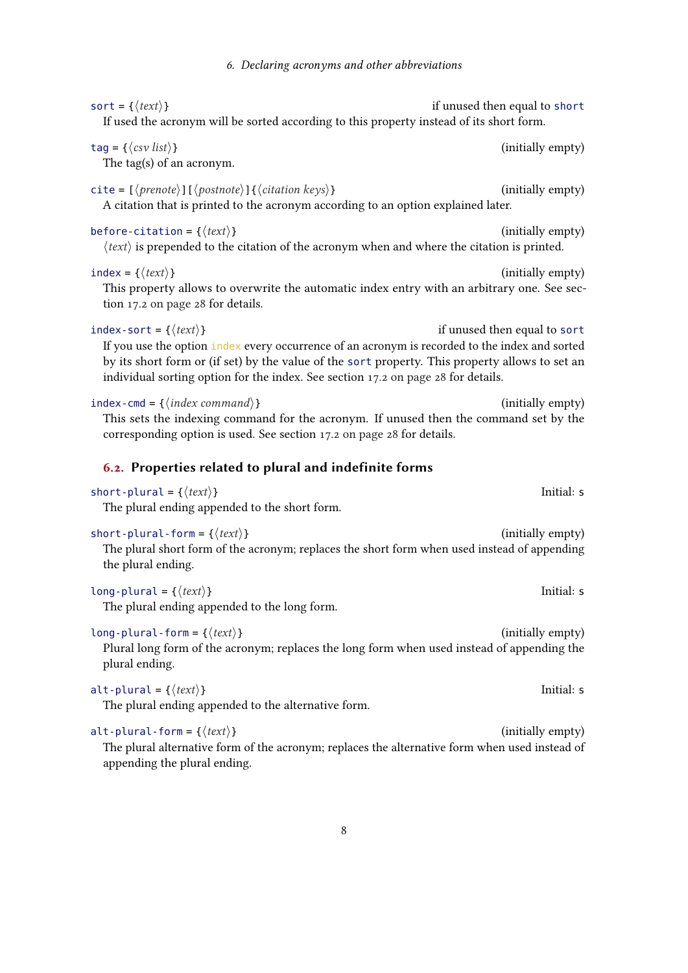<span id="page-7-1"></span><span id="page-7-0"></span>

| sort = { $\langle text \rangle$ }<br>If used the acronym will be sorted according to this property instead of its short form.                                                                                                                                                                                                     | if unused then equal to short |
|-----------------------------------------------------------------------------------------------------------------------------------------------------------------------------------------------------------------------------------------------------------------------------------------------------------------------------------|-------------------------------|
| $tag = \langle \langle \textit{csv list} \rangle \rangle$<br>The tag(s) of an acronym.                                                                                                                                                                                                                                            | (initially empty)             |
| cite = $\left[\langle$ <i>(prenote</i> ) $\left[\langle$ <i>(postnote</i> ) $\left[\langle$ <i>(citation keys</i> ) $\right]\right\}$<br>A citation that is printed to the acronym according to an option explained later.                                                                                                        | (initially empty)             |
| before-citation = { $\langle text \rangle$ }<br>$\langle text \rangle$ is prepended to the citation of the acronym when and where the citation is printed.                                                                                                                                                                        | (initially empty)             |
| index = { $\langle text \rangle$ }<br>This property allows to overwrite the automatic index entry with an arbitrary one. See sec-<br>tion 17.2 on page 28 for details.                                                                                                                                                            | (initially empty)             |
| index-sort = { $\langle text \rangle$ }<br>If you use the option index every occurrence of an acronym is recorded to the index and sorted<br>by its short form or (if set) by the value of the sort property. This property allows to set an<br>individual sorting option for the index. See section 17.2 on page 28 for details. | if unused then equal to sort  |
| $index-cmd = {\langle index\ command \rangle}$<br>This sets the indexing command for the acronym. If unused then the command set by the<br>corresponding option is used. See section 17.2 on page 28 for details.                                                                                                                 | (initially empty)             |
| 6.2. Properties related to plural and indefinite forms                                                                                                                                                                                                                                                                            |                               |
| short-plural = { $\langle text \rangle$ }<br>The plural ending appended to the short form.                                                                                                                                                                                                                                        | Initial: s                    |
| short-plural-form = { $\langle text \rangle$ }<br>The plural short form of the acronym; replaces the short form when used instead of appending<br>the plural ending.                                                                                                                                                              | (initially empty)             |
| long-plural = { $\langle text \rangle$ }<br>The plural ending appended to the long form.                                                                                                                                                                                                                                          | Initial: s                    |
| long-plural-form = { $\langle text \rangle$ }<br>Plural long form of the acronym; replaces the long form when used instead of appending the<br>plural ending.                                                                                                                                                                     | (initially empty)             |
| alt-plural = { $\langle text \rangle$ }<br>The plural ending appended to the alternative form.                                                                                                                                                                                                                                    | Initial: s                    |
| alt-plural-form = { $\langle text \rangle$ }<br>The plural alternative form of the acronym; replaces the alternative form when used instead of<br>appending the plural ending.                                                                                                                                                    | (initially empty)             |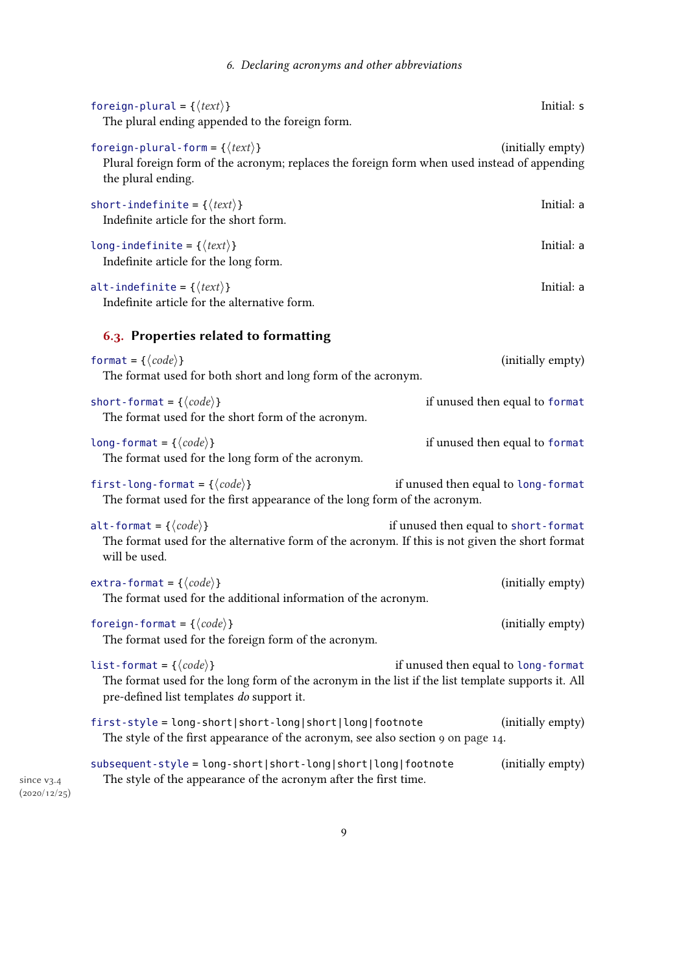6. Declaring acronyms and other abbreviations

<span id="page-8-1"></span><span id="page-8-0"></span>

| Initial: s<br>foreign-plural = { $\langle text \rangle$ }<br>The plural ending appended to the foreign form.                                                                                                                       |
|------------------------------------------------------------------------------------------------------------------------------------------------------------------------------------------------------------------------------------|
| foreign-plural-form = { $\langle text \rangle$ }<br>(initially empty)<br>Plural foreign form of the acronym; replaces the foreign form when used instead of appending<br>the plural ending.                                        |
| short-indefinite = { $\langle text \rangle$ }<br>Initial: a<br>Indefinite article for the short form.                                                                                                                              |
| Initial: a<br>long-indefinite = { $\langle text \rangle$ }<br>Indefinite article for the long form.                                                                                                                                |
| alt-indefinite = { $\langle text \rangle$ }<br>Initial: a<br>Indefinite article for the alternative form.                                                                                                                          |
| 6.3. Properties related to formatting                                                                                                                                                                                              |
| format = { $\langle code \rangle$ }<br>(initially empty)<br>The format used for both short and long form of the acronym.                                                                                                           |
| short-format = { $\langle code \rangle$ }<br>if unused then equal to format<br>The format used for the short form of the acronym.                                                                                                  |
| long-format = { $\langle code \rangle$ }<br>if unused then equal to format<br>The format used for the long form of the acronym.                                                                                                    |
| first-long-format = { $\langle code \rangle$ }<br>if unused then equal to long-format<br>The format used for the first appearance of the long form of the acronym.                                                                 |
| alt-format = { $\langle code \rangle$ }<br>if unused then equal to short-format<br>The format used for the alternative form of the acronym. If this is not given the short format<br>will be used.                                 |
| extra-format = { $\langle code \rangle$ }<br>(initially empty)<br>The format used for the additional information of the acronym.                                                                                                   |
| foreign-format = { $\langle code \rangle$ }<br>(initially empty)<br>The format used for the foreign form of the acronym.                                                                                                           |
| list-format = $\{\langle code \rangle\}$<br>if unused then equal to long-format<br>The format used for the long form of the acronym in the list if the list template supports it. All<br>pre-defined list templates do support it. |
| (initially empty)<br>first-style = long-short short-long short long footnote<br>The style of the first appearance of the acronym, see also section 9 on page 14.                                                                   |
| (initially empty)<br>subsequent-style = long-short short-long short long footnote<br>The style of the appearance of the acronym after the first time.                                                                              |

since v3.4  $(2020/12/25)$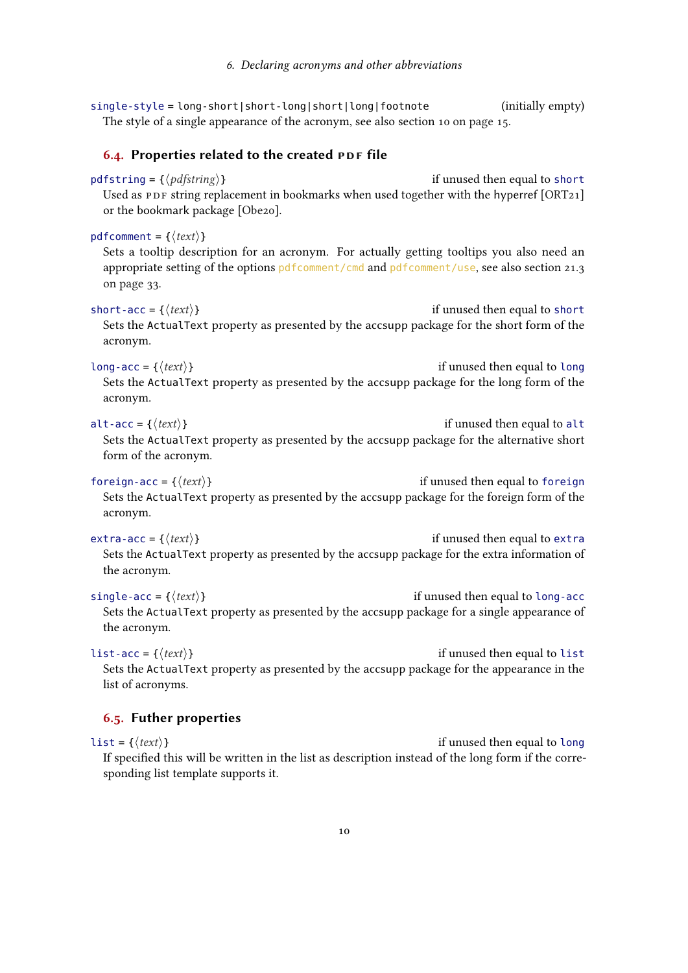<span id="page-9-2"></span>single-style = long-short|short-long|short|long|footnote (initially empty) The style of a single appearance of the acronym, see also section [10 on page 15.](#page-14-0)

#### <span id="page-9-0"></span>6.4. Properties related to the created PDF file

### pdfstring =  $\{\langle pdfstring \rangle\}$  if unused then equal to short Used as [PDF](#page-57-0) string replacement in bookmarks when used together with the hyperref [\[ORT21\]](#page-58-1) or the bookmark package [\[Obe20\]](#page-58-2).

pdfcomment = { $\langle text \rangle$ }

Sets a tooltip description for an acronym. For actually getting tooltips you also need an appropriate setting of the options pdfcomment/cmd and pdfcomment/use, see also section [21.3](#page-32-1) [on page 33.](#page-32-1)

short-acc =  $\{\langle text \rangle\}$  if unused then equal to short Sets the ActualText property as presented by the accsupp package for the short form of the acronym.

 $long - acc = \{\langle text \rangle\}$  if unused then equal to long Sets the ActualText property as presented by the accsupp package for the long form of the acronym.

alt-acc =  $\{\langle text \rangle\}$  if unused then equal to alt Sets the ActualText property as presented by the accsupp package for the alternative short form of the acronym.

foreign-acc =  $\{\langle text \rangle\}$  if unused then equal to foreign Sets the ActualText property as presented by the accsupp package for the foreign form of the acronym.

 $\text{extra} - \text{acc} = \{\langle \text{text}\rangle\}$  if unused then equal to extra Sets the ActualText property as presented by the accsupp package for the extra information of the acronym.

single-acc = { $\{text{text}\}$ } Sets the ActualText property as presented by the accsupp package for a single appearance of the acronym.

list-acc = { $\langle text \rangle$ } Sets the ActualText property as presented by the accsupp package for the appearance in the list of acronyms.

### <span id="page-9-1"></span>6.5. Futher properties

 $list = \{(text)\}$ If specified this will be written in the list as description instead of the long form if the corresponding list template supports it.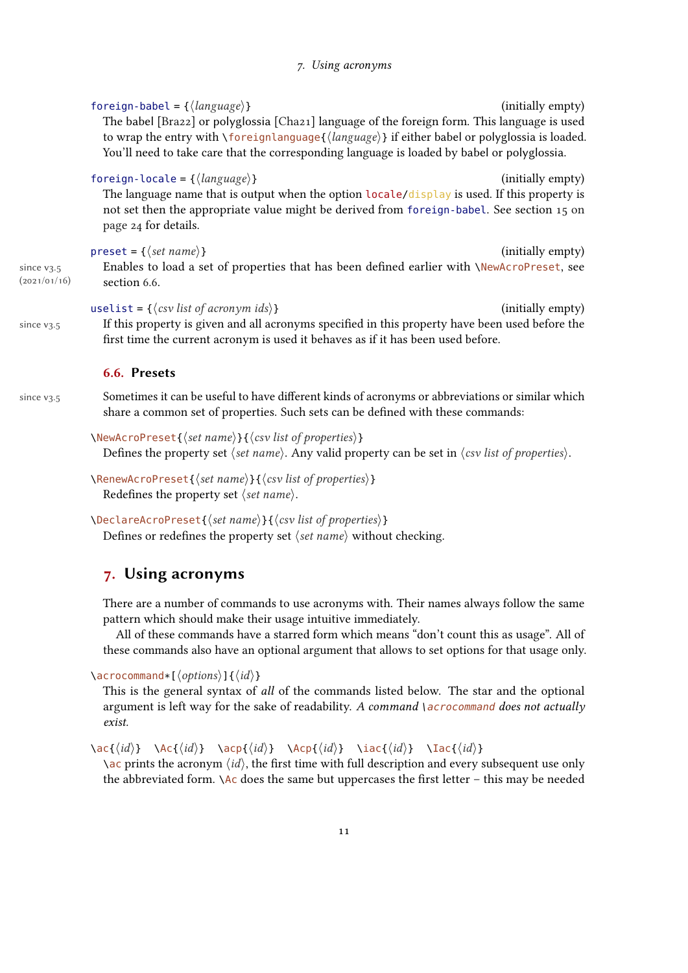#### 7. Using acronyms

<span id="page-10-2"></span>

|                              | foreign-babel = $\{\langle \text{language} \rangle\}$<br>The babel [Bra22] or polyglossia [Cha21] language of the foreign form. This language is used<br>to wrap the entry with \foreignlanguage{\language}} if either babel or polyglossia is loaded.<br>You'll need to take care that the corresponding language is loaded by babel or polyglossia. | (initially empty) |
|------------------------------|-------------------------------------------------------------------------------------------------------------------------------------------------------------------------------------------------------------------------------------------------------------------------------------------------------------------------------------------------------|-------------------|
|                              | foreign-locale = ${\langle \text{language}\rangle}$<br>The language name that is output when the option $locale/display$ is used. If this property is<br>not set then the appropriate value might be derived from foreign-babel. See section 15 on<br>page 24 for details.                                                                            | (initially empty) |
| since $v3.5$<br>(2021/01/16) | $\text{present} = \{\langle set \ name \rangle\}$<br>Enables to load a set of properties that has been defined earlier with \NewAcroPreset, see<br>section 6.6.                                                                                                                                                                                       | (initially empty) |
| since v <sub>3</sub> .5      | uselist = $\{\langle \text{csv} \text{ list of } \text{acronym } \text{ids} \rangle\}$<br>If this property is given and all acronyms specified in this property have been used before the<br>first time the current acronym is used it behaves as if it has been used before.                                                                         | (initially empty) |
|                              | 6.6. Presets                                                                                                                                                                                                                                                                                                                                          |                   |
| since v <sub>3</sub> .5      | Sometimes it can be useful to have different kinds of acronyms or abbreviations or similar which<br>share a common set of properties. Such sets can be defined with these commands:                                                                                                                                                                   |                   |
|                              | $\text{NewAcroPresent}(\text{set name})$ } { $\langle \text{csv} \text{ list of properties} \rangle$ }<br>Defines the property set $\langle set \text{ name} \rangle$ . Any valid property can be set in $\langle \text{csv} \rangle$ list of properties).                                                                                            |                   |
|                              | $\Re$ \RenewAcroPreset{ $\langle set \ name \rangle$ }{ $\langle \text{csv} \ list \ of \ properties \rangle$ }<br>Redefines the property set $\langle set \ name \rangle$ .                                                                                                                                                                          |                   |
|                              | $\text{NDeclareAcroPresent}(\text{set name})$ }{ $\langle \text{csv list of properties} \rangle$ }                                                                                                                                                                                                                                                    |                   |

<span id="page-10-0"></span>Defines or redefines the property set  $\langle set \; name \rangle$  without checking.

### <span id="page-10-1"></span>7. Using acronyms

There are a number of commands to use acronyms with. Their names always follow the same pattern which should make their usage intuitive immediately.

All of these commands have a starred form which means "don't count this as usage". All of these commands also have an optional argument that allows to set options for that usage only.

\acrocommand\*[⟨options⟩]{⟨id⟩}

This is the general syntax of all of the commands listed below. The star and the optional argument is left way for the sake of readability. A command  $\frac{1}{\sqrt{2}}$  acrocommand does not actually exist.

\ac{ $\{id\}$ } \Ac{ $\{id\}$ } \acp{ $\{id\}$ } \Acp{ $\{id\}$ } \iac{ $\{id\}$ } \Iac{ $\{id\}$ }

 $\alpha$  prints the acronym  $\langle id \rangle$ , the first time with full description and every subsequent use only the abbreviated form.  $\Delta c$  does the same but uppercases the first letter – this may be needed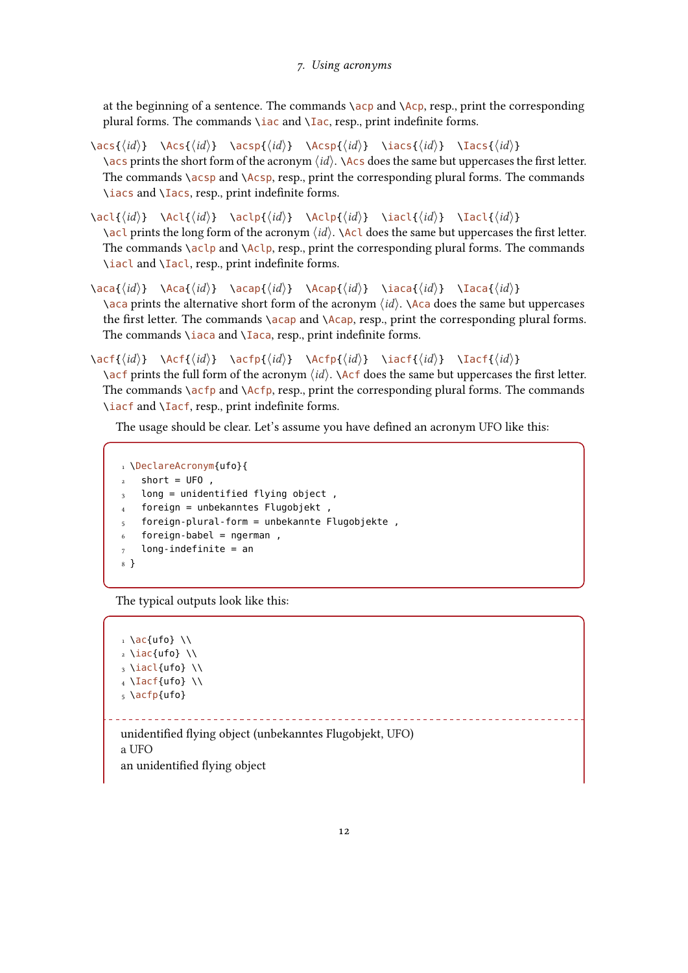<span id="page-11-0"></span>at the beginning of a sentence. The commands  $\a$ rep and  $\A$ cp, resp., print the corresponding plural forms. The commands  $\langle$  i.e. and  $\langle$  I.a., resp., print indefinite forms.

\acs{ $\{id\}$  \Acs{ $\{id\}$  \acsp{ $\{id\}$  \Acsp{ $\{id\}$  \iacs{ $\{id\}$  \Iacs{ $\{id\}$ } \acs prints the short form of the acronym  $\langle id \rangle$ . \Acs does the same but uppercases the first letter. The commands  $\a$ csp and  $\A$ csp, resp., print the corresponding plural forms. The commands \iacs and \Iacs, resp., print indefinite forms.

\acl{ $\langle id \rangle$ } \Acl{ $\langle id \rangle$ } \aclp{ $\langle id \rangle$ } \iacl{ $\langle id \rangle$ } \Iacl{ $\langle id \rangle$ } \acl prints the long form of the acronym  $\langle id \rangle$ . \Acl does the same but uppercases the first letter. The commands  $\a{clp}$  and  $\Ac{lp}$ , resp., print the corresponding plural forms. The commands \iacl and \Iacl, resp., print indefinite forms.

- \aca{⟨id⟩} \Aca{⟨id⟩} \acap{⟨id⟩} \Acap{⟨id⟩} \iaca{⟨id⟩} \Iaca{⟨id⟩}  $\alpha$  prints the alternative short form of the acronym  $\langle id \rangle$ .  $\alpha$  does the same but uppercases the first letter. The commands  $\a$ cap and  $\Acap$ , resp., print the corresponding plural forms. The commands \iaca and \Iaca, resp., print indefinite forms.
- \acf{ $\{id\}$  \Acf{ $\{id\}$  \acfp{ $\{id\}$  \Acfp{ $\{id\}$  \iacf{ $\{id\}$  \Iacf{ $\{id\}$ }  $\setminus$  acf prints the full form of the acronym  $\langle id \rangle$ .  $\setminus$ Acf does the same but uppercases the first letter. The commands  $\a{cfp}$  and  $\A{cfp}$ , resp., print the corresponding plural forms. The commands \iacf and \Iacf, resp., print indefinite forms.

The usage should be clear. Let's assume you have defined an acronym [UFO](#page-58-5) like this:

```
1 \DeclareAcronym{ufo}{
2 short = UFO,
3 long = unidentified flying object,
4 foreign = unbekanntes Flugobjekt,
5 foreign-plural-form = unbekannte Flugobjekte,
6 foreign-babel = ngerman,
  long\timesindefinite = an
8 }
```
The typical outputs look like this:

```
_1 \setminus \text{ac} \{ \text{ufo} \} \setminus \setminus_2 \setminusiac{ufo} \setminus_3 \text{li} \text{al} \text{ufo} \\
_4 \Iacf{ufo} \\
_5 \setminus \textsf{acfp}\{\textsf{ufo}\}unidentified flying object (unbekanntes Flugobjekt, UFO)
a UFO
an unidentified flying object
```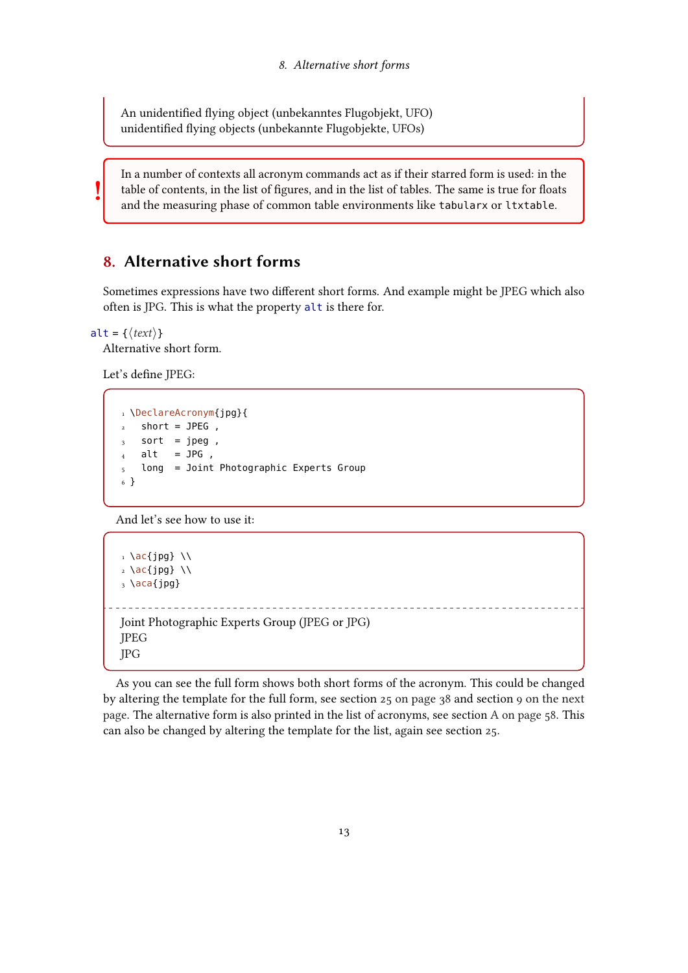<span id="page-12-1"></span>An unidentified flying object (unbekanntes Flugobjekt, [UFO\)](#page-58-5) unidentified flying objects (unbekannte Flugobjekte, [UFOs\)](#page-58-5)

In a number of contexts all acronym commands act as if their starred form is used: in the table of contents, in the list of figures, and in the list of tables. The same is true for floats and the measuring phase of common table environments like tabularx or ltxtable.

## <span id="page-12-0"></span>8. Alternative short forms

Sometimes expressions have two different short forms. And example might be [JPEG](#page-57-5) which also often is [JPG.](#page-57-5) This is what the property alt is there for.

alt = { $\langle text \rangle$ }

!

Alternative short form.

Let's define [JPEG:](#page-57-5)

```
1 \DeclareAcronym{ipq}{
2 short = JPEG,
3 sort = jpeg,
_4 alt = JPG ,
   long = Joint Photographic Experts Group
6 }
```
And let's see how to use it:

```
_1 \setminusac{jpg} \\
_2 \setminusac{jpg} \\
3 \ \text{ac}{ipq}
Joint Photographic Experts Group (JPEG or JPG)
JPEG
JPG
```
As you can see the full form shows both short forms of the acronym. This could be changed by altering the template for the full form, see section [25 on page 38](#page-37-1) and section [9 on the next](#page-13-0) [page.](#page-13-0) The alternative form is also printed in the list of acronyms, see section [A on page 58.](#page-57-1) This can also be changed by altering the template for the list, again see section [25.](#page-37-1)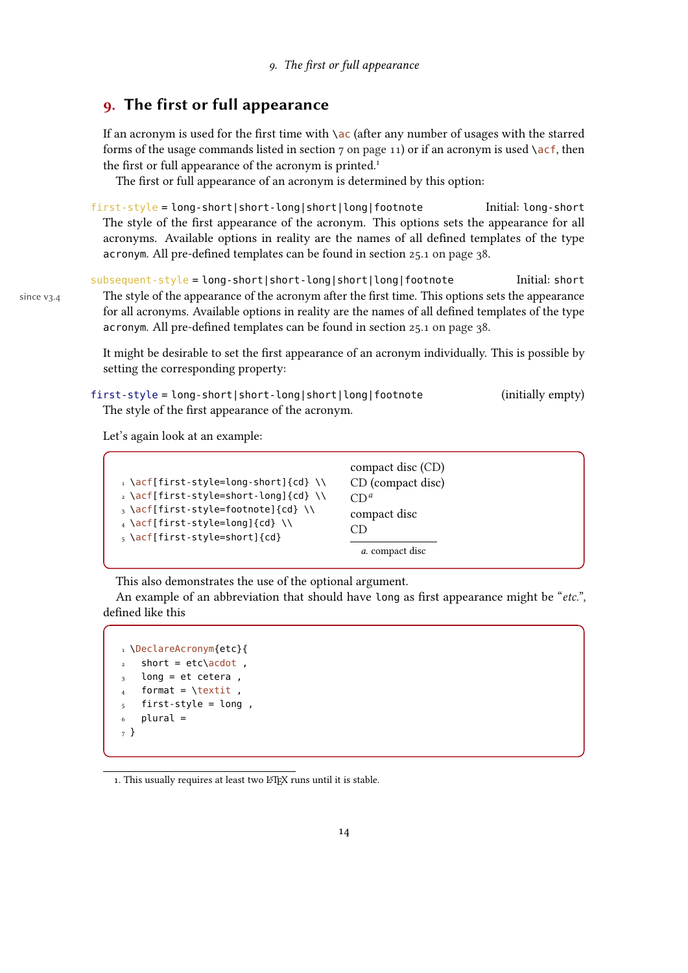### <span id="page-13-3"></span><span id="page-13-0"></span>9. The first or full appearance

If an acronym is used for the first time with  $\a$ c (after any number of usages with the starred forms of the usage commands listed in section  $7$  on page 11) or if an acronym is used \acf, then the first or full appearance of the acronym is printed.<sup>1</sup>

The first or full appearance of an acronym is determined by this option:

first-style = long-short|short-long|short|long|footnote Initial: long-short The style of the first appearance of the acronym. This options sets the appearance for all acronyms. Available options in reality are the names of all defined templates of the type acronym. All pre-defined templates can be found in section [25.1 on page 38.](#page-37-2)

subsequent-style = long-short|short-long|short|long|footnote Initial: short since v3.4 The style of the appearance of the acronym after the first time. This options sets the appearance for all acronyms. Available options in reality are the names of all defined templates of the type acronym. All pre-defined templates can be found in section [25.1 on page 38.](#page-37-2)

> It might be desirable to set the first appearance of an acronym individually. This is possible by setting the corresponding property:

first-style = long-short|short-long|short|long|footnote (initially empty) The style of the first appearance of the acronym.

Let's again look at an example:

|                                                                                                                                                             | compact disc (CD)                    |
|-------------------------------------------------------------------------------------------------------------------------------------------------------------|--------------------------------------|
| $\frac{1}{1}$ \acf[first-style=long-short]{cd} \\<br>$\frac{1}{2} \ \text{acf}$ [first-style=short-long]{cd} \\                                             | CD (compact disc)<br>CD <sup>a</sup> |
| $_3 \setminus \text{acf}$ [first-style=footnote]{cd} \\<br>$_4 \setminus \text{acf}$ [first-style=long]{cd} \\<br>$\frac{1}{5}$ \acf[first-style=short]{cd} | compact disc<br>CD                   |
|                                                                                                                                                             | <i>a</i> . compact disc              |

<span id="page-13-2"></span>This also demonstrates the use of the optional argument.

An example of an abbreviation that should have long as first appearance might be "[etc.](#page-57-6)", defined like this

```
1 \DeclareAcronym{etc}{
2 short = etc\acdot,
3 long = et cetera,
   format = \text{texti},
  5 first-style = long ,
   plane =7 }
```
<span id="page-13-1"></span>1. This usually requires at least two LATEX runs until it is stable.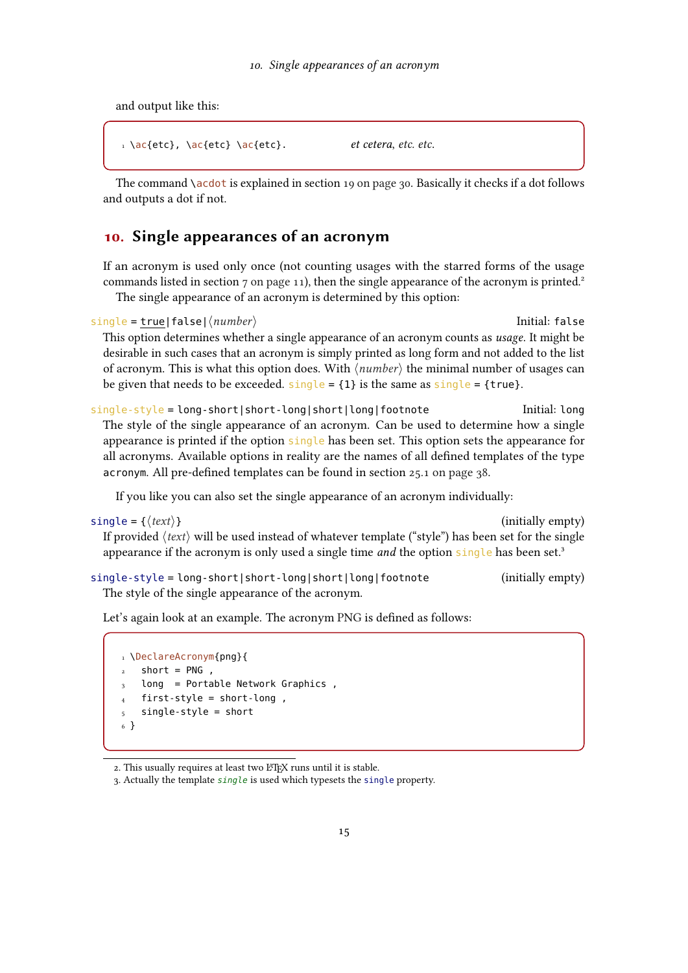<span id="page-14-3"></span>and output like this:

```
\alphaetc.etc.
```
The command \acdot is explained in section [19 on page 30.](#page-29-0) Basically it checks if a dot follows and outputs a dot if not.

### <span id="page-14-0"></span>10. Single appearances of an acronym

If an acronym is used only once (not counting usages with the starred forms of the usage commands listed in section  $7$  on page 11), then the single appearance of the acronym is printed.<sup>2</sup>

The single appearance of an acronym is determined by this option:

```
single = true|false|\langle number \rangleThis option determines whether a single appearance of an acronym counts as usage. It might be
  desirable in such cases that an acronym is simply printed as long form and not added to the list
  of acronym. This is what this option does. With \langle number \rangle the minimal number of usages can
  be given that needs to be exceeded. single = \{1\} is the same as single = \{true\}.
```
single-style = long-short|short-long|short|long|footnote Initial: long The style of the single appearance of an acronym. Can be used to determine how a single appearance is printed if the option single has been set. This option sets the appearance for all acronyms. Available options in reality are the names of all defined templates of the type acronym. All pre-defined templates can be found in section [25.1 on page 38.](#page-37-2)

If you like you can also set the single appearance of an acronym individually:

single =  $\{\langle text \rangle\}$  (initially empty) If provided  $\langle text \rangle$  will be used instead of whatever template ("style") has been set for the single appearance if the acronym is only used a single time *and* the option single has been set.<sup>3</sup>

single-style = long-short|short-long|short|long|footnote (initially empty) The style of the single appearance of the acronym.

Let's again look at an example. The acronym [PNG](#page-57-7) is defined as follows:

```
1 \DeclareAcronym{png}{
2 short = PNG,
3 long = Portable Network Graphics,
  4 first-style = short-long ,
  5 single-style = short
6 }
```
<span id="page-14-1"></span>2. This usually requires at least two LATEX runs until it is stable.

<span id="page-14-2"></span>3. Actually the template single is used which typesets the single property.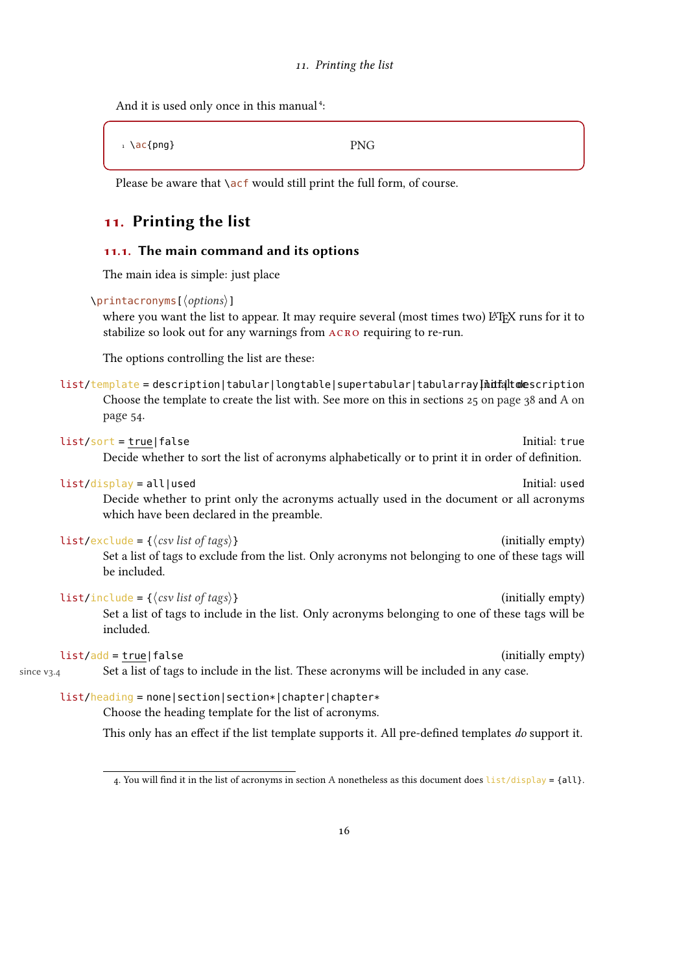<span id="page-15-3"></span>And it is used only once in this manual<sup>4</sup>:

| ı <b>\ac{png}</b> | <b>PNG</b> |
|-------------------|------------|
|                   |            |

Please be aware that \acf would still print the full form, of course.

## <span id="page-15-0"></span>11. Printing the list

#### <span id="page-15-1"></span>11.1. The main command and its options

The main idea is simple: just place

```
\printacronyms[⟨options⟩]
```
where you want the list to appear. It may require several (most times two) LATEX runs for it to stabilize so look out for any warnings from ACRO requiring to re-run.

The options controlling the list are these:

| list/template = description tabular longtable supertabular tabularray[hitfaltolescription          |
|----------------------------------------------------------------------------------------------------|
| Choose the template to create the list with. See more on this in sections $25$ on page 38 and A on |
| page 54.                                                                                           |

| $list/sort = true   false$                                                                                                           | Initial: true     |
|--------------------------------------------------------------------------------------------------------------------------------------|-------------------|
| Decide whether to sort the list of acronyms alphabetically or to print it in order of definition.                                    |                   |
| $list/display = all used$                                                                                                            | Initial: used     |
| Decide whether to print only the acronyms actually used in the document or all acronyms<br>which have been declared in the preamble. |                   |
| $list/exclude = {\langle \cos v \text{ list of tags} \rangle}$                                                                       | (initially empty) |
| Set a list of tags to exclude from the list. Only acronyms not belonging to one of these tags will                                   |                   |
| be included.                                                                                                                         |                   |

 $list/include = {\langle \cos \theta \rangle}$  (initially empty) Set a list of tags to include in the list. Only acronyms belonging to one of these tags will be included.

#### list/add = true|false (initially empty)

since v<sub>3.4</sub> Set a list of tags to include in the list. These acronyms will be included in any case.

#### list/heading = none|section|section\*|chapter|chapter\*

Choose the heading template for the list of acronyms.

This only has an effect if the list template supports it. All pre-defined templates do support it.

<span id="page-15-2"></span><sup>4.</sup> You will find it in the list of acronyms in section [A](#page-57-1) nonetheless as this document does list/display = {all}.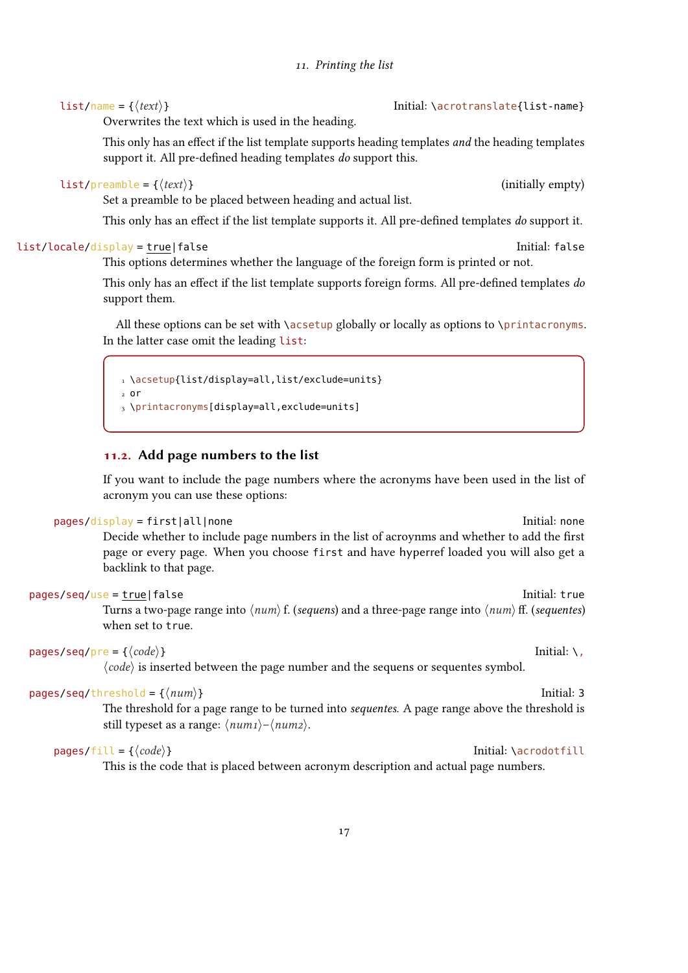#### 17

#### 11. Printing the list

#### <span id="page-16-1"></span>list/name = { $\text{'text'}$ } Initial: \acrotranslate{list-name} Overwrites the text which is used in the heading.

This only has an effect if the list template supports heading templates and the heading templates support it. All pre-defined heading templates do support this.

#### $list/preample = {\langle \text{text} \rangle}$  (initially empty)

Set a preamble to be placed between heading and actual list.

This only has an effect if the list template supports it. All pre-defined templates do support it.

#### list/locale/display = true|false Initial: false

This options determines whether the language of the foreign form is printed or not.

This only has an effect if the list template supports foreign forms. All pre-defined templates do support them.

All these options can be set with \acsetup globally or locally as options to \printacronyms. In the latter case omit the leading list:

### 1 \acsetup{list/display=all,list/exclude=units}  $20r$ 3 \printacronyms[display=all,exclude=units]

#### <span id="page-16-0"></span>11.2. Add page numbers to the list

If you want to include the page numbers where the acronyms have been used in the list of acronym you can use these options:

#### pages/display = first|all|none Initial: none Initial: none

Decide whether to include page numbers in the list of acroynms and whether to add the first page or every page. When you choose first and have hyperref loaded you will also get a backlink to that page.

#### pages/seq/use = true|false Initial: true Initial: true

Turns a two-page range into  $\langle num \rangle$  f. (sequens) and a three-page range into  $\langle num \rangle$  ff. (sequentes) when set to true.

#### $p \cdot \text{pages}/\text{seq}/\text{pre} = \{\langle code \rangle\}$  Initial: \,

⟨code⟩ is inserted between the page number and the sequens or sequentes symbol.

#### $pages/seq/threshold = \{\langle num \rangle\}$

The threshold for a page range to be turned into *sequentes*. A page range above the threshold is still typeset as a range:  $\langle num_1 \rangle - \langle num_2 \rangle$ .

#### $pages/fill = {\langle code \rangle}$

This is the code that is placed between acronym description and actual page numbers.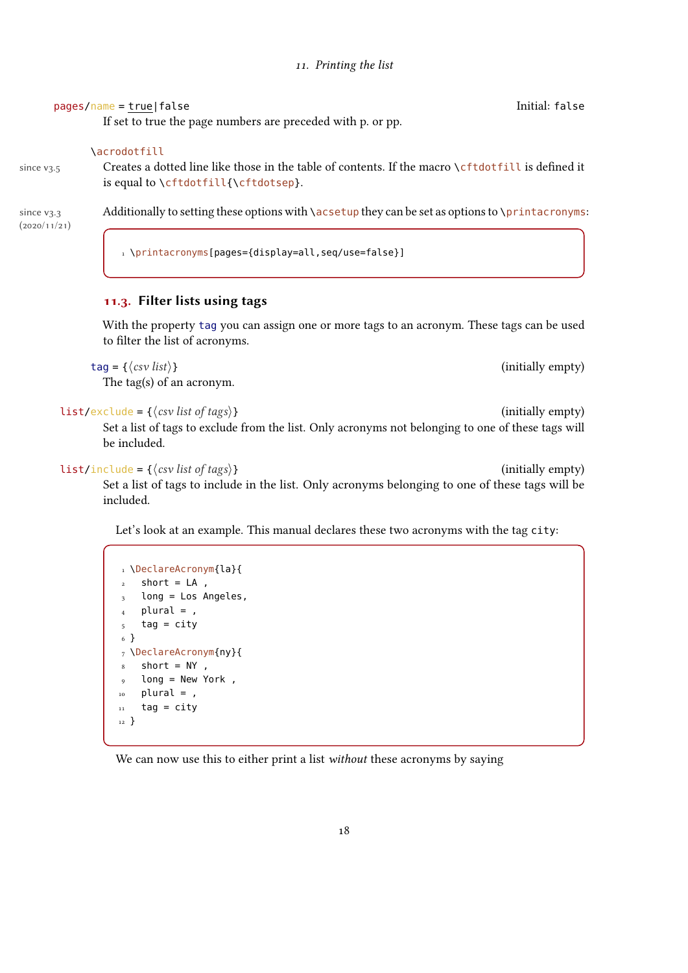#### pages/name = true|false Initial: false

<span id="page-17-1"></span>If set to true the page numbers are preceded with p. or pp.

#### \acrodotfill

since v<sub>3.5</sub> Creates a dotted line like those in the table of contents. If the macro \cftdotfill is defined it is equal to \cftdotfill{\cftdotsep}.

 $\rm s$ ince v $\rm_{3.3}$  Additionally to setting these options with **\acsetup they can be set as options to \printacronyms**:

 $(2020/11/21)$ 

1 \printacronyms[pages={display=all,seq/use=false}]

### <span id="page-17-0"></span>11.3. Filter lists using tags

With the property tag you can assign one or more tags to an acronym. These tags can be used to filter the list of acronyms.

tag = { $\langle \cos \theta \rangle$ } (initially empty)

The tag(s) of an acronym.

 $list/exclude = \{\langle csv \text{ list of tags}\rangle\}$  (initially empty)

Set a list of tags to exclude from the list. Only acronyms not belonging to one of these tags will be included.

 $list/include = {\langle \cos \textit{list of tags} \rangle}$  (initially empty)

Set a list of tags to include in the list. Only acronyms belonging to one of these tags will be included.

Let's look at an example. This manual declares these two acronyms with the tag city:

```
1 \DeclareAcronym{la}{
2 short = LA,
3 long = Los Angeles,
_4 plural = ,
5 tag = city
6 }
7 \DeclareAcronym{ny}{
8 short = NY,
9 long = New York ,
_{10} plural = ,
11 tag = city
12 }
```
We can now use this to either print a list *without* these acronyms by saying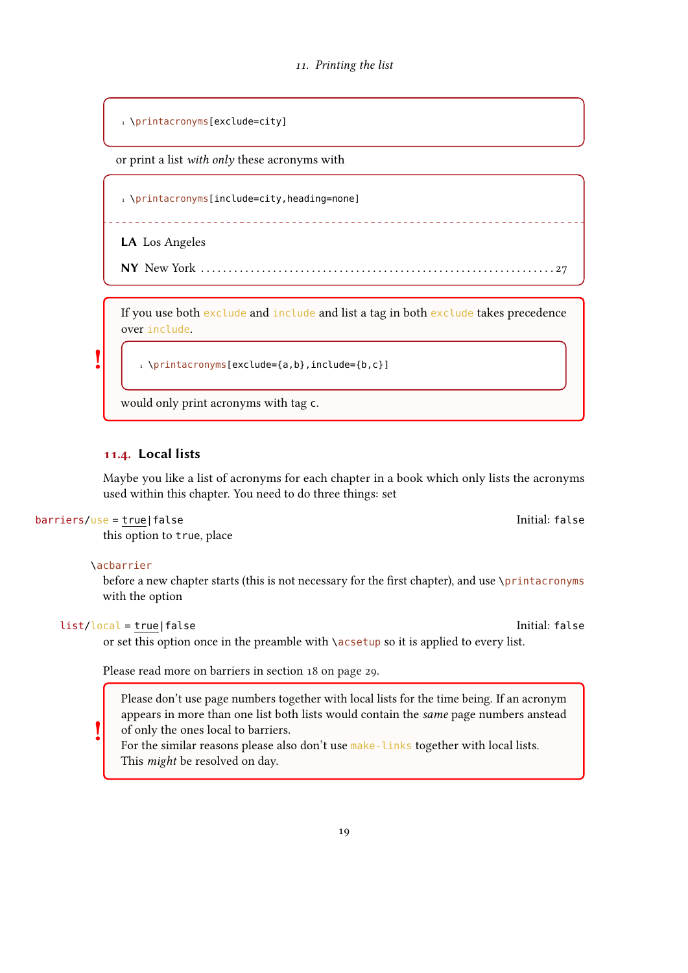```
1 \printacronyms[exclude=city]
```
or print a list with only these acronyms with

1 \printacronyms[include=city,heading=none]

LA Los Angeles

<span id="page-18-1"></span>NY New York . . . . . . . . . . . . . . . . . . . . . . . . . . . . . . . . . . . . . . . . . . . . . . . . . . . . . . . . . . . . . . . . [27](#page-26-2)

If you use both exclude and include and list a tag in both exclude takes precedence over include.

-------------------------

1 \printacronyms[exclude={a,b},include={b,c}]

would only print acronyms with tag c.

#### <span id="page-18-0"></span>11.4. Local lists

Maybe you like a list of acronyms for each chapter in a book which only lists the acronyms used within this chapter. You need to do three things: set

barriers/use = true|false Initial: false Initial: false

!

this option to true, place

#### \acbarrier

before a new chapter starts (this is not necessary for the first chapter), and use \printacronyms with the option

#### $list/local = true | false$

!

or set this option once in the preamble with \acsetup so it is applied to every list.

Please read more on barriers in section [18 on page 29.](#page-28-0)

Please don't use page numbers together with local lists for the time being. If an acronym appears in more than one list both lists would contain the same page numbers anstead of only the ones local to barriers.

For the similar reasons please also don't use make-links together with local lists. This might be resolved on day.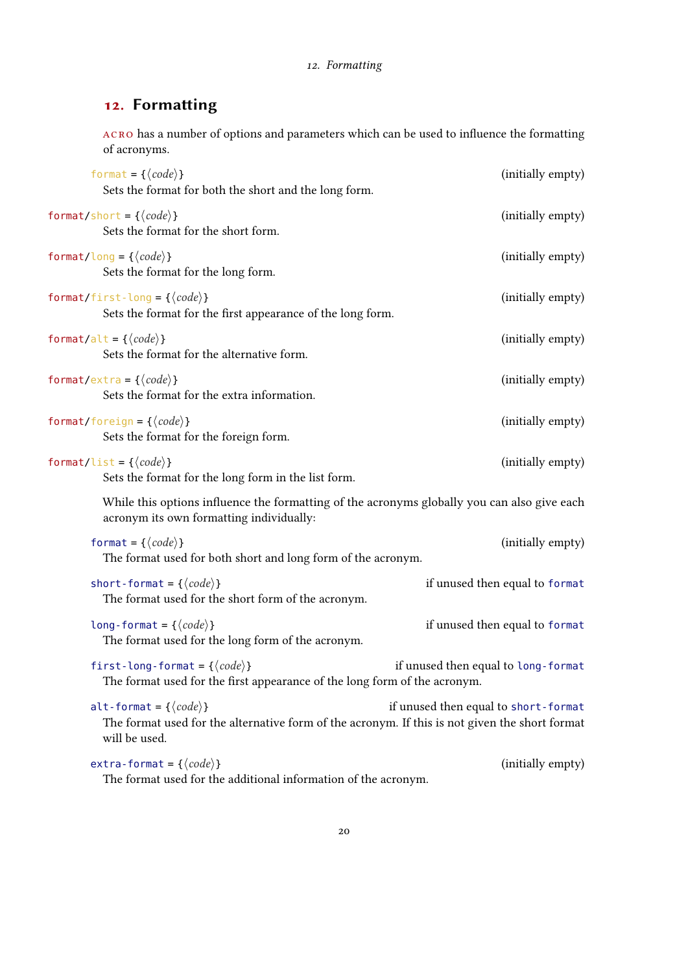## <span id="page-19-1"></span><span id="page-19-0"></span>12. Formatting

acro has a number of options and parameters which can be used to influence the formatting of acronyms.

| format = { $\langle code \rangle$ }<br>Sets the format for both the short and the long form.                                                               | (initially empty)                    |
|------------------------------------------------------------------------------------------------------------------------------------------------------------|--------------------------------------|
| format/short = { $\langle code \rangle$ }<br>Sets the format for the short form.                                                                           | (initially empty)                    |
| format/long = { $\langle code \rangle$ }<br>Sets the format for the long form.                                                                             | (initially empty)                    |
| format/first-long = { $\langle code \rangle$ }<br>Sets the format for the first appearance of the long form.                                               | (initially empty)                    |
| format/alt = { $\langle code \rangle$ }<br>Sets the format for the alternative form.                                                                       | (initially empty)                    |
| format/extra = { $\langle code \rangle$ }<br>Sets the format for the extra information.                                                                    | (initially empty)                    |
| format/foreign = { $\langle code \rangle$ }<br>Sets the format for the foreign form.                                                                       | (initially empty)                    |
| format/list = { $\langle code \rangle$ }<br>Sets the format for the long form in the list form.                                                            | (initially empty)                    |
| While this options influence the formatting of the acronyms globally you can also give each<br>acronym its own formatting individually:                    |                                      |
| format = { $\langle code \rangle$ }<br>The format used for both short and long form of the acronym.                                                        | (initially empty)                    |
| short-format = { $\langle code \rangle$ }<br>The format used for the short form of the acronym.                                                            | if unused then equal to format       |
| long-format = { $\langle code \rangle$ }<br>The format used for the long form of the acronym.                                                              | if unused then equal to format       |
| first-long-format = { $\langle code \rangle$ }<br>The format used for the first appearance of the long form of the acronym.                                | if unused then equal to long-format  |
| alt-format = { $\langle code \rangle$ }<br>The format used for the alternative form of the acronym. If this is not given the short format<br>will be used. | if unused then equal to short-format |
| extra-format = { $\langle code \rangle$ }<br>The format used for the additional information of the acronym.                                                | (initially empty)                    |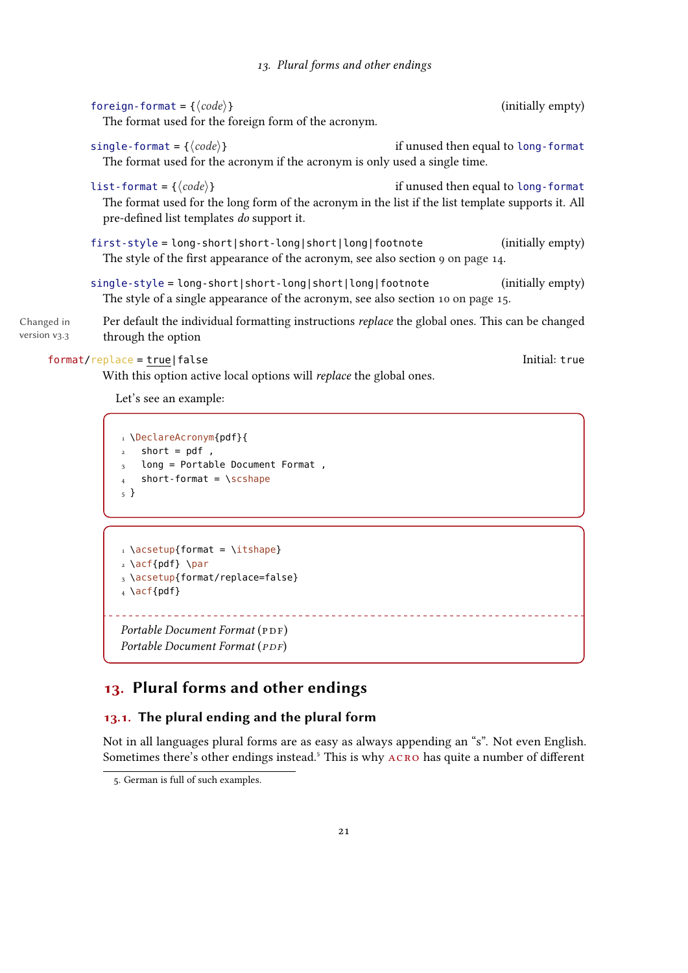<span id="page-20-3"></span>

| foreign-format = { $\langle code \rangle$ }<br>The format used for the foreign form of the acronym.                                                                                                |                                     | (initially empty) |
|----------------------------------------------------------------------------------------------------------------------------------------------------------------------------------------------------|-------------------------------------|-------------------|
| single-format = { $\langle code \rangle$ }<br>The format used for the acronym if the acronym is only used a single time.                                                                           | if unused then equal to long-format |                   |
| list-format = $\{\langle code \rangle\}$<br>The format used for the long form of the acronym in the list if the list template supports it. All<br>pre-defined list templates <i>do</i> support it. | if unused then equal to long-format |                   |
| first-style = long-short short-long short long footnote<br>The style of the first appearance of the acronym, see also section 9 on page 14.                                                        |                                     | (initially empty) |
| single-style = long-short short-long short long footnote<br>The style of a single appearance of the acronym, see also section 10 on page 15.                                                       |                                     | (initially empty) |
| Per default the individual formatting instructions <i>replace</i> the global ones. This can be changed<br>through the option                                                                       |                                     |                   |

format/replace = true|false Initial: true Initial: true

Changed in version v<sub>3</sub>.<sub>3</sub>

With this option active local options will *replace* the global ones.

Let's see an example:

```
1 \DeclareAcronym{pdf}{
2 \t short = pdf.
3 long = Portable Document Format,
4 short-format = \scshape
5 }
```
 $\iota$  \acsetup{format = \itshape}  $2 \ \left\{ pdf \right\} \ \$ 3 \acsetup{format/replace=false}  $_4 \setminus \textsf{act}\{\textsf{pdf}\}$ 

Portable Document Format [\(PDF\)](#page-57-0) Portable Document Format [\(](#page-57-0)PDF)

### <span id="page-20-0"></span>13. Plural forms and other endings

### <span id="page-20-1"></span>13.1. The plural ending and the plural form

Not in all languages plural forms are as easy as always appending an "s". Not even English. Sometimes there's other endings instead.<sup>5</sup> This is why ACRO has quite a number of different

\_\_\_\_\_\_\_\_\_\_\_\_\_\_\_\_\_\_\_\_\_\_\_\_

<span id="page-20-2"></span><sup>5.</sup> German is full of such examples.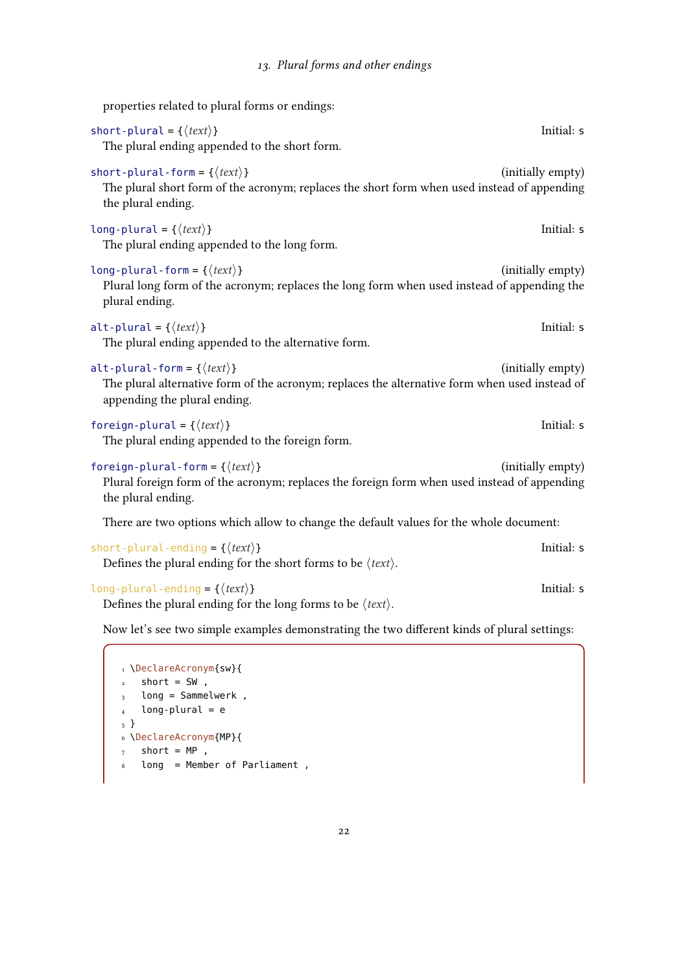<span id="page-21-0"></span>

| properties related to plural forms or endings:                                                                                                                                 |                   |
|--------------------------------------------------------------------------------------------------------------------------------------------------------------------------------|-------------------|
| short-plural = { $\langle text \rangle$ }<br>The plural ending appended to the short form.                                                                                     | Initial: s        |
| short-plural-form = { $\langle text \rangle$ }<br>The plural short form of the acronym; replaces the short form when used instead of appending<br>the plural ending.           | (initially empty) |
| long-plural = { $\langle text \rangle$ }<br>The plural ending appended to the long form.                                                                                       | Initial: s        |
| long-plural-form = { $\langle text \rangle$ }<br>Plural long form of the acronym; replaces the long form when used instead of appending the<br>plural ending.                  | (initially empty) |
| alt-plural = { $\langle text \rangle$ }<br>The plural ending appended to the alternative form.                                                                                 | Initial: s        |
| alt-plural-form = { $\langle text \rangle$ }<br>The plural alternative form of the acronym; replaces the alternative form when used instead of<br>appending the plural ending. | (initially empty) |
| foreign-plural = { $\langle text \rangle$ }<br>The plural ending appended to the foreign form.                                                                                 | Initial: s        |
| foreign-plural-form = { $\langle text \rangle$ }<br>Plural foreign form of the acronym; replaces the foreign form when used instead of appending<br>the plural ending.         | (initially empty) |
| There are two options which allow to change the default values for the whole document:                                                                                         |                   |
| short-plural-ending = { $\langle text \rangle$ }<br>Defines the plural ending for the short forms to be $\langle text \rangle$ .                                               | Initial: s        |
| long-plural-ending = { $\langle text \rangle$ }<br>Defines the plural ending for the long forms to be $\langle text \rangle$ .                                                 | Initial: s        |
| Now let's see two simple examples demonstrating the two different kinds of plural settings:                                                                                    |                   |

```
1 \DeclareAcronym{sw}{
2 short = SW,
3 long = Sammelwerk,
4 long-plural = e
5 }
6 \DeclareAcronym{MP}{
7 short = MP ,
8 long = Member of Parliament ,
```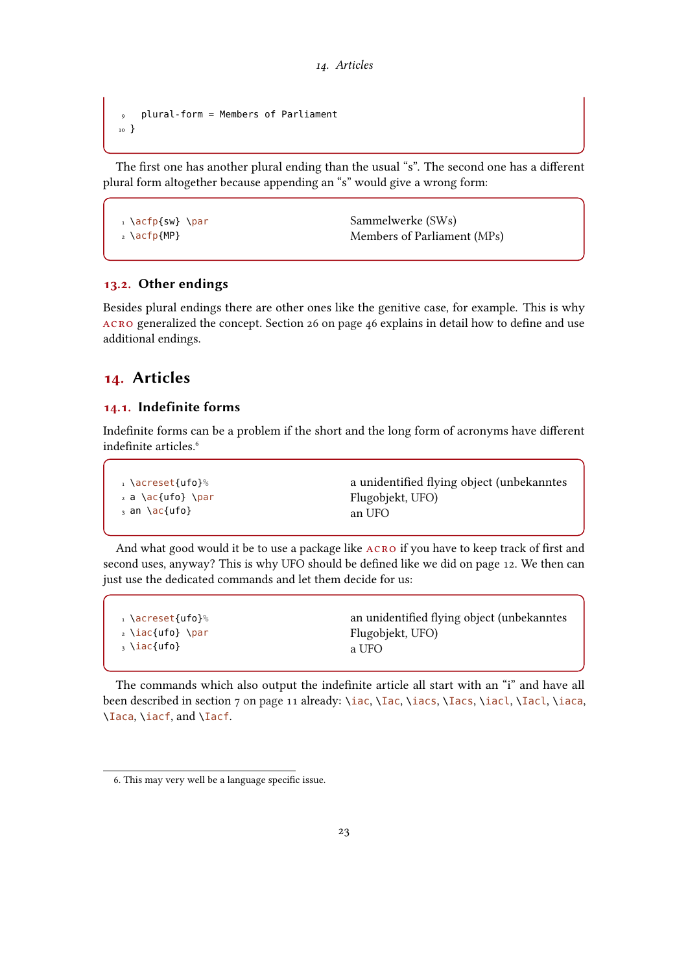```
9 plural-form = Members of Parliament
10 }
```
The first one has another plural ending than the usual "s". The second one has a different plural form altogether because appending an "s" would give a wrong form:

```
1 \acfp{sw} \par
2 \ \left\{MP\right\}Sammelwerke (SWs)
                                              Members of Parliament (MPs)
```
### <span id="page-22-0"></span>13.2. Other endings

Besides plural endings there are other ones like the genitive case, for example. This is why acro generalized the concept. Section [26 on page 46](#page-45-1) explains in detail how to define and use additional endings.

### <span id="page-22-1"></span>14. Articles

### <span id="page-22-2"></span>14.1. Indefinite forms

Indefinite forms can be a problem if the short and the long form of acronyms have different indefinite articles.<sup>6</sup>

|  | <sub>າ</sub> \acreset{ufo}%<br>2 a \ac{ufo} \par<br>βan \ac{ufo}} | a unidentified flying object (unbekanntes<br>Flugobjekt, UFO)<br>an UFO |
|--|-------------------------------------------------------------------|-------------------------------------------------------------------------|
|--|-------------------------------------------------------------------|-------------------------------------------------------------------------|

And what good would it be to use a package like acro if you have to keep track of first and second uses, anyway? This is why [UFO](#page-58-5) should be defined like we did on page [12.](#page-10-1) We then can just use the dedicated commands and let them decide for us:

The commands which also output the indefinite article all start with an "i" and have all been described in section [7 on page 11](#page-10-1) already: \iac, \Iac, \iacs, \Iacs, \iacl, \Iacl, \iaca, \Iaca, \iacf, and \Iacf.

<span id="page-22-3"></span><sup>6.</sup> This may very well be a language specific issue.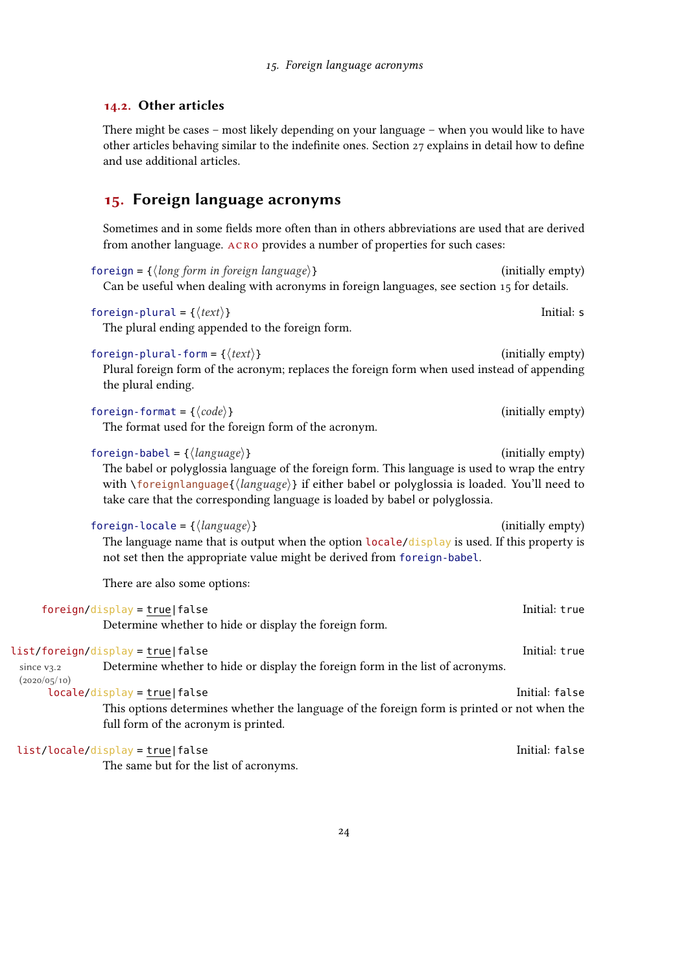#### <span id="page-23-2"></span><span id="page-23-0"></span>14.2. Other articles

There might be cases – most likely depending on your language – when you would like to have other articles behaving similar to the indefinite ones. Section [27](#page-46-0) explains in detail how to define and use additional articles.

### <span id="page-23-1"></span>15. Foreign language acronyms

Sometimes and in some fields more often than in others abbreviations are used that are derived from another language. ACRO provides a number of properties for such cases:

 $f$ oreign = { $\langle long \ form \ in \ foreign \ language\rangle$ } (initially empty) Can be useful when dealing with acronyms in foreign languages, see section [15](#page-23-1) for details. foreign-plural =  $\{\langle text \rangle\}$ The plural ending appended to the foreign form. foreign-plural-form =  $\{\langle text \rangle\}$  (initially empty) Plural foreign form of the acronym; replaces the foreign form when used instead of appending the plural ending. foreign-format =  $\{\langle code \rangle\}$  (initially empty) The format used for the foreign form of the acronym.  $f \circ \text{reign-babel} = \{\langle \text{language} \rangle\}$  (initially empty) The babel or polyglossia language of the foreign form. This language is used to wrap the entry with  $\iota$  foreignlanguage{ $\langle \langle \text{language} \rangle \rangle$  if either babel or polyglossia is loaded. You'll need to take care that the corresponding language is loaded by babel or polyglossia. foreign-locale = { $\langle \text{language} \rangle$ } (initially empty) The language name that is output when the option locale/display is used. If this property is not set then the appropriate value might be derived from foreign-babel. There are also some options: foreign/display = true|false Initial: true Initial: true Initial: true Initial: true Determine whether to hide or display the foreign form. list/foreign/display = true|false Initial: true Initial: true Determine whether to hide or display the foreign form in the list of acronyms. locale/display = true|false Initial: false Initial: false This options determines whether the language of the foreign form is printed or not when the full form of the acronym is printed.

#### list/locale/display = true|false Initial: false

since v3.2  $(2020/05/10)$ 

The same but for the list of acronyms.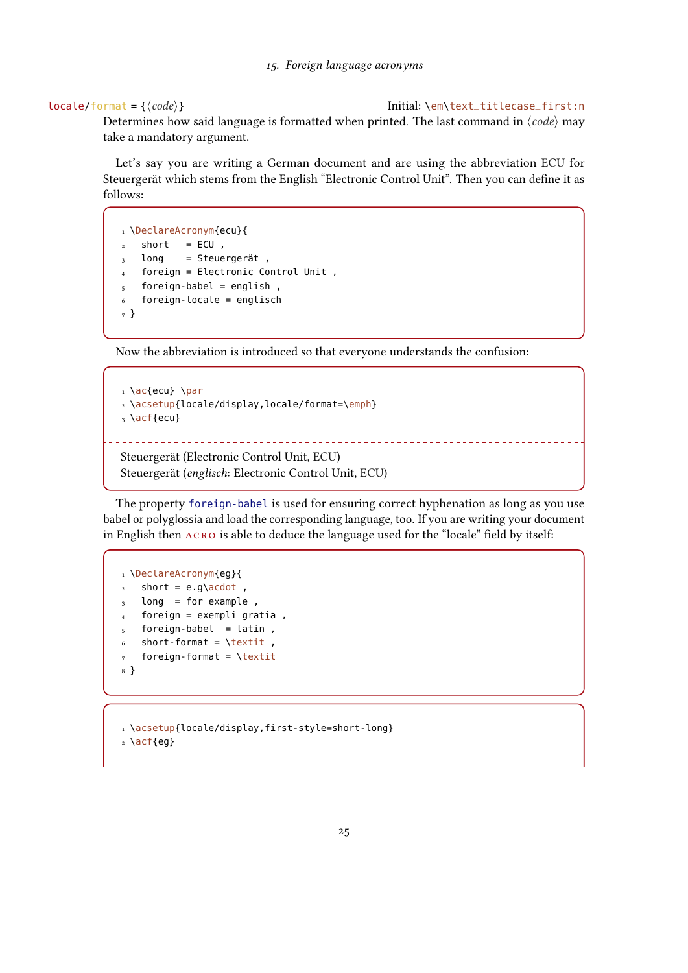locale/format = { $\{code\}$ } Initial: \em\text\_titlecase\_first:n

<span id="page-24-0"></span>Determines how said language is formatted when printed. The last command in  $\langle code \rangle$  may take a mandatory argument.

Let's say you are writing a German document and are using the abbreviation [ECU](#page-57-9) for Steuergerät which stems from the English "Electronic Control Unit". Then you can define it as follows:

```
1 \DeclareAcronym{ecu}{
2 short = ECU,
3 long = Steuergerät,
4 foreign = Electronic Control Unit ,
5 foreign-babel = english,
6 foreign-locale = englisch
7 }
```
Now the abbreviation is introduced so that everyone understands the confusion:

```
_1 \setminus ac {ecu} \par
2 \acsetup{locale/display,locale/format=\emph}
_3 \setminus \textsf{accf}\{\textsf{ecu}\}<u> 222222222222</u>
Steuergerät (Electronic Control Unit, ECU)
Steuergerät (englisch: Electronic Control Unit, ECU)
```
The property foreign-babel is used for ensuring correct hyphenation as long as you use babel or polyglossia and load the corresponding language, too. If you are writing your document in English then acro is able to deduce the language used for the "locale" field by itself:

```
1 \DeclareAcronym{eg}{
2 short = e.g\acdot,
3 long = for example,
4 foreign = exempli gratia,
5 foreign-babel = latin,
6 short-format = \text{texti}foreign.format = \text{textit}8 }
```

```
1 \acsetup{locale/display,first-style=short-long}
2 \ \text{acf{eg}}
```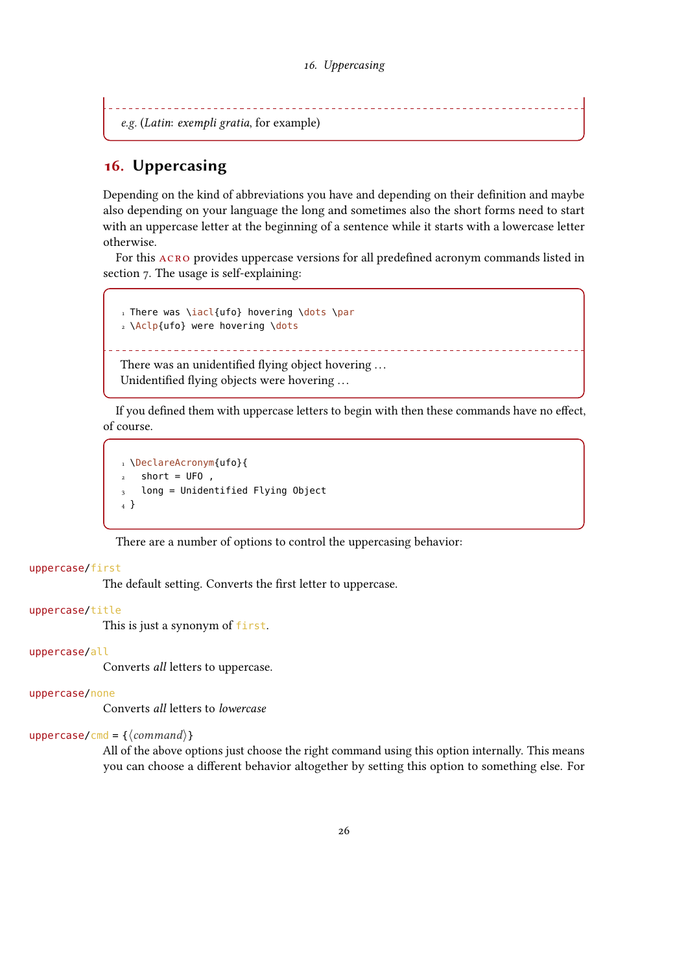<span id="page-25-1"></span>[e.g.](#page-57-10) (Latin: exempli gratia, for example)

### <span id="page-25-0"></span>16. Uppercasing

Depending on the kind of abbreviations you have and depending on their definition and maybe also depending on your language the long and sometimes also the short forms need to start with an uppercase letter at the beginning of a sentence while it starts with a lowercase letter otherwise.

For this acro provides uppercase versions for all predefined acronym commands listed in section [7.](#page-10-1) The usage is self-explaining:

```
1 There was \iacl{ufo} hovering \dots \par
2 \Aclp{ufo} were hovering \dots
                There was an unidentified flying object hovering ...
Unidentified flying objects were hovering ...
```
If you defined them with uppercase letters to begin with then these commands have no effect, of course.

```
1 \DeclareAcronym{ufo}{
2 short = UFO,
3 long = Unidentified Flying Object
4 }
```
There are a number of options to control the uppercasing behavior:

#### uppercase/first

The default setting. Converts the first letter to uppercase.

#### uppercase/title

This is just a synonym of first.

#### uppercase/all

Converts all letters to uppercase.

#### uppercase/none

Converts all letters to lowercase

#### uppercase/cmd =  $\{\langle command \rangle\}$

All of the above options just choose the right command using this option internally. This means you can choose a different behavior altogether by setting this option to something else. For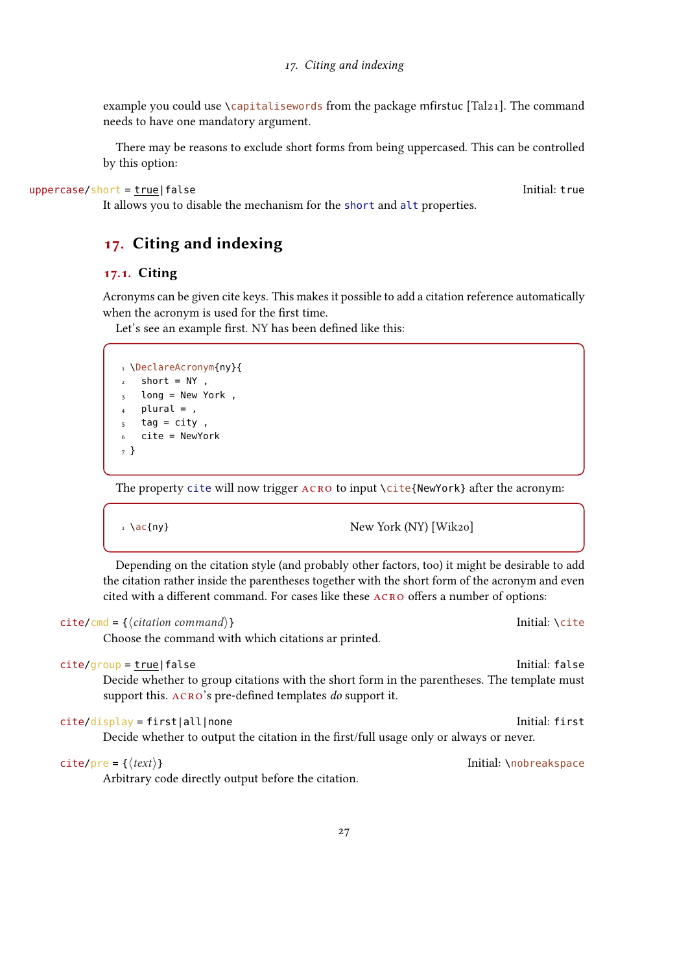<span id="page-26-2"></span>example you could use \capitalisewords from the package mfirstuc [\[Tal21\]](#page-58-7). The command needs to have one mandatory argument.

There may be reasons to exclude short forms from being uppercased. This can be controlled by this option:

```
uppercase/short = true | false
```
It allows you to disable the mechanism for the short and alt properties.

## <span id="page-26-0"></span>17. Citing and indexing

### <span id="page-26-1"></span>17.1. Citing

Acronyms can be given cite keys. This makes it possible to add a citation reference automatically when the acronym is used for the first time.

Let's see an example first. [NY](#page-18-1) has been defined like this:

```
1 \DeclareAcronym{ny}{
2 short = NY,
3 long = New York,
_4 plural = ,
5 tag = city,
  cite = NewYork
7 }
```
The property cite will now trigger ACRO to input \cite{NewYork} after the acronym:

 $1 \ \text{GeV}$  New York [\(NY\)](#page-18-1) [\[Wik20\]](#page-59-1)

Depending on the citation style (and probably other factors, too) it might be desirable to add the citation rather inside the parentheses together with the short form of the acronym and even cited with a different command. For cases like these acro offers a number of options:

#### cite/cmd = { $\{citation \, command\}$ }

Choose the command with which citations ar printed.

#### $cite/group = true | false$

Decide whether to group citations with the short form in the parentheses. The template must support this. ACRO's pre-defined templates do support it.

#### cite/display = first|all|none Initial: first Initial: first

Decide whether to output the citation in the first/full usage only or always or never.

Arbitrary code directly output before the citation.

cite/pre = { $\{text\}$ }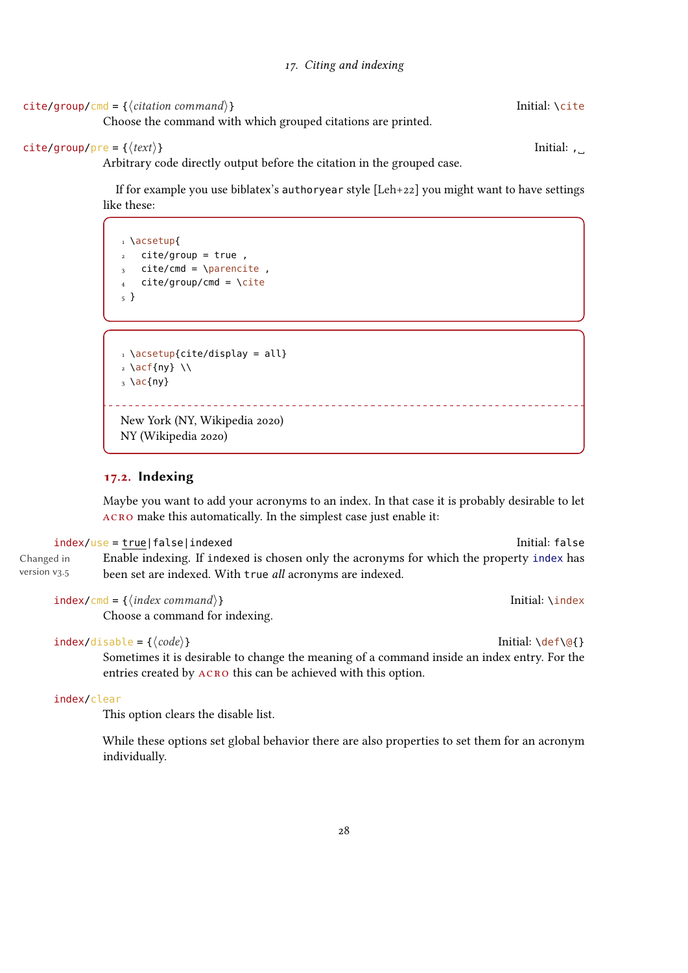#### 17. Citing and indexing

# cite/group/cmd = { $\langle$ citation command}}

<span id="page-27-1"></span>Choose the command with which grouped citations are printed.

```
\text{cite/group/pre} = \{\langle text \rangle\} Initial: ,
```
Arbitrary code directly output before the citation in the grouped case.

If for example you use biblatex's authoryear style [\[Leh+22\]](#page-58-8) you might want to have settings like these:

```
1 \acsetup{
2 cite/group = true,
3 cite/cmd = \parencite,
   cite/group/cmd = \text{cite}5 }
```

```
\frac{1}{1} \text{acceptup}{cite/display = all}
_2 \setminus \textsf{acf}\{\textsf{ny}\} \\
_3 \setminus ac{\{ny\}}New York (NY, Wikipedia 2020)
```
#### <span id="page-27-0"></span>17.2. Indexing

NY (Wikipedia 2020)

Maybe you want to add your acronyms to an index. In that case it is probably desirable to let acro make this automatically. In the simplest case just enable it:

#### index/use = true|false|indexed initial: false

Changed in version v3.5 Enable indexing. If indexed is chosen only the acronyms for which the property index has been set are indexed. With true all acronyms are indexed.

#### $index/\text{cmd} = \{\langle index\text{ command}\rangle\}$

Choose a command for indexing.

#### index/disable <sup>=</sup> {⟨code⟩} Initial: \def\@{}

Sometimes it is desirable to change the meaning of a command inside an index entry. For the entries created by acro this can be achieved with this option.

#### index/clear

This option clears the disable list.

While these options set global behavior there are also properties to set them for an acronym individually.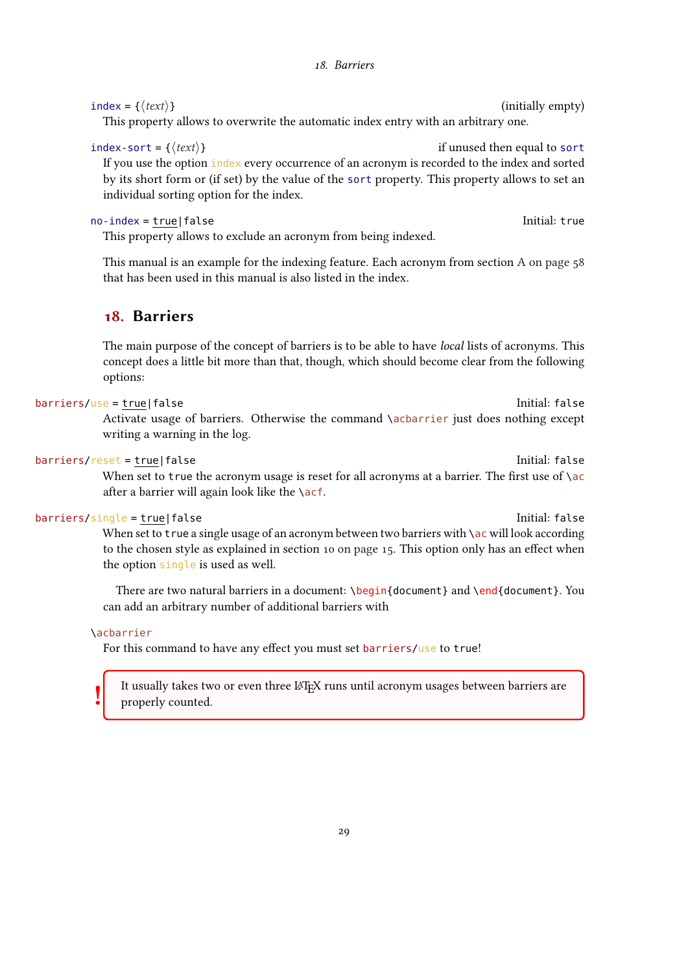#### 18. Barriers

#### <span id="page-28-1"></span> $index = \{\langle text \rangle\}$  (initially empty)

This property allows to overwrite the automatic index entry with an arbitrary one.

 $index - sort = \{(text)\}$  if unused then equal to sort

If you use the option index every occurrence of an acronym is recorded to the index and sorted by its short form or (if set) by the value of the sort property. This property allows to set an individual sorting option for the index.

#### no-index = true|false Initial: true

This property allows to exclude an acronym from being indexed.

This manual is an example for the indexing feature. Each acronym from section [A on page 58](#page-57-1) that has been used in this manual is also listed in the index.

### <span id="page-28-0"></span>18. Barriers

The main purpose of the concept of barriers is to be able to have local lists of acronyms. This concept does a little bit more than that, though, which should become clear from the following options:

#### barriers/use = true|false Initial: false

Activate usage of barriers. Otherwise the command \acbarrier just does nothing except writing a warning in the log.

#### barriers/reset = true|false Initial: false Initial: false

When set to true the acronym usage is reset for all acronyms at a barrier. The first use of  $\setminus$  ac after a barrier will again look like the  $\setminus$ acf.

#### barriers/single = true|false Initial: false Initial: false

When set to true a single usage of an acronym between two barriers with  $\a$ c will look according to the chosen style as explained in section [10 on page 15.](#page-14-0) This option only has an effect when the option single is used as well.

There are two natural barriers in a document: \begin{document} and \end{document}. You can add an arbitrary number of additional barriers with

#### \acbarrier

!

For this command to have any effect you must set barriers/use to true!

It usually takes two or even three LATEX runs until acronym usages between barriers are properly counted.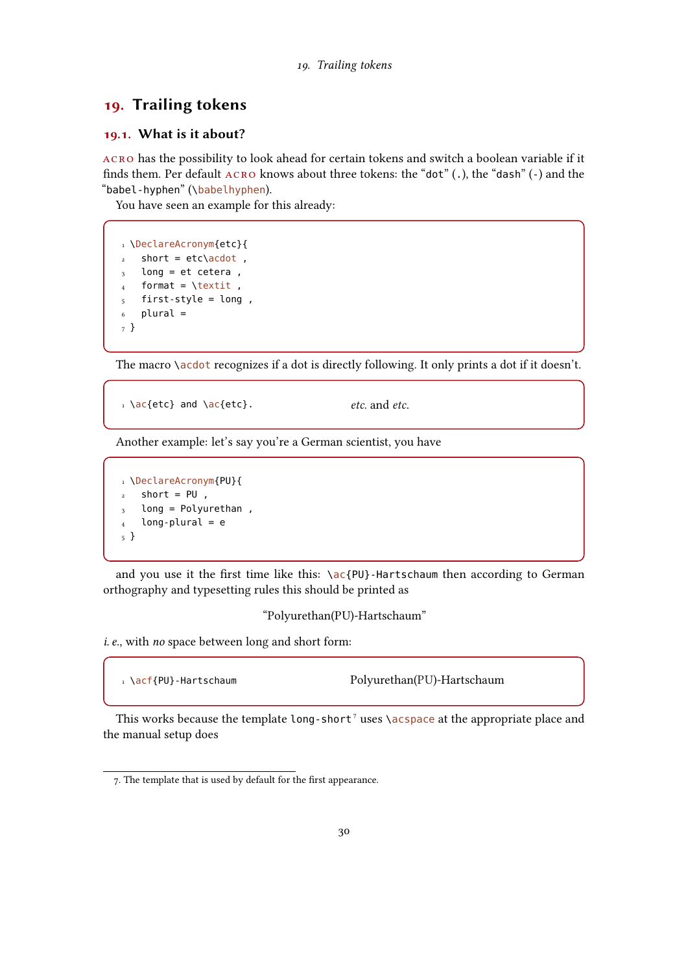### <span id="page-29-3"></span><span id="page-29-0"></span>19. Trailing tokens

#### <span id="page-29-1"></span>19.1. What is it about?

acro has the possibility to look ahead for certain tokens and switch a boolean variable if it finds them. Per default acro knows about three tokens: the "dot" (.), the "dash" (-) and the "babel-hyphen" (\babelhyphen).

You have seen an example for this already:

```
1 \DeclareAcronym{etc}{
2 short = etc\acdot,
3 long = et cetera,
  format = \text{texti},
5 first-style = long,
6 plural =
7 }
```
The macro \acdot recognizes if a dot is directly following. It only prints a dot if it doesn't.

```
\alphaetc.etc.
```
Another example: let's say you're a German scientist, you have

```
1 \DeclareAcronym{PU}{
2 short = PU,
3 long = Polyurethan,
4 long-plural = e
5 }
```
and you use it the first time like this: \ac{PU}-Hartschaum then according to German orthography and typesetting rules this should be printed as

"Polyurethan(PU)-Hartschaum"

i. e., with no space between long and short form:

| ι \acf{PU}-Hartschaum | Polyurethan(PU)-Hartschaum |
|-----------------------|----------------------------|
|                       |                            |

This works because the template long-short<sup>[7](#page-29-2)</sup> uses  $\a$ s and the appropriate place and the manual setup does

<span id="page-29-2"></span><sup>7.</sup> The template that is used by default for the first appearance.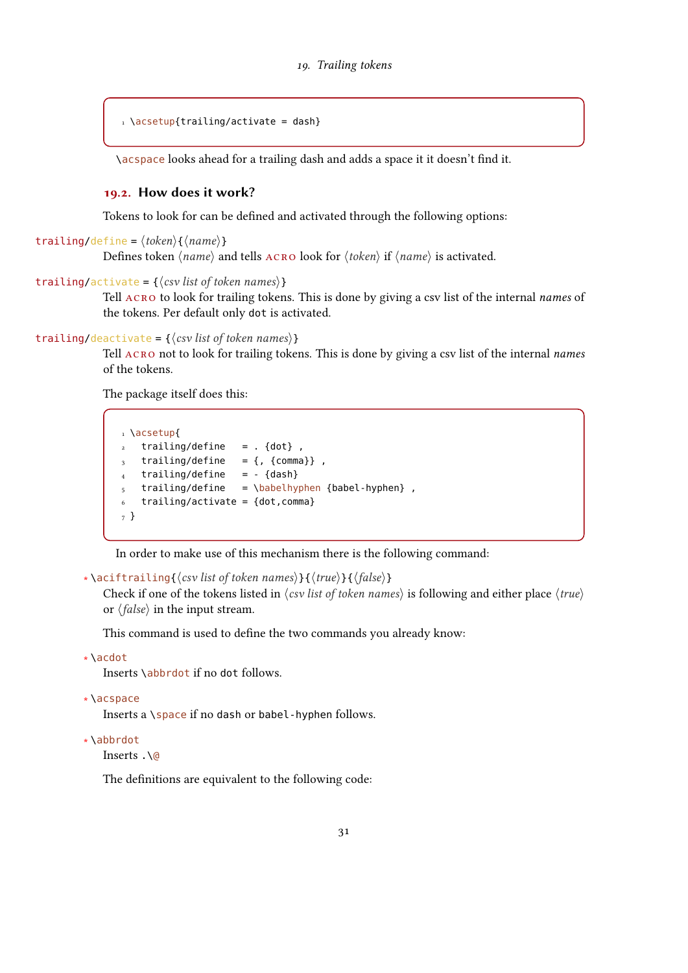```
\frac{1}{1} \text{acceptup}{trailing/activate = dash}
```
\acspace looks ahead for a trailing dash and adds a space it it doesn't find it.

#### <span id="page-30-0"></span>19.2. How does it work?

Tokens to look for can be defined and activated through the following options:

```
trailing/define = \langle \textit{token} \rangle{\langle \textit{name} \rangle}
```
Defines token  $\langle name \rangle$  and tells  $\angle$ ACRO look for  $\langle token \rangle$  if  $\langle name \rangle$  is activated.

### trailing/activate = { $\langle$ csv list of token names}}

Tell ACRO to look for trailing tokens. This is done by giving a csv list of the internal names of the tokens. Per default only dot is activated.

#### trailing/deactivate =  $\{\langle \text{csv} \text{ list of token names} \rangle\}$

Tell ACRO not to look for trailing tokens. This is done by giving a csv list of the internal names of the tokens.

The package itself does this:

```
1 \acsetup{
2 trailing/define = . {dot},
3 trailing/define = {, {comma}},
  trailing/define = - {dash}trailing/define = \b{babelhyphen {babel-hyphen},trailing/activate = {dot, comm}7 }
```
In order to make use of this mechanism there is the following command:

```
∗ \aciftrailing{⟨csv list of token names⟩}{⟨true⟩}{⟨false⟩}
```
Check if one of the tokens listed in  $\langle$ csv list of token names $\rangle$  is following and either place  $\langle$ true $\rangle$ or  $\langle false \rangle$  in the input stream.

This command is used to define the two commands you already know:

```
∗ \acdot
```
Inserts \abbrdot if no dot follows.

```
∗ \acspace
```
Inserts a \space if no dash or babel-hyphen follows.

```
∗ \abbrdot
```
Inserts .\@

The definitions are equivalent to the following code: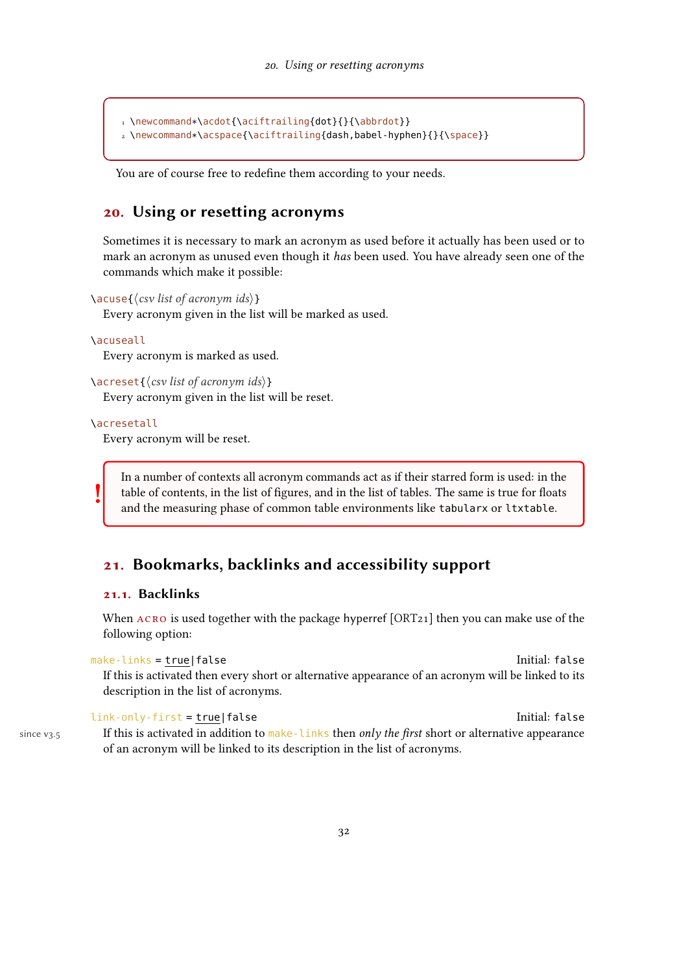```
1 \newcommand*\acdot{\aciftrailing{dot}{}{\abbrdot}}
2 \newcommand*\acspace{\aciftrailing{dash,babel-hyphen}{}{\space}}
```
You are of course free to redefine them according to your needs.

### <span id="page-31-0"></span>20. Using or resetting acronyms

Sometimes it is necessary to mark an acronym as used before it actually has been used or to mark an acronym as unused even though it has been used. You have already seen one of the commands which make it possible:

```
\{\cos\theta\}
```
Every acronym given in the list will be marked as used.

#### \acuseall

Every acronym is marked as used.

```
\langle acreset\{\langle \text{csv} \rangle\}
```
Every acronym given in the list will be reset.

#### \acresetall

!

Every acronym will be reset.

In a number of contexts all acronym commands act as if their starred form is used: in the table of contents, in the list of figures, and in the list of tables. The same is true for floats and the measuring phase of common table environments like tabularx or ltxtable.

### <span id="page-31-1"></span>21. Bookmarks, backlinks and accessibility support

### <span id="page-31-2"></span>21.1. Backlinks

When  $ACRO$  is used together with the package hyperref  $[ORT21]$  then you can make use of the following option:

```
make-links = true|false Initial: false
```
If this is activated then every short or alternative appearance of an acronym will be linked to its description in the list of acronyms.

```
link-only-first = true|false Initial: false
since v_3.5 If this is activated in addition to make-links then only the first short or alternative appearance
             of an acronym will be linked to its description in the list of acronyms.
```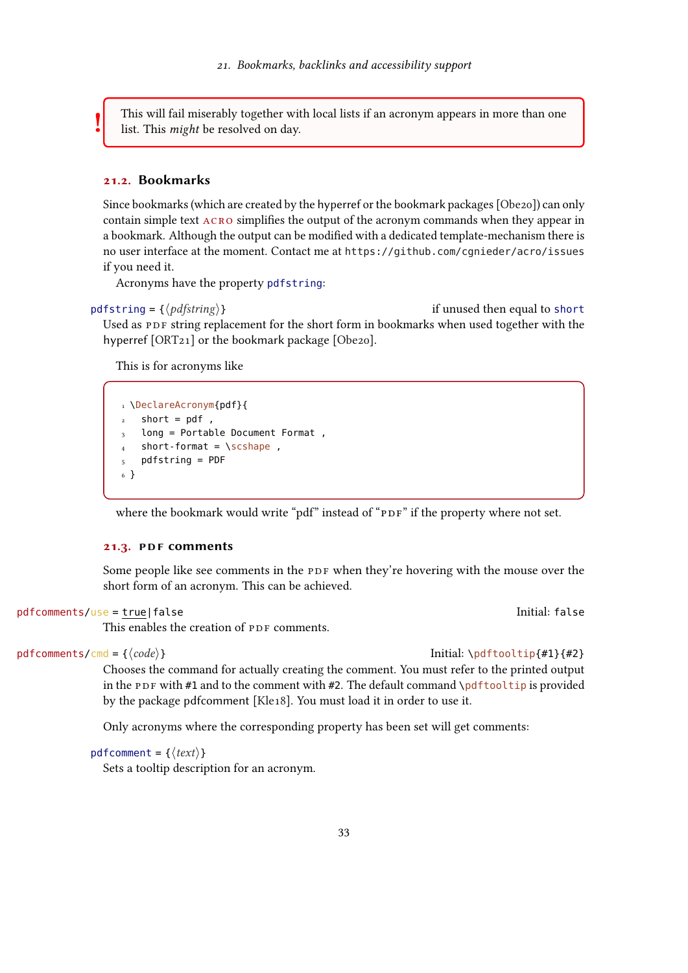<span id="page-32-2"></span>This will fail miserably together with local lists if an acronym appears in more than one list. This might be resolved on day.

#### <span id="page-32-0"></span>21.2. Bookmarks

!

Since bookmarks (which are created by the hyperref or the bookmark packages [\[Obe20\]](#page-58-2)) can only contain simple text acro simplifies the output of the acronym commands when they appear in a bookmark. Although the output can be modified with a dedicated template-mechanism there is no user interface at the moment. Contact me at <https://github.com/cgnieder/acro/issues> if you need it.

Acronyms have the property pdfstring:

pdfstring =  $\{\langle pdfstring \rangle\}$  if unused then equal to short

Used as [PDF](#page-57-0) string replacement for the short form in bookmarks when used together with the hyperref [\[ORT21\]](#page-58-1) or the bookmark package [\[Obe20\]](#page-58-2).

This is for acronyms like

```
1 \DeclareAcronym{pdf}{
   short = pdf,
   long = Portable Document Format,
   short-format = \simeq5 pdfstring = PDF
6 }
```
where the bookmark would write "pdf" instead of "PDF" if the property where not set.

#### <span id="page-32-1"></span>21.3. PDF comments

Some people like see comments in the [PDF](#page-57-0) when they're hovering with the mouse over the short form of an acronym. This can be achieved.

pdfcomments/use = true|false Initial: false

This enables the creation of [PDF](#page-57-0) comments.

pdfcomments/cmd = { $\{code\}$ }

Chooses the command for actually creating the comment. You must refer to the printed output in the [PDF](#page-57-0) with #1 and to the comment with #2. The default command \pdftooltip is provided by the package pdfcomment [\[Kle18\]](#page-58-10). You must load it in order to use it.

Only acronyms where the corresponding property has been set will get comments:

pdfcomment = { $\langle text \rangle$ }

Sets a tooltip description for an acronym.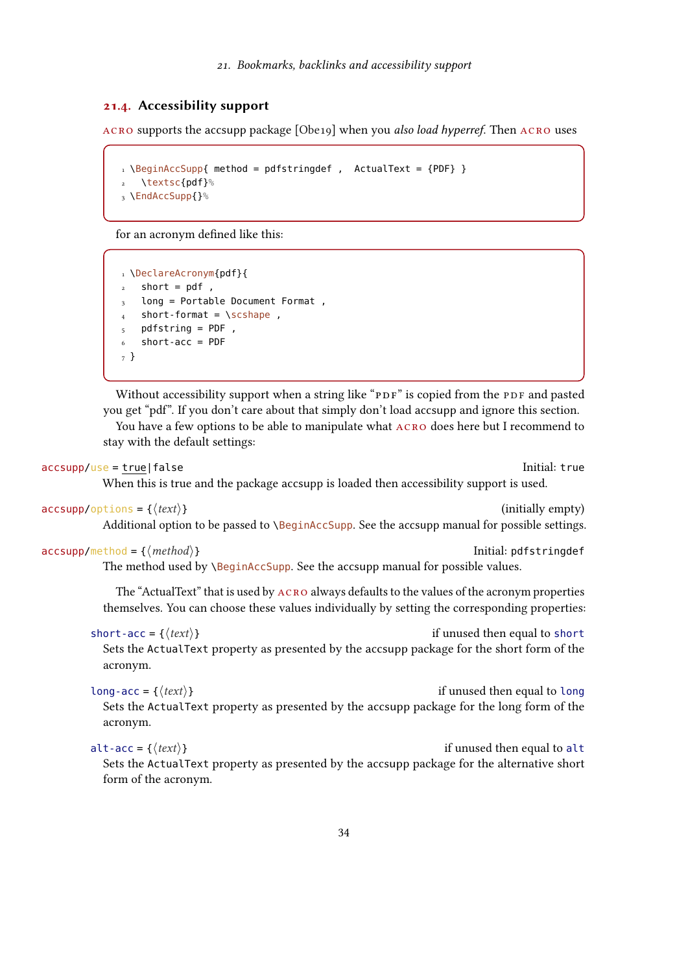#### <span id="page-33-1"></span><span id="page-33-0"></span>21.4. Accessibility support

acro supports the accsupp package [\[Obe19\]](#page-58-11) when you also load hyperref. Then acro uses

```
\iota \BeginAccSupp{ method = pdfstringdef , ActualText = {PDF} }
2 \textsc{pdf}%
3 \EndAccSupp{}%
```
for an acronym defined like this:

```
1 \DeclareAcronym{pdf}{
2 short = pdf,
3 long = Portable Document Format,
4 short-format = \simeqpdfstring = PDF,
  short\text{-}acc = PDF
7 }
```
Without accessibility support when a string like "[PDF](#page-57-0)" is copied from the PDF and pasted you get "pdf". If you don't care about that simply don't load accsupp and ignore this section. You have a few options to be able to manipulate what ACRO does here but I recommend to stay with the default settings:

```
accsupp/use = true|false Initial: true in the Initial: true Initial: true Initial: true
         When this is true and the package accsupp is loaded then accessibility support is used.
\text{accept}(\text{optimality empty}) (initially empty)
         Additional option to be passed to \BeqinAccSupp. See the accsupp manual for possible settings.
accsupp/method = {\langle method\rangle}
         The method used by \BeqinAccSupp. See the accsupp manual for possible values.
```
The "ActualText" that is used by acro always defaults to the values of the acronym properties themselves. You can choose these values individually by setting the corresponding properties:

short-acc =  $\{\langle text \rangle\}$  if unused then equal to short Sets the ActualText property as presented by the accsupp package for the short form of the acronym.

long-acc = { $\{text(\textit{text})\}$  if unused then equal to long Sets the ActualText property as presented by the accsupp package for the long form of the acronym.

alt-acc =  $\{\langle text \rangle\}$  if unused then equal to alt Sets the ActualText property as presented by the accsupp package for the alternative short form of the acronym.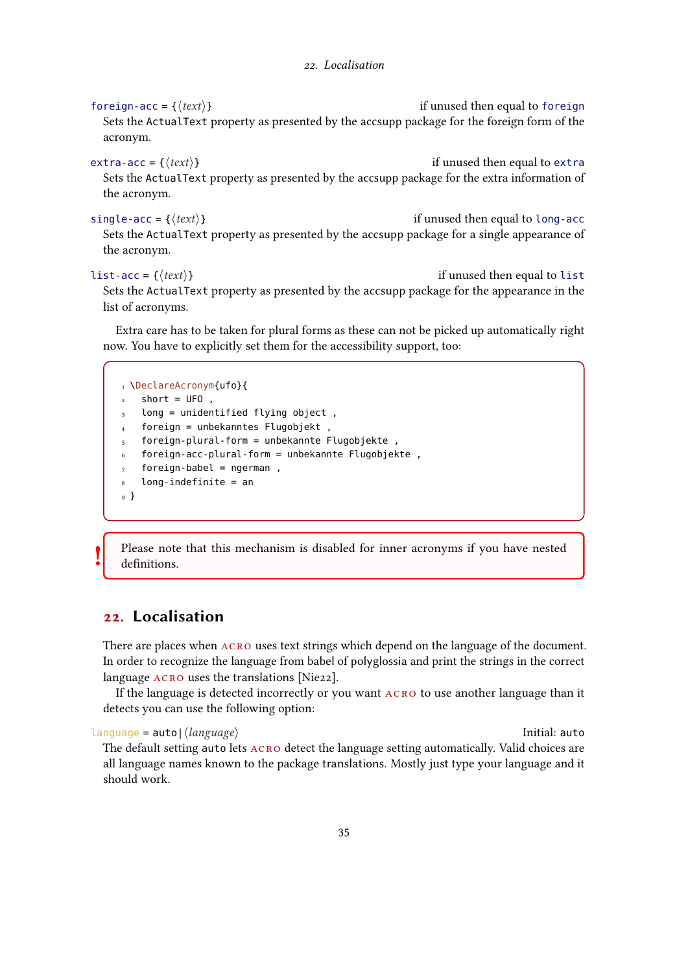<span id="page-34-1"></span>foreign-acc =  $\{\langle text \rangle\}$  if unused then equal to foreign Sets the ActualText property as presented by the accsupp package for the foreign form of the acronym.  $\text{extra} - \text{acc} = \{\langle \text{text}\rangle\}$  if unused then equal to extra Sets the ActualText property as presented by the accsupp package for the extra information of the acronym. single-acc =  $\{\langle text \rangle\}$  if unused then equal to long-acc Sets the ActualText property as presented by the accsupp package for a single appearance of the acronym.

list-acc = { $\{text{text}\}$ }

Sets the ActualText property as presented by the accsupp package for the appearance in the list of acronyms.

Extra care has to be taken for plural forms as these can not be picked up automatically right now. You have to explicitly set them for the accessibility support, too:

```
1 \DeclareAcronym{ufo}{
2 short = UFO,
3 long = unidentified flying object,
4 foreign = unbekanntes Flugobjekt,
_5 foreign-plural-form = unbekannte Flugobjekte ,
6 foreign-acc-plural-form = unbekannte Flugobjekte ,
7 foreign-babel = ngerman,
8 long-indefinite = an
9 }
```
Please note that this mechanism is disabled for inner acronyms if you have nested definitions.

### <span id="page-34-0"></span>22. Localisation

!

There are places when  $ACRO$  uses text strings which depend on the language of the document. In order to recognize the language from babel of polyglossia and print the strings in the correct language ACRO uses the translations [\[Nie22\]](#page-58-12).

If the language is detected incorrectly or you want acro to use another language than it detects you can use the following option:

language = auto|⟨language⟩ Initial: auto The default setting auto lets acro detect the language setting automatically. Valid choices are all language names known to the package translations. Mostly just type your language and it should work.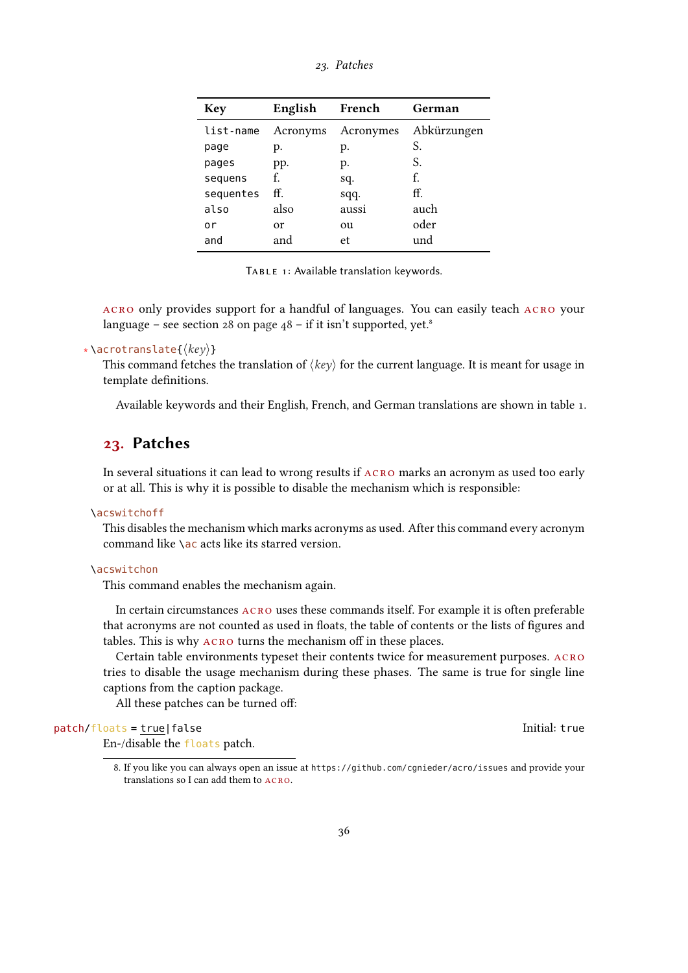| 23. Patches |
|-------------|
|             |

<span id="page-35-3"></span>

| English  | French    | German      |
|----------|-----------|-------------|
| Acronyms | Acronymes | Abkürzungen |
| p.       | p.        | S.          |
| pp.      | p.        | S.          |
| f.       | sq.       | f.          |
| ff.      | sqq.      | ff.         |
| also     | aussi     | auch        |
| or       | ou        | oder        |
| and      | et        | und         |
|          |           |             |

<span id="page-35-2"></span>TABLE 1: Available translation keywords.

acro only provides support for a handful of languages. You can easily teach acro your language – see section 28 on page  $48 - if$  it isn't supported, yet.<sup>8</sup>

### ∗ \acrotranslate{⟨key⟩}

This command fetches the translation of  $\langle \text{key} \rangle$  for the current language. It is meant for usage in template definitions.

Available keywords and their English, French, and German translations are shown in table [1.](#page-35-2)

### <span id="page-35-0"></span>23. Patches

In several situations it can lead to wrong results if acro marks an acronym as used too early or at all. This is why it is possible to disable the mechanism which is responsible:

#### \acswitchoff

This disables the mechanism which marks acronyms as used. After this command every acronym command like \ac acts like its starred version.

#### \acswitchon

This command enables the mechanism again.

In certain circumstances acro uses these commands itself. For example it is often preferable that acronyms are not counted as used in floats, the table of contents or the lists of figures and tables. This is why acro turns the mechanism off in these places.

Certain table environments typeset their contents twice for measurement purposes. acro tries to disable the usage mechanism during these phases. The same is true for single line captions from the caption package.

All these patches can be turned off:

patch/floats = true|false Initial: true Initial: true

En-/disable the floats patch.

<span id="page-35-1"></span><sup>8.</sup> If you like you can always open an issue at <https://github.com/cgnieder/acro/issues> and provide your translations so I can add them to acro.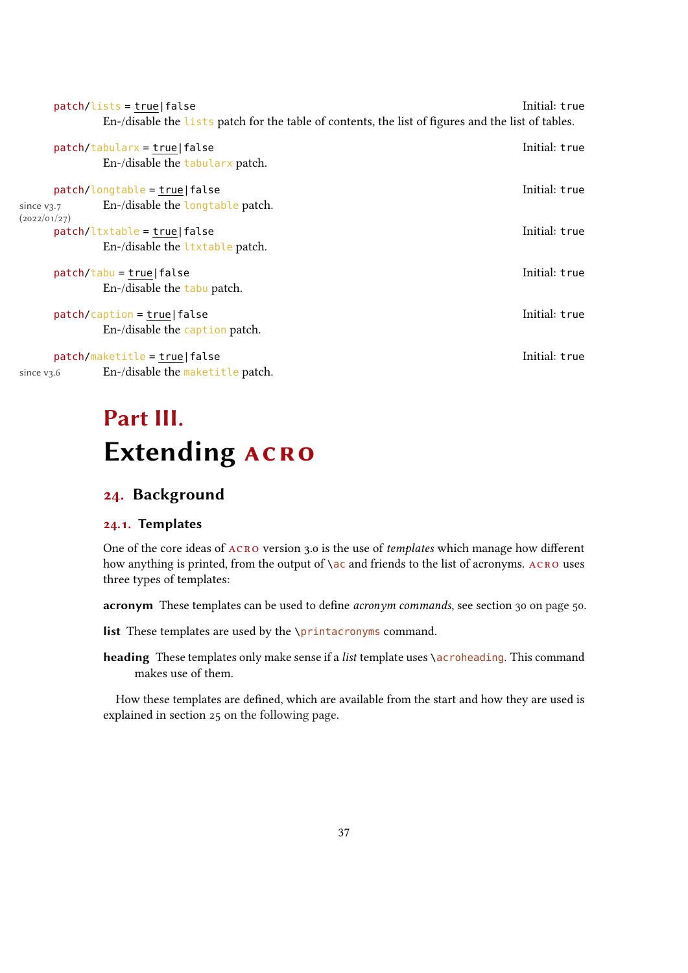<span id="page-36-3"></span>

|                               | $patch/lists = true false$       | Initial: true<br>En-/disable the lists patch for the table of contents, the list of figures and the list of tables. |
|-------------------------------|----------------------------------|---------------------------------------------------------------------------------------------------------------------|
|                               |                                  |                                                                                                                     |
|                               | $patch/tabularx = true false$    | Initial: true                                                                                                       |
|                               | En-/disable the tabularx patch.  |                                                                                                                     |
|                               | patch/longtable = true false     | Initial: true                                                                                                       |
| since $v_3.7$<br>(2022/01/27) | En-/disable the longtable patch. |                                                                                                                     |
|                               | $patch/l$ txtable = true false   | Initial: true                                                                                                       |
|                               | En-/disable the ltxtable patch.  |                                                                                                                     |
|                               | $patch / tabu = true   false$    | Initial: true                                                                                                       |
|                               | En-/disable the tabu patch.      |                                                                                                                     |
|                               | $patch/caption = true   false$   | Initial: true                                                                                                       |
|                               | En-/disable the caption patch.   |                                                                                                                     |
|                               | patch/maketitle = true false     | Initial: true                                                                                                       |
| since $v_3.6$                 | En-/disable the maketitle patch. |                                                                                                                     |

# <span id="page-36-0"></span>Part III. **Extending ACRO**

### <span id="page-36-1"></span>24. Background

### <span id="page-36-2"></span>24.1. Templates

One of the core ideas of ACRO version 3.0 is the use of templates which manage how different how anything is printed, from the output of  $\a$  and friends to the list of acronyms. ACRO uses three types of templates:

acronym These templates can be used to define acronym commands, see section [30 on page 50.](#page-49-0)

list These templates are used by the \printacronyms command.

heading These templates only make sense if a list template uses \acroheading. This command makes use of them.

How these templates are defined, which are available from the start and how they are used is explained in section [25 on the following page.](#page-37-1)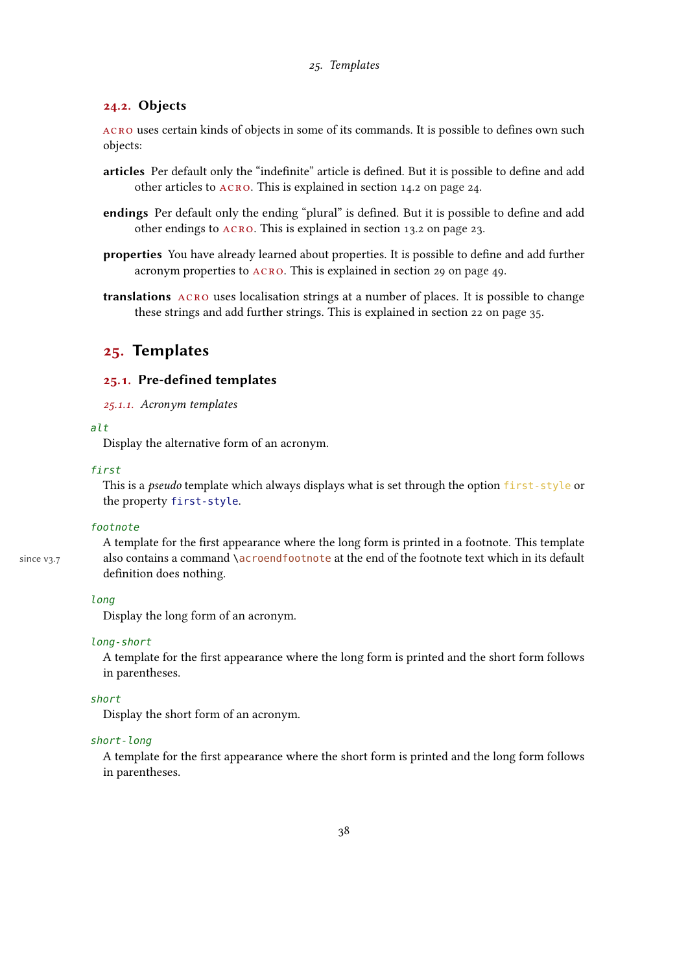#### 25. Templates

#### <span id="page-37-4"></span><span id="page-37-0"></span>24.2. Objects

acro uses certain kinds of objects in some of its commands. It is possible to defines own such objects:

- articles Per default only the "indefinite" article is defined. But it is possible to define and add other articles to acro. This is explained in section [14.2 on page 24.](#page-23-0)
- endings Per default only the ending "plural" is defined. But it is possible to define and add other endings to acro. This is explained in section [13.2 on page 23.](#page-22-0)
- properties You have already learned about properties. It is possible to define and add further acronym properties to ACRO. This is explained in section [29 on page 49.](#page-48-0)
- translations ACRO uses localisation strings at a number of places. It is possible to change these strings and add further strings. This is explained in section [22 on page 35.](#page-34-0)

### <span id="page-37-1"></span>25. Templates

#### <span id="page-37-2"></span>25.1. Pre-defined templates

<span id="page-37-3"></span>25.1.1. Acronym templates

#### alt

Display the alternative form of an acronym.

#### first

This is a *pseudo* template which always displays what is set through the option first-style or the property first-style.

#### footnote

A template for the first appearance where the long form is printed in a footnote. This template since v3.7 also contains a command \acroendfootnote at the end of the footnote text which in its default definition does nothing.

#### long

Display the long form of an acronym.

#### long-short

A template for the first appearance where the long form is printed and the short form follows in parentheses.

#### short

Display the short form of an acronym.

#### short-long

A template for the first appearance where the short form is printed and the long form follows in parentheses.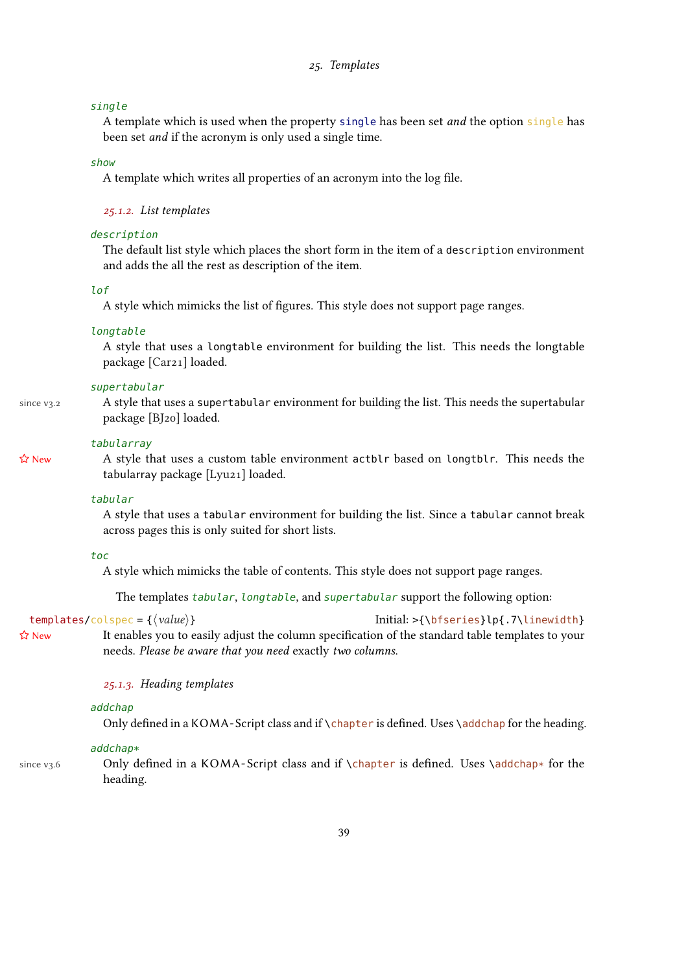#### <span id="page-38-2"></span>single

A template which is used when the property single has been set *and* the option single has been set and if the acronym is only used a single time.

#### show

A template which writes all properties of an acronym into the log file.

#### <span id="page-38-0"></span>25.1.2. List templates

#### description

The default list style which places the short form in the item of a description environment and adds the all the rest as description of the item.

#### lof

A style which mimicks the list of figures. This style does not support page ranges.

#### **lonatable**

A style that uses a longtable environment for building the list. This needs the longtable package [\[Car21\]](#page-58-13) loaded.

#### supertabular

since v<sub>3</sub>.2</sub> A style that uses a supertabular environment for building the list. This needs the supertabular package [\[BJ20\]](#page-58-14) loaded.

#### tabularray

 New A style that uses a custom table environment actblr based on longtblr. This needs the tabularray package [\[Lyu21\]](#page-58-15) loaded.

#### tabular

A style that uses a tabular environment for building the list. Since a tabular cannot break across pages this is only suited for short lists.

#### toc

A style which mimicks the table of contents. This style does not support page ranges.

The templates tabular, longtable, and supertabular support the following option:

templates/colspec =  ${\value}$ } Initial: >{\bfseries}lp{.7\linewidth}

 $\hat{\varphi}$  New It enables you to easily adjust the column specification of the standard table templates to your needs. Please be aware that you need exactly two columns.

#### <span id="page-38-1"></span>25.1.3. Heading templates

#### addchap

Only defined in a KOMA-Script class and if  $\change$ chapter is defined. Uses  $\add$ chap for the heading.

#### addchap\*

since v3.6 Only defined in a KOMA-Script class and if \chapter is defined. Uses \addchap\* for the heading.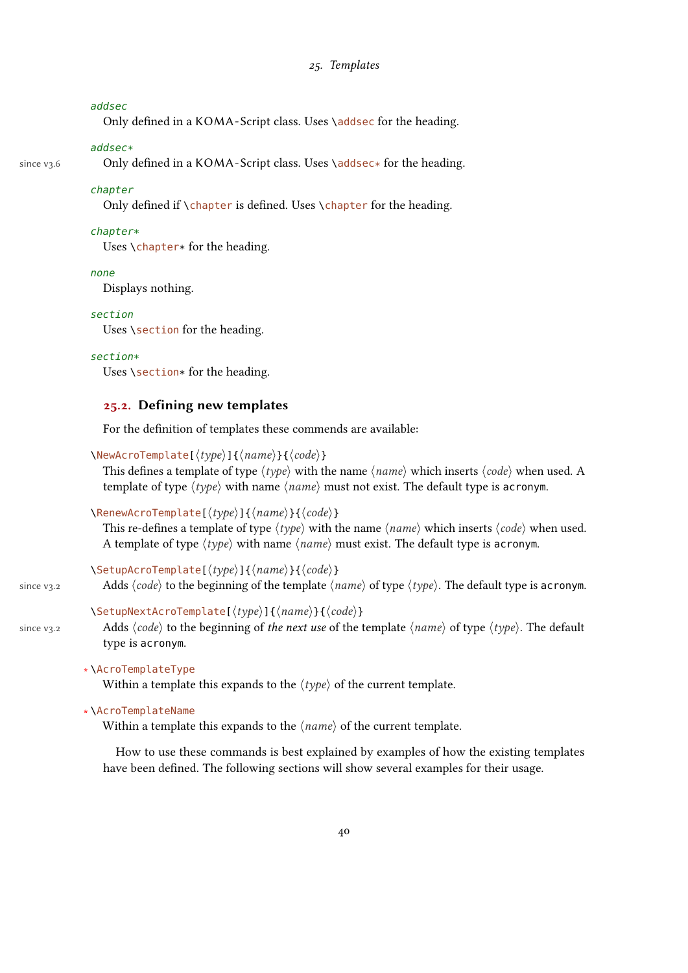#### <span id="page-39-1"></span>addsec

Only defined in a KOMA-Script class. Uses \addsec for the heading.

#### addsec\*

since v3.6 Only defined in a KOMA-Script class. Uses \addsec\* for the heading.

#### chapter

Only defined if \chapter is defined. Uses \chapter for the heading.

#### chapter\*

Uses \chapter\* for the heading.

#### none

Displays nothing.

#### section

Uses \section for the heading.

#### section\*

Uses \section\* for the heading.

#### <span id="page-39-0"></span>25.2. Defining new templates

For the definition of templates these commends are available:

```
\NewAcroTemplate[⟨type⟩]{⟨name⟩}{⟨code⟩}
```

```
This defines a template of type \langle type \rangle with the name \langle name \rangle which inserts \langle code \rangle when used. A
template of type \langle type \rangle with name \langle name \rangle must not exist. The default type is acronym.
```
#### \RenewAcroTemplate[⟨type⟩]{⟨name⟩}{⟨code⟩}

This re-defines a template of type  $\langle type \rangle$  with the name  $\langle name \rangle$  which inserts  $\langle code \rangle$  when used. A template of type  $\langle type \rangle$  with name  $\langle name \rangle$  must exist. The default type is acronym.

```
\SetupAcroTemplate[⟨type⟩]{⟨name⟩}{⟨code⟩}
since v3.2 Adds \langle code \rangle to the beginning of the template \langle name \rangle of type \langle type \rangle. The default type is acronym.
```
#### \SetupNextAcroTemplate[⟨type⟩]{⟨name⟩}{⟨code⟩}

since v3.2 Adds  $\langle code \rangle$  to the beginning of the next use of the template  $\langle name \rangle$  of type  $\langle type \rangle$ . The default type is acronym.

#### ∗ \AcroTemplateType

Within a template this expands to the  $\langle type \rangle$  of the current template.

#### ∗ \AcroTemplateName

Within a template this expands to the  $\langle name \rangle$  of the current template.

How to use these commands is best explained by examples of how the existing templates have been defined. The following sections will show several examples for their usage.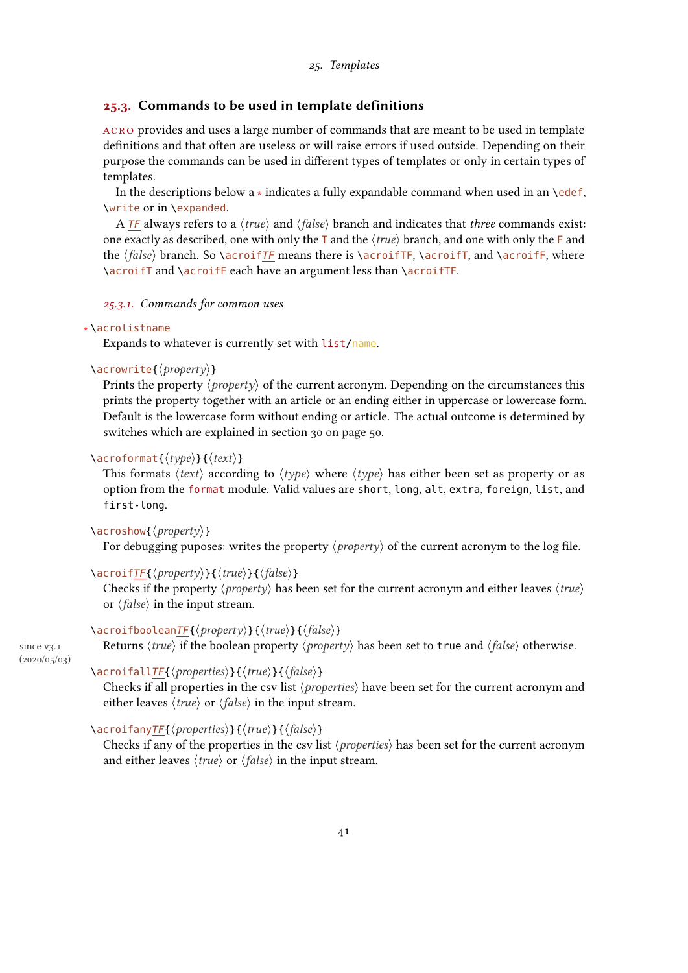#### <span id="page-40-2"></span><span id="page-40-0"></span>25.3. Commands to be used in template definitions

acro provides and uses a large number of commands that are meant to be used in template definitions and that often are useless or will raise errors if used outside. Depending on their purpose the commands can be used in different types of templates or only in certain types of templates.

In the descriptions below a ∗ indicates a fully expandable command when used in an \edef, \write or in \expanded.

A TF always refers to a  $\langle true \rangle$  and  $\langle false \rangle$  branch and indicates that three commands exist: one exactly as described, one with only the  $\top$  and the  $\langle true \rangle$  branch, and one with only the  $\top$  and the  $\frac{false}{brace}$  branch. So \acroifTF means there is \acroifTF, \acroifT, and \acroifF, where \acroifT and \acroifF each have an argument less than \acroifTF.

<span id="page-40-1"></span>25.3.1. Commands for common uses

#### ∗ \acrolistname

Expands to whatever is currently set with list/name.

#### \acrowrite{⟨property⟩}

Prints the property  $\langle property \rangle$  of the current acronym. Depending on the circumstances this prints the property together with an article or an ending either in uppercase or lowercase form. Default is the lowercase form without ending or article. The actual outcome is determined by switches which are explained in section [30 on page 50.](#page-49-0)

#### \acroformat{⟨type⟩}{⟨text⟩}

This formats  $\langle text \rangle$  according to  $\langle type \rangle$  where  $\langle type \rangle$  has either been set as property or as option from the format module. Valid values are short, long, alt, extra, foreign, list, and first-long.

#### \acroshow{⟨property⟩}

For debugging puposes: writes the property  $\langle property \rangle$  of the current acronym to the log file.

#### \acroifTF{⟨property⟩}{⟨true⟩}{⟨false⟩}

Checks if the property  $\langle property \rangle$  has been set for the current acronym and either leaves  $\langle true \rangle$ or  $\langle false \rangle$  in the input stream.

#### \acroifbooleanTF{⟨property⟩}{⟨true⟩}{⟨false⟩}

Returns  $\langle true \rangle$  if the boolean property  $\langle property \rangle$  has been set to true and  $\langle false \rangle$  otherwise.

#### since v<sub>3</sub>.1 (2020/05/03)

\acroifallTF{⟨properties⟩}{⟨true⟩}{⟨false⟩}

Checks if all properties in the csv list  $\langle properties \rangle$  have been set for the current acronym and either leaves  $\langle true \rangle$  or  $\langle false \rangle$  in the input stream.

#### \acroifanyTF{⟨properties⟩}{⟨true⟩}{⟨false⟩}

Checks if any of the properties in the csv list  $\langle properties \rangle$  has been set for the current acronym and either leaves  $\langle true \rangle$  or  $\langle false \rangle$  in the input stream.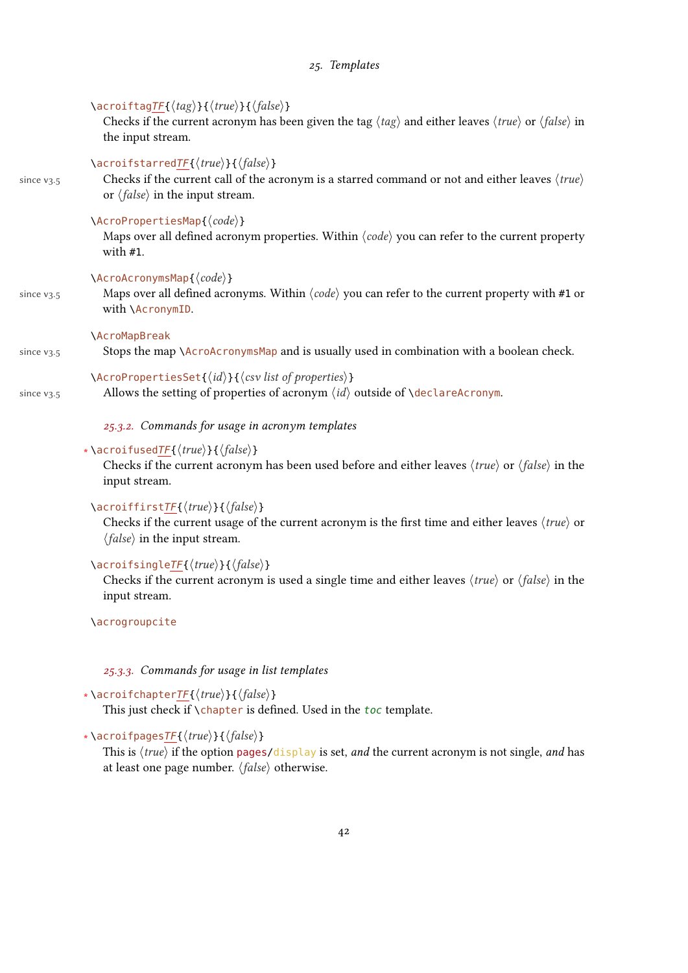| 25. Templates |
|---------------|
|               |

<span id="page-41-2"></span>

|                         | \acroiftagTF{ $\langle tag \rangle$ }{ $\langle true \rangle$ }{ $\langle false \rangle$ }<br>Checks if the current acronym has been given the tag $\langle tag \rangle$ and either leaves $\langle true \rangle$ or $\langle false \rangle$ in<br>the input stream. |
|-------------------------|----------------------------------------------------------------------------------------------------------------------------------------------------------------------------------------------------------------------------------------------------------------------|
| since $v3.5$            | \acroifstarredTF{\true\}{\false\}<br>Checks if the current call of the acronym is a starred command or not and either leaves $\langle true \rangle$<br>or $\langle false \rangle$ in the input stream.                                                               |
|                         | $\text{AcroPropertiesMap}(\text{code})$<br>Maps over all defined acronym properties. Within $\langle code \rangle$ you can refer to the current property<br>with $#1$ .                                                                                              |
| since v <sub>3.5</sub>  | \AcroAcronymsMap{ $\langle code \rangle$ }<br>Maps over all defined acronyms. Within $\langle code \rangle$ you can refer to the current property with #1 or<br>with \AcronymID.                                                                                     |
| since v <sub>3</sub> .5 | <b>\AcroMapBreak</b><br>Stops the map \AcroAcronymsMap and is usually used in combination with a boolean check.                                                                                                                                                      |
| since $v3.5$            | $\text{AcoroporphismsSet}\{\langle id \rangle\}\{\langle \text{csv} \text{ list of properties} \rangle\}$<br>Allows the setting of properties of acronym $\langle id \rangle$ outside of $\d$ eclareAcronym.                                                         |
|                         | 25.3.2. Commands for usage in acronym templates                                                                                                                                                                                                                      |
|                         | *\acroifusedTF{ $\langle true \rangle$ }{ $\langle false \rangle$ }<br>Checks if the current acronym has been used before and either leaves $\langle true \rangle$ or $\langle false \rangle$ in the<br>input stream.                                                |

#### <span id="page-41-0"></span>\acroiffirstTF{⟨true⟩}{⟨false⟩}

Checks if the current usage of the current acronym is the first time and either leaves ⟨true⟩ or ⟨false⟩ in the input stream.

### \acroifsingleTF{⟨true⟩}{⟨false⟩}

Checks if the current acronym is used a single time and either leaves  $\langle true \rangle$  or  $\langle false \rangle$  in the input stream.

\acrogroupcite

### <span id="page-41-1"></span>25.3.3. Commands for usage in list templates

```
∗ \acroifchapterTF{⟨true⟩}{⟨false⟩}
   This just check if \chapter is defined. Used in the toc template.
```
∗ \acroifpagesTF{⟨true⟩}{⟨false⟩}

This is  $\langle true \rangle$  if the option pages/display is set, and the current acronym is not single, and has at least one page number. ⟨false⟩ otherwise.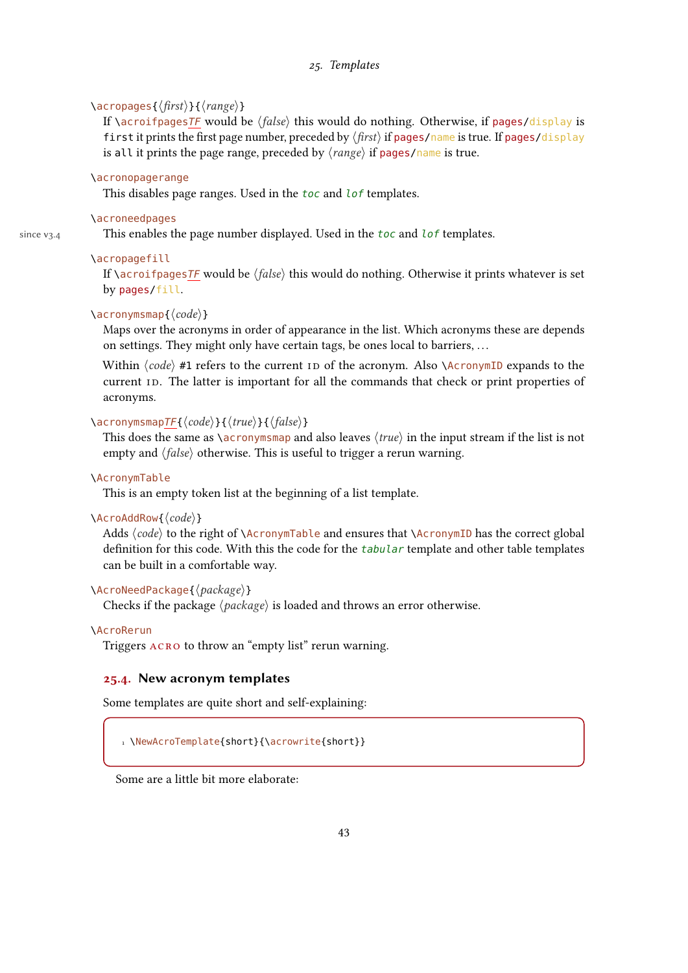#### 25. Templates

#### <span id="page-42-1"></span>\acropages{⟨first⟩}{⟨range⟩}

If \acroifpagesTF would be  $\langle false \rangle$  this would do nothing. Otherwise, if pages/display is first it prints the first page number, preceded by  $\langle$  first $\rangle$  if pages/name is true. If pages/display is all it prints the page range, preceded by  $\langle range \rangle$  if pages/name is true.

#### \acronopagerange

This disables page ranges. Used in the toc and lof templates.

#### \acroneedpages

since  $v_3.4$  This enables the page number displayed. Used in the toc and  $l \circ f$  templates.

#### \acropagefill

If \acroifpagesTF would be  $\langle false \rangle$  this would do nothing. Otherwise it prints whatever is set by pages/fill.

#### \acronymsmap{⟨code⟩}

Maps over the acronyms in order of appearance in the list. Which acronyms these are depends on settings. They might only have certain tags, be ones local to barriers, . . .

Within  $\langle code \rangle$  #1 refers to the current [ID](#page-57-4) of the acronym. Also  $\{\Delta c \text{ nonymID expands to the}\}\$ current [ID.](#page-57-4) The latter is important for all the commands that check or print properties of acronyms.

### \acronymsmapTF{⟨code⟩}{⟨true⟩}{⟨false⟩}

This does the same as \acronymsmap and also leaves  $\langle true \rangle$  in the input stream if the list is not empty and  $\langle false \rangle$  otherwise. This is useful to trigger a rerun warning.

#### \AcronymTable

This is an empty token list at the beginning of a list template.

#### \AcroAddRow{⟨code⟩}

Adds  $\langle code \rangle$  to the right of \AcronymTable and ensures that \AcronymID has the correct global definition for this code. With this the code for the tabular template and other table templates can be built in a comfortable way.

#### \AcroNeedPackage{⟨package⟩}

Checks if the package ⟨package⟩ is loaded and throws an error otherwise.

#### \AcroRerun

Triggers ACRO to throw an "empty list" rerun warning.

### <span id="page-42-0"></span>25.4. New acronym templates

Some templates are quite short and self-explaining:

```
1 \NewAcroTemplate{short}{\acrowrite{short}}
```
Some are a little bit more elaborate: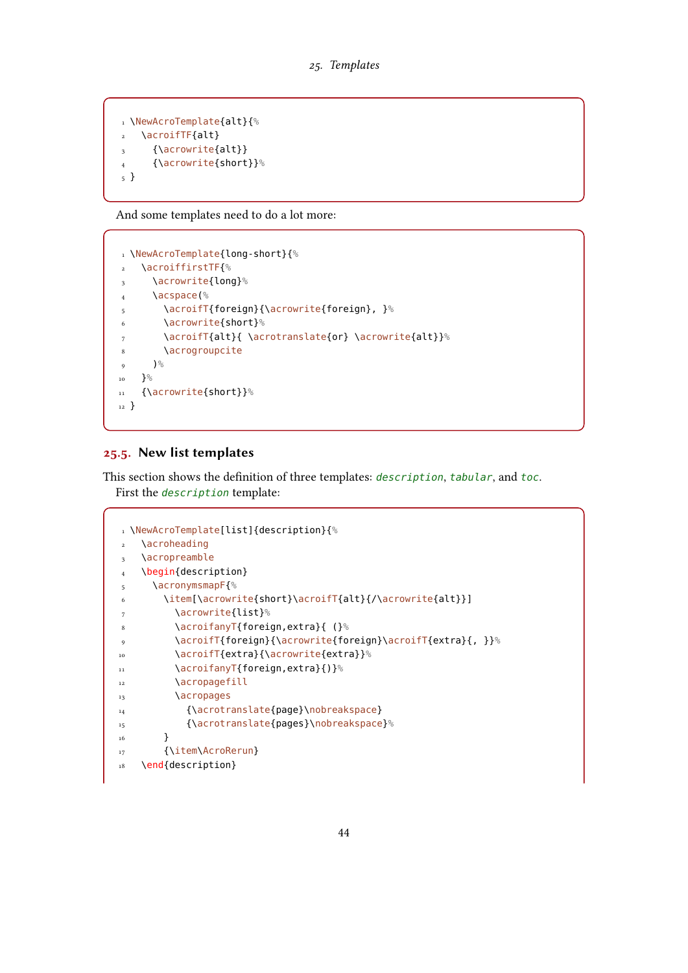```
1 \NewAcroTemplate{alt}{%
2 \acroifTF{alt}
3 {\acrowrite{alt}}
4 {\acrowrite{short}}%
5 }
```
And some templates need to do a lot more:

```
1 \NewAcroTemplate{long-short}{%
2 \acroiffirstTF{%
3 \acrowrite{long}%
4 \acspace(%
5 \acroifT{foreign}{\acrowrite{foreign}, }%
6 \acrowrite{short}%
7 \acroifT{alt}{ \acrotranslate{or} \acrowrite{alt}}%
8 \acrogroupcite
9 \qquad \qquad ) \frac{9}{6}10 } \frac{6}{3}11 {\acrowrite{short}}%
12 }
```
#### <span id="page-43-0"></span>25.5. New list templates

This section shows the definition of three templates: *description*, tabular, and toc. First the description template:

```
1 \NewAcroTemplate[list]{description}{%
2 \acroheading
3 \acropreamble
4 \begin{description}
5 \acronymsmapF{%
6 \item[\acrowrite{short}\acroifT{alt}{/\acrowrite{alt}}]
7 \acrowrite{list}%
8 \acroifanyT{foreign,extra}{ (}%
9 \acroifT{foreign}{\acrowrite{foreign}\acroifT{extra}{, }}%
10 \acroifT{extra}{\acrowrite{extra}}%
11 \acroifanyT{foreign,extra}{)}%
12 \acropagefill
13 \acropages
14 {\acrotranslate{page}\nobreakspace}
15 \{\acrotranslate{pages}\nobreakspace}%
_{\rm 16} \qquad \qquad }
17 {\item\AcroRerun}
18 \end{description}
```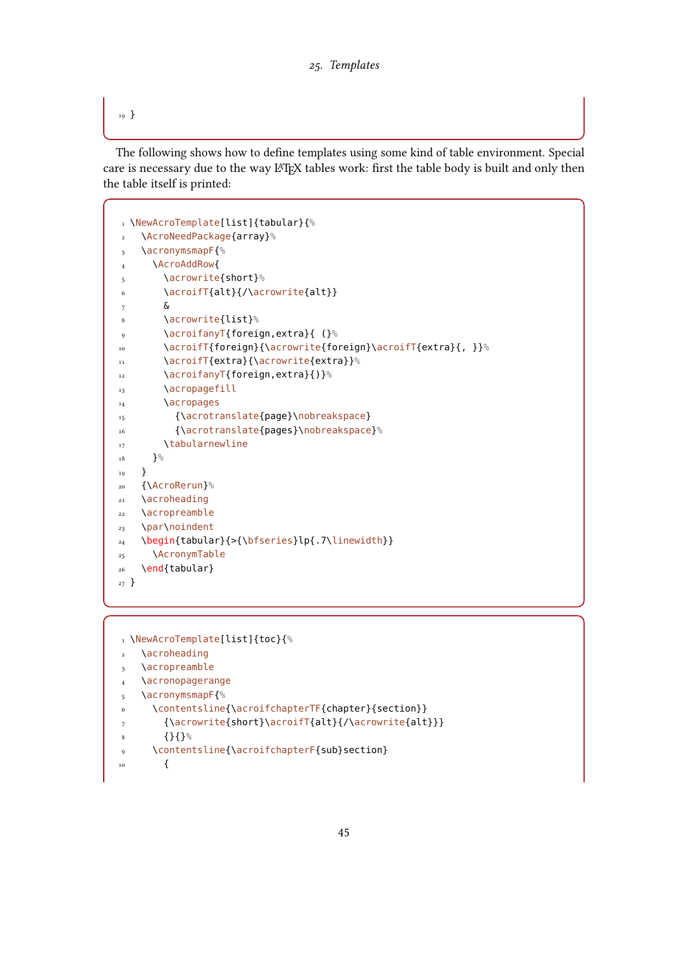<span id="page-44-0"></span>19 }

The following shows how to define templates using some kind of table environment. Special care is necessary due to the way LATEX tables work: first the table body is built and only then the table itself is printed:

```
1 \NewAcroTemplate[list]{tabular}{%
2 \AcroNeedPackage{array}%
3 \acronymsmapF{%
4 \AcroAddRow{
5 \acrowrite{short}%
6 \acroifT{alt}{/\acrowrite{alt}}
7 &
8 \acrowrite{list}%
9 \acroifanyT{foreign,extra}{ (}%
10 \acroifT{foreign}{\acrowrite{foreign}\acroifT{extra}{, }}%
11 \acroifT{extra}{\acrowrite{extra}}%
12 \qquad \qquad \text{acroifanyT}\{\text{foreign, extra}\}\)13 \acropagefill
14 \acropages
15 {\acrotranslate{page}\nobreakspace}
16 {\acrotranslate{pages}\nobreakspace}%
17 \tabularnewline
18 }%
19 }
20 {\AcroRerun}%
21 \acroheading
22 \acropreamble
<sub>23</sub> \par\noindent
24 \begin{tabular}{>{\bfseries}lp{.7\linewidth}}
25 \AcronymTable
26 \end{tabular}
27 }
```

```
1 \NewAcroTemplate[list]{toc}{%
2 \acroheading
3 \acropreamble
4 \acronopagerange
5 \acronymsmapF{%
6 \contentsline{\acroifchapterTF{chapter}{section}}
7 {\acrowrite{short}\acroifT{alt}{/\acrowrite{alt}}}
8 \{ \} \{ \}
```
9 \contentsline{\acroifchapterF{sub}section}

```
10 {
```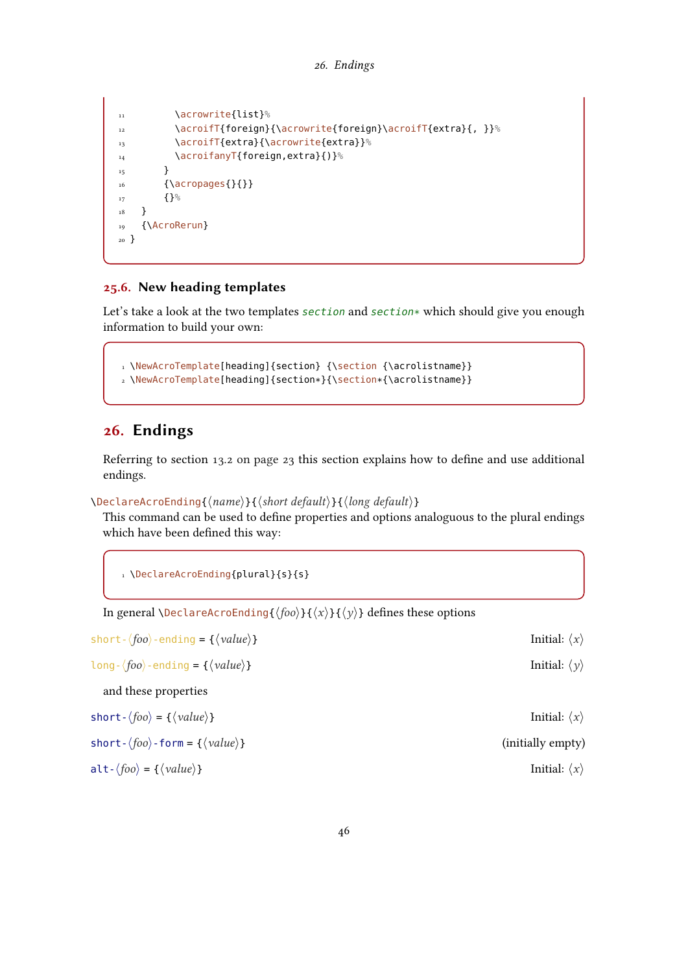```
11 \acrowrite{list}%
12 \acroifT{foreign}{\acrowrite{foreign}\acroifT{extra}{, }}%
13 \acroifT{extra}{\acrowrite{extra}}%
14 \acroifanyT{foreign,extra}{)}%
<sup>15</sup> }
16 {\acropages{}{}}
17 {}%
18 }
19 {\AcroRerun}
20 }
```
### <span id="page-45-0"></span>25.6. New heading templates

Let's take a look at the two templates section and section\* which should give you enough information to build your own:

```
1 \NewAcroTemplate[heading]{section} {\section {\acrolistname}}
2 \NewAcroTemplate[heading]{section*}{\section*{\acrolistname}}
```
## <span id="page-45-1"></span>26. Endings

Referring to section [13.2 on page 23](#page-22-0) this section explains how to define and use additional endings.

```
\DeclareAcroEnding{⟨name⟩}{⟨short default⟩}{⟨long default⟩}
```
This command can be used to define properties and options analoguous to the plural endings which have been defined this way:

```
1 \DeclareAcroEnding{plural}{s}{s}
```
In general \DeclareAcroEnding{ $\langle foo \rangle$ }{ $\langle x \rangle$ }{ $\langle y \rangle$ } defines these options

| short- $\langle foo \rangle$ -ending = { $\langle value \rangle$ } | Initial: $\langle x \rangle$      |
|--------------------------------------------------------------------|-----------------------------------|
| $long - \langle foo \rangle$ -ending = { $\langle value \rangle$ } | Initial: $\langle \gamma \rangle$ |
| and these properties                                               |                                   |
| short - $\langle foo \rangle$ = { $\langle value \rangle$ }        | Initial: $\langle x \rangle$      |
| short - $\langle foo \rangle$ - form = { $\langle value \rangle$ } | (initially empty)                 |
| alt- $\langle foo \rangle$ = { $\langle value \rangle$ }           | Initial: $\langle x \rangle$      |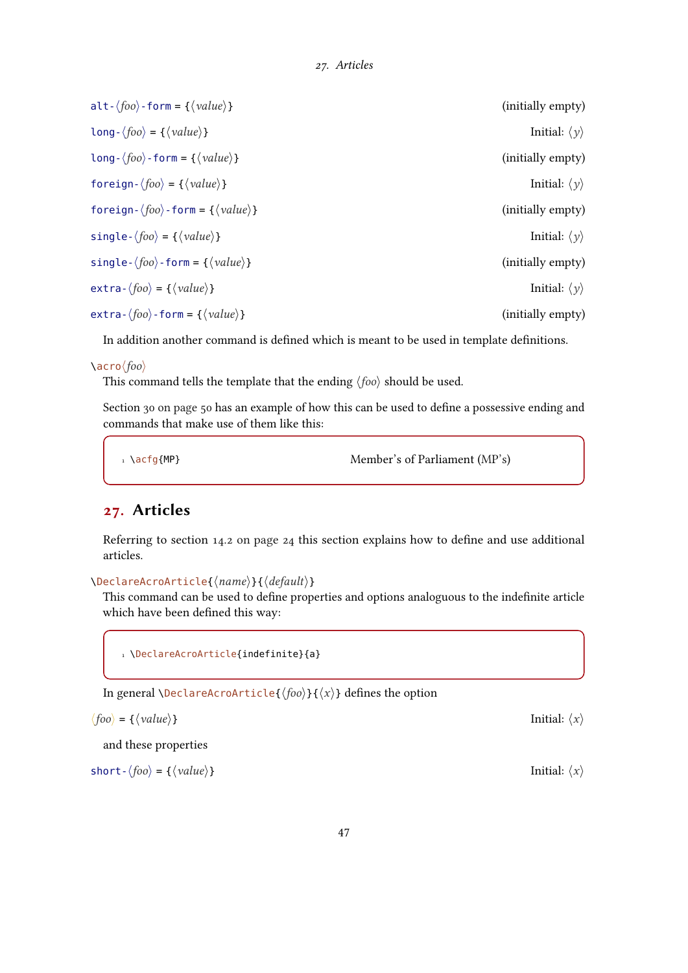<span id="page-46-1"></span>

| alt- $\langle foo \rangle$ -form = { $\langle value \rangle$ }     | (initially empty)            |
|--------------------------------------------------------------------|------------------------------|
| $long-(foo) = {\langle value \rangle}$                             | Initial: $\langle y \rangle$ |
| long- $\langle foo \rangle$ -form = { $\langle value \rangle$ }    | (initially empty)            |
| foreign- $\langle foo \rangle = {\langle} \langle value \rangle$ } | Initial: $\langle y \rangle$ |
| foreign- $\langle foo \rangle$ -form = { $\langle value \rangle$ } | (initially empty)            |
| single- $\langle foo \rangle$ = { $\langle value \rangle$ }        | Initial: $\langle y \rangle$ |
| single- $\langle foo \rangle$ -form = $\{\langle value \rangle\}$  | (initially empty)            |
| $extra-\langle foo \rangle = {\langle value \rangle}$              | Initial: $\langle y \rangle$ |
| extra- $\langle foo \rangle$ -form = { $\langle value \rangle$ }   | (initially empty)            |

In addition another command is defined which is meant to be used in template definitions.

\acro⟨foo⟩

This command tells the template that the ending  $\langle f \circ \phi \rangle$  should be used.

Section [30 on page 50](#page-49-0) has an example of how this can be used to define a possessive ending and commands that make use of them like this:

 $1 \ \text{a}$  \acfg{MP} Member's of Parliament [\(MP's\)](#page-57-8)

### <span id="page-46-0"></span>27. Articles

Referring to section [14.2 on page 24](#page-23-0) this section explains how to define and use additional articles.

\DeclareAcroArticle{⟨name⟩}{⟨default⟩}

This command can be used to define properties and options analoguous to the indefinite article which have been defined this way:

1 \DeclareAcroArticle{indefinite}{a}

In general \DeclareAcroArticle{ $\langle foo \rangle$ }{ $\langle x \rangle$ } defines the option

 $\langle foo \rangle = {\langle} \langle value \rangle$ } Initial:  $\langle x \rangle$ 

and these properties

short- $\langle foo \rangle = {\langle} \langle value \rangle$ } Initial:  $\langle x \rangle$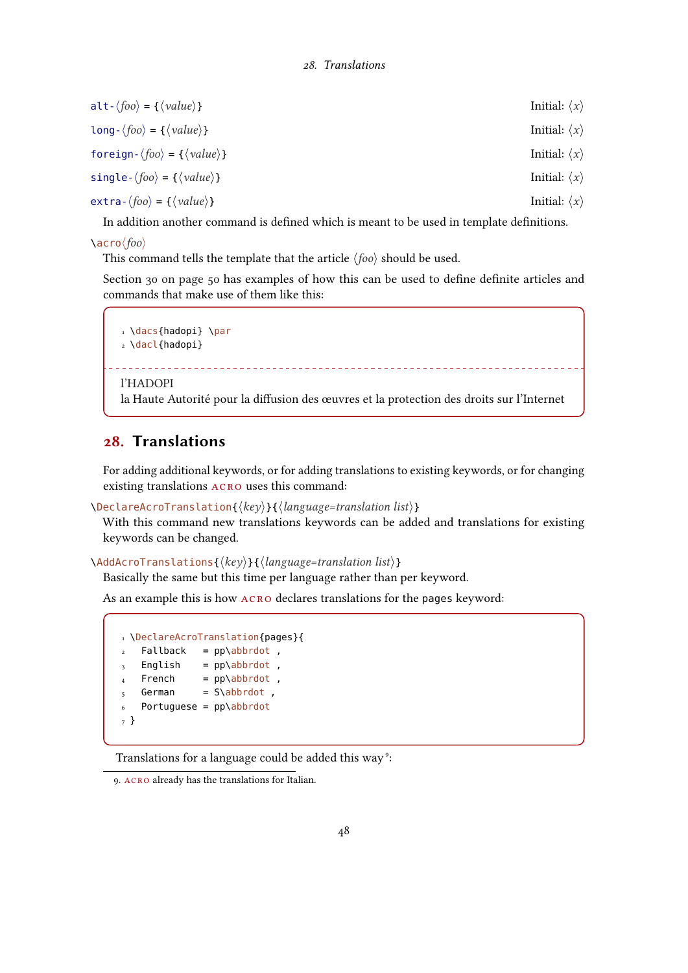<span id="page-47-2"></span>

| alt- $\langle foo \rangle = {\langle value \rangle}$               | Initial: $\langle x \rangle$ |
|--------------------------------------------------------------------|------------------------------|
| $\text{long-}\langle foo \rangle = \{\langle value \rangle\}$      | Initial: $\langle x \rangle$ |
| foreign- $\langle foo \rangle = {\langle} \langle value \rangle$ } | Initial: $\langle x \rangle$ |
| single- $\langle foo \rangle$ = { $\langle value \rangle$ }        | Initial: $\langle x \rangle$ |
| extra- $\langle foo \rangle$ = { $\langle value \rangle$ }         | Initial: $\langle x \rangle$ |

In addition another command is defined which is meant to be used in template definitions.

\acro⟨foo⟩

This command tells the template that the article  $\langle f \circ \phi \rangle$  should be used.

Section [30 on page 50](#page-49-0) has examples of how this can be used to define definite articles and commands that make use of them like this:

```
1 \dacs{hadopi} \par
2 \dacl{hadopi}
```
[l'HADOPI](#page-57-11)

la Haute Autorité pour la diffusion des œuvres et la protection des droits sur l'Internet

\_\_\_\_\_\_\_\_\_\_\_\_\_\_\_\_\_

### <span id="page-47-0"></span>28. Translations

For adding additional keywords, or for adding translations to existing keywords, or for changing existing translations acro uses this command:

\DeclareAcroTranslation{⟨key⟩}{⟨language=translation list⟩}

With this command new translations keywords can be added and translations for existing keywords can be changed.

\AddAcroTranslations{⟨key⟩}{⟨language=translation list⟩}

Basically the same but this time per language rather than per keyword.

As an example this is how acro declares translations for the pages keyword:

```
1 \DeclareAcroTranslation{pages}{
2 Fallback = pp\abbrdot,
\beta English = pp\abbrdot ,
4 French = pp\abbrdot,
5 German = S\abbrdot,
   Portuguese = pp\ab{b}rdot7 }
```
Translations for a language could be added this way<sup>9</sup>:

<span id="page-47-1"></span><sup>9.</sup> acro already has the translations for Italian.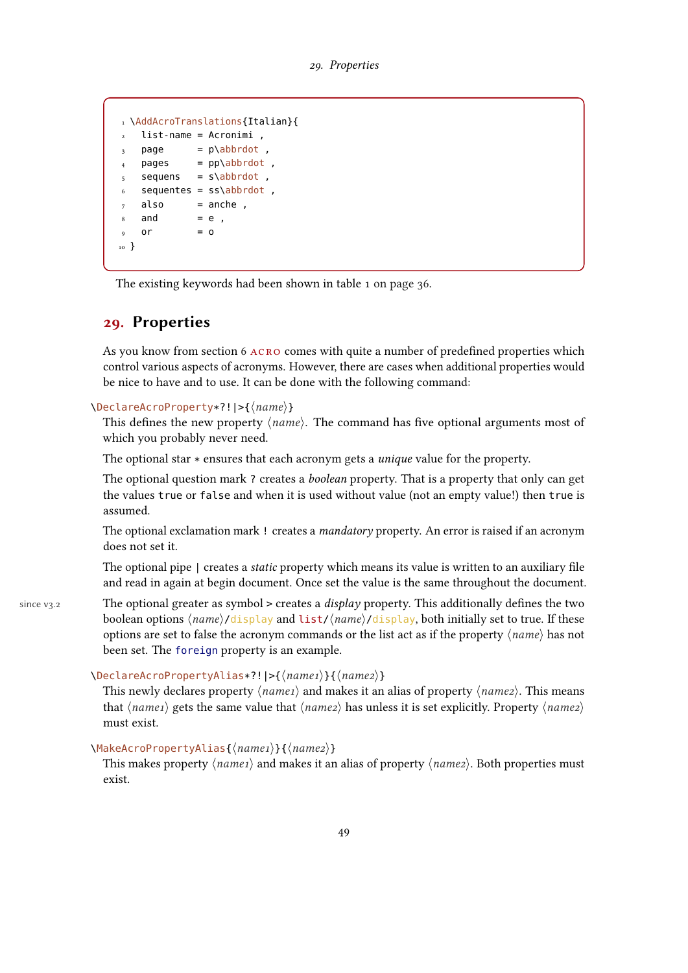```
1 \AddAcroTranslations{Italian}{
2 list-name = Acronimi,
3 page = p\abbrdot
   pages = pp\ab{brdot},
5 sequens = s\abbrdot,
6 sequentes = ss\abbrdot,
7 \quad also = anche,
8 and = e,
9 or = 010 }
```
The existing keywords had been shown in table [1 on page 36.](#page-35-2)

### <span id="page-48-0"></span>29. Properties

As you know from section [6](#page-5-1) acro comes with quite a number of predefined properties which control various aspects of acronyms. However, there are cases when additional properties would be nice to have and to use. It can be done with the following command:

\DeclareAcroProperty\*?!|>{⟨name⟩}

This defines the new property  $\langle name \rangle$ . The command has five optional arguments most of which you probably never need.

The optional star  $*$  ensures that each acronym gets a *unique* value for the property.

The optional question mark ? creates a *boolean* property. That is a property that only can get the values true or false and when it is used without value (not an empty value!) then true is assumed.

The optional exclamation mark ! creates a *mandatory* property. An error is raised if an acronym does not set it.

The optional pipe | creates a *static* property which means its value is written to an auxiliary file and read in again at begin document. Once set the value is the same throughout the document.

since  $v_3$ . The optional greater as symbol > creates a *display* property. This additionally defines the two boolean options  $\langle name \rangle / \text{display}$  and  $list / \langle name \rangle / \text{display}$ , both initially set to true. If these options are set to false the acronym commands or the list act as if the property  $\langle name \rangle$  has not been set. The foreign property is an example.

### \DeclareAcroPropertyAlias\*?!|>{⟨name1⟩}{⟨name2⟩}

This newly declares property  $\langle name_1 \rangle$  and makes it an alias of property  $\langle name_2 \rangle$ . This means that  $\langle name_1 \rangle$  gets the same value that  $\langle name_2 \rangle$  has unless it is set explicitly. Property  $\langle name_2 \rangle$ must exist.

#### \MakeAcroPropertyAlias{⟨name1⟩}{⟨name2⟩}

This makes property  $\langle name_1 \rangle$  and makes it an alias of property  $\langle name_2 \rangle$ . Both properties must exist.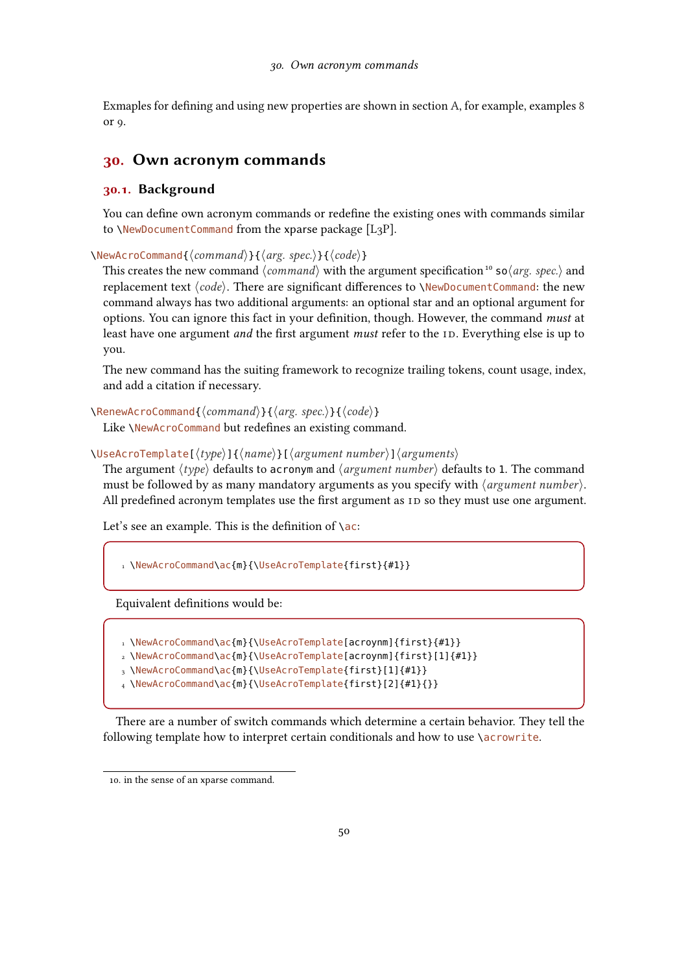<span id="page-49-3"></span>Exmaples for defining and using new properties are shown in section [A,](#page-53-1) for example, examples [8](#page-55-0) or [9.](#page-56-0)

### <span id="page-49-0"></span>30. Own acronym commands

#### <span id="page-49-1"></span>30.1. Background

You can define own acronym commands or redefine the existing ones with commands similar to \NewDocumentCommand from the xparse package [\[L3P\]](#page-58-16).

\NewAcroCommand{⟨command⟩}{⟨arg. spec.⟩}{⟨code⟩}

This creates the new command  $\langle command \rangle$  with the argument specification<sup>10</sup> so $\langle arg, spec \rangle$  and replacement text  $\langle code \rangle$ . There are significant differences to  $\NewDocumentCommand:$  the new command always has two additional arguments: an optional star and an optional argument for options. You can ignore this fact in your definition, though. However, the command must at least have one argument and the first argument must refer to the [ID.](#page-57-4) Everything else is up to you.

The new command has the suiting framework to recognize trailing tokens, count usage, index, and add a citation if necessary.

\RenewAcroCommand{⟨command⟩}{⟨arg. spec.⟩}{⟨code⟩}

Like \NewAcroCommand but redefines an existing command.

#### \UseAcroTemplate[⟨type⟩]{⟨name⟩}[⟨argument number⟩]⟨arguments⟩

The argument  $\langle type \rangle$  defaults to acronym and  $\langle argument \space number \rangle$  defaults to 1. The command must be followed by as many mandatory arguments as you specify with  $\langle argument\ number\rangle$ . All predefined acronym templates use the first argument as [ID](#page-57-4) so they must use one argument.

Let's see an example. This is the definition of  $\setminus$ ac:

```
1 \NewAcroCommand\ac{m}{\UseAcroTemplate{first}{#1}}
```
Equivalent definitions would be:

- 1 \NewAcroCommand\ac{m}{\UseAcroTemplate[acroynm]{first}{#1}}
- 2 \NewAcroCommand\ac{m}{\UseAcroTemplate[acroynm]{first}[1]{#1}}
- 3 \NewAcroCommand\ac{m}{\UseAcroTemplate{first}[1]{#1}}
- 4 \NewAcroCommand\ac{m}{\UseAcroTemplate{first}[2]{#1}{}}

There are a number of switch commands which determine a certain behavior. They tell the following template how to interpret certain conditionals and how to use \acrowrite.

<span id="page-49-2"></span><sup>10.</sup> in the sense of an xparse command.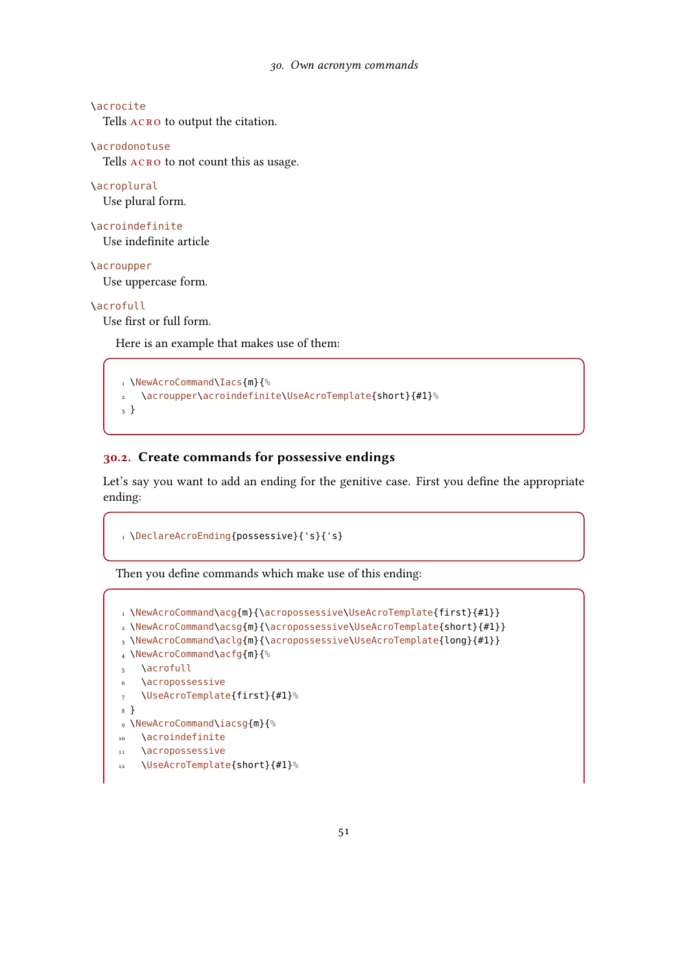#### 30. Own acronym commands

#### <span id="page-50-1"></span>\acrocite

Tells acro to output the citation.

#### \acrodonotuse

Tells ACRO to not count this as usage.

#### \acroplural

Use plural form.

#### \acroindefinite

Use indefinite article

\acroupper

Use uppercase form.

#### \acrofull

Use first or full form.

Here is an example that makes use of them:

```
1 \NewAcroCommand\Iacs{m}{%
2 \acroupper\acroindefinite\UseAcroTemplate{short}{#1}%
3 }
```
#### <span id="page-50-0"></span>30.2. Create commands for possessive endings

Let's say you want to add an ending for the genitive case. First you define the appropriate ending:

```
1 \DeclareAcroEnding{possessive}{'s}{'s}
```
Then you define commands which make use of this ending:

```
1 \NewAcroCommand\acg{m}{\acropossessive\UseAcroTemplate{first}{#1}}
2 \NewAcroCommand\acsg{m}{\acropossessive\UseAcroTemplate{short}{#1}}
3 \NewAcroCommand\aclg{m}{\acropossessive\UseAcroTemplate{long}{#1}}
4 \NewAcroCommand\acfg{m}{%
5 \acrofull
6 \acropossessive
7 \UseAcroTemplate{first}{#1}%
8 }
9 \NewAcroCommand\iacsg{m}{%
10 \acroindefinite
11 \acropossessive
12 \UseAcroTemplate{short}{#1}%
```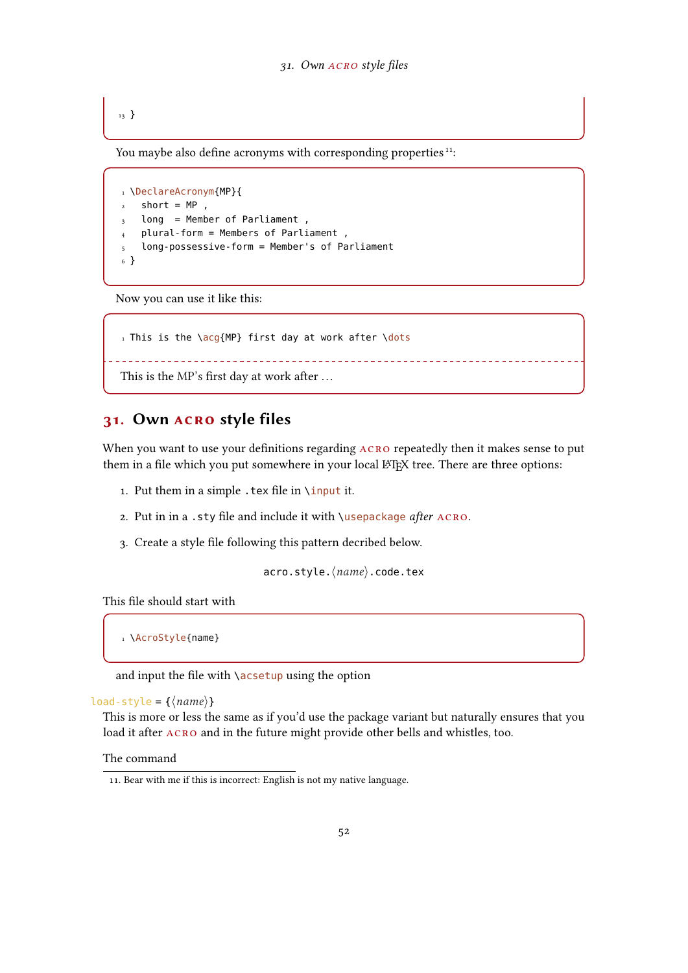```
13 }
```
You maybe also define acronyms with corresponding properties<sup>11</sup>:

1 \DeclareAcronym{MP}{  $2$  short = MP,  $3$  long = Member of Parliament, plural-form = Members of Parliament, 5 long-possessive-form = Member's of Parliament 6 }

Now you can use it like this:

1 This is the \acq{MP} first day at work after \dots

This is the [MP's](#page-57-8) first day at work after ...

### <span id="page-51-0"></span>31. Own acro style files

When you want to use your definitions regarding ACRO repeatedly then it makes sense to put them in a file which you put somewhere in your local L<sup>AT</sup>EX tree. There are three options:

- 1. Put them in a simple . tex file in  $\infty$  input it.
- 2. Put in in a .sty file and include it with \usepackage after ACRO.
- 3. Create a style file following this pattern decribed below.

acro.style. $\langle name \rangle$ .code.tex

This file should start with

1 \AcroStyle{name}

and input the file with  $\a$ csetup using the option

```
load-style = {\langle name \rangle}
```
This is more or less the same as if you'd use the package variant but naturally ensures that you load it after  $ACRO$  and in the future might provide other bells and whistles, too.

The command

<span id="page-51-1"></span><sup>11.</sup> Bear with me if this is incorrect: English is not my native language.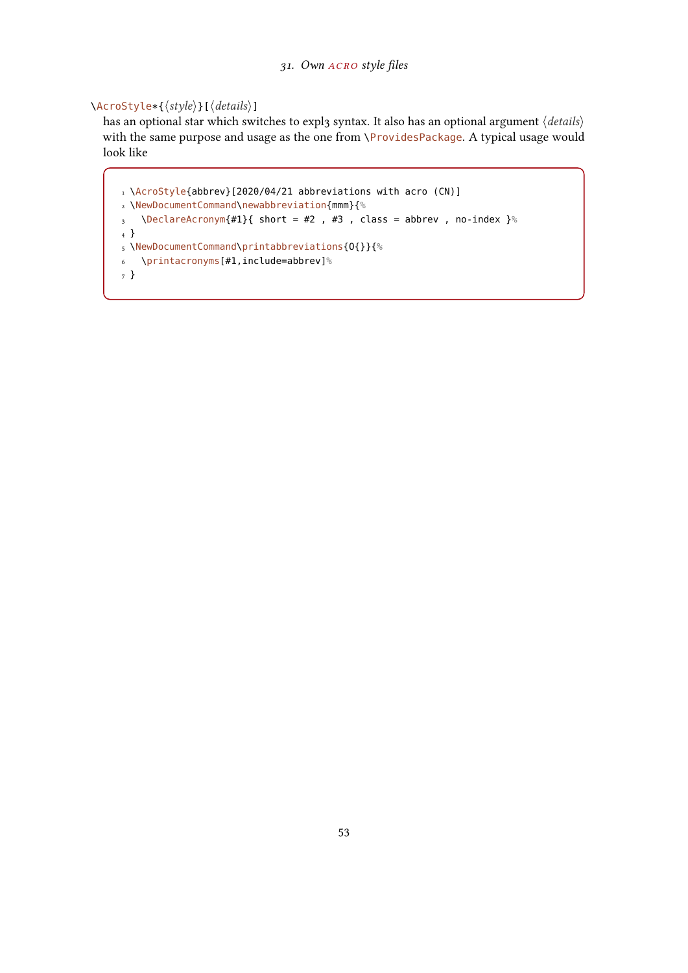### 31. Own ACRO style files

### <span id="page-52-0"></span>\AcroStyle\*{⟨style⟩}[⟨details⟩]

has an optional star which switches to expl3 syntax. It also has an optional argument  $\langle details \rangle$ with the same purpose and usage as the one from \ProvidesPackage. A typical usage would look like

```
1 \AcroStyle{abbrev}[2020/04/21 abbreviations with acro (CN)]
2 \NewDocumentCommand\newabbreviation{mmm}{%
3 \DeclareAcronym{#1}{ short = #2, #3, class = abbrev, no-index }%
4 }
5 \NewDocumentCommand\printabbreviations{O{}}{%
6 \printacronyms[#1,include=abbrev]%
7 }
```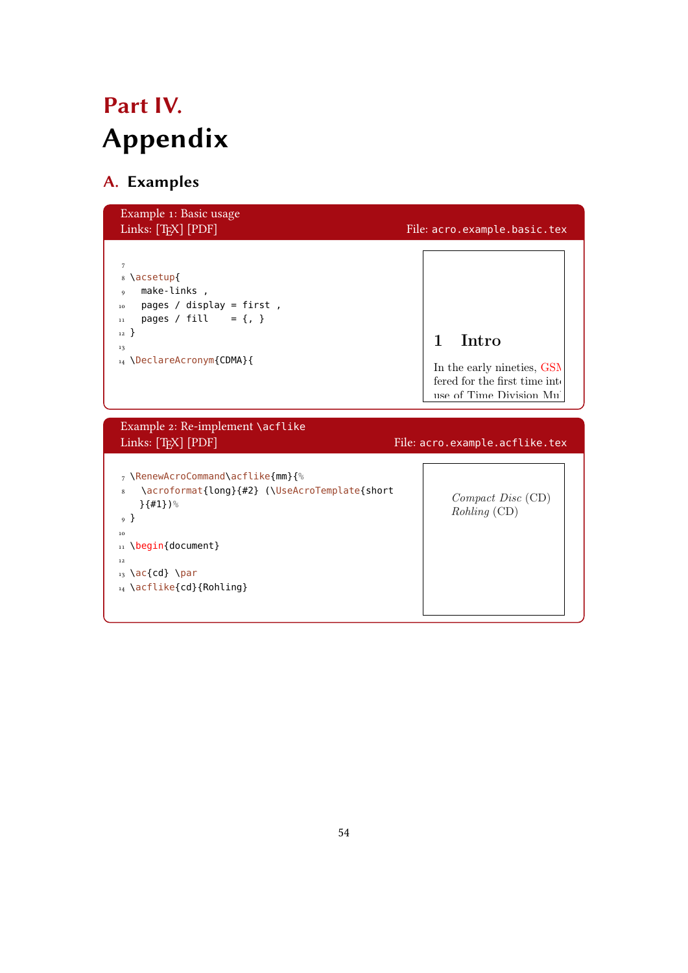# <span id="page-53-2"></span><span id="page-53-0"></span>Part IV. Appendix

## <span id="page-53-1"></span>A. Examples

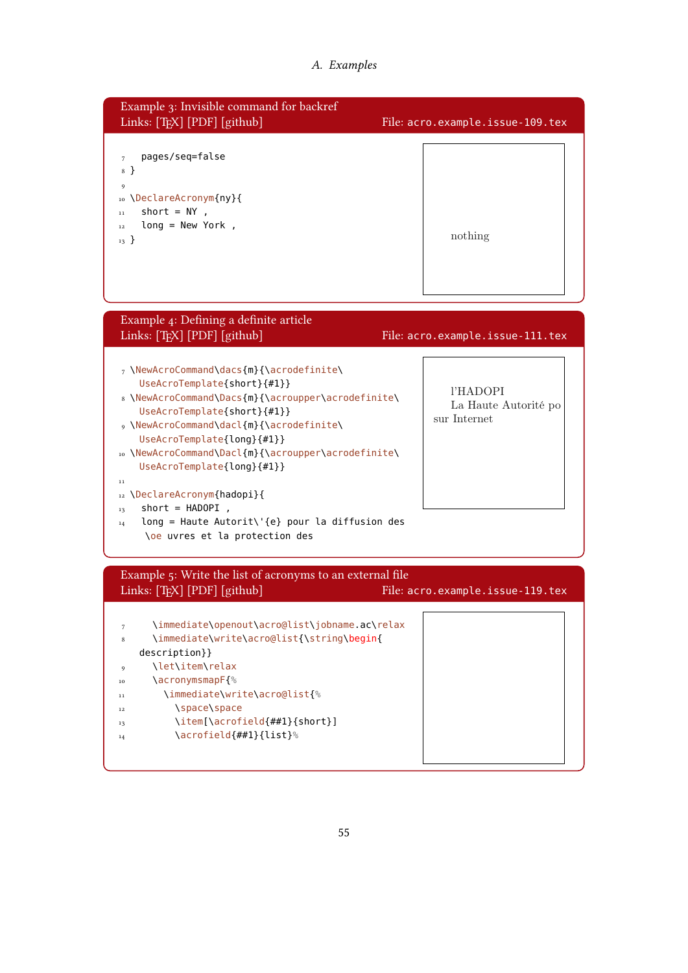<span id="page-54-0"></span>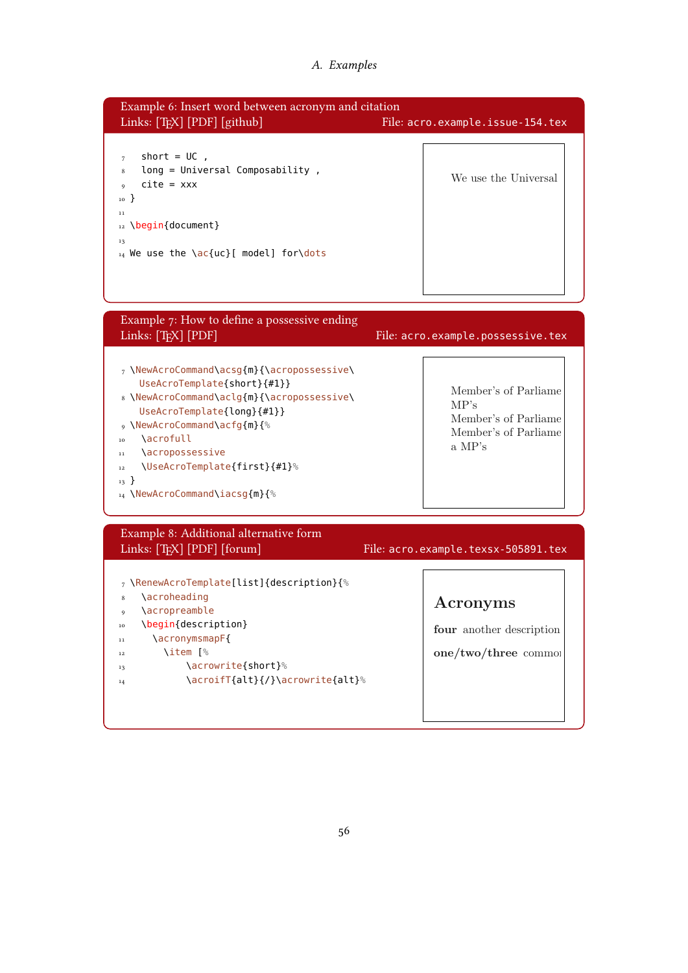#### A. Examples

<span id="page-55-1"></span><span id="page-55-0"></span>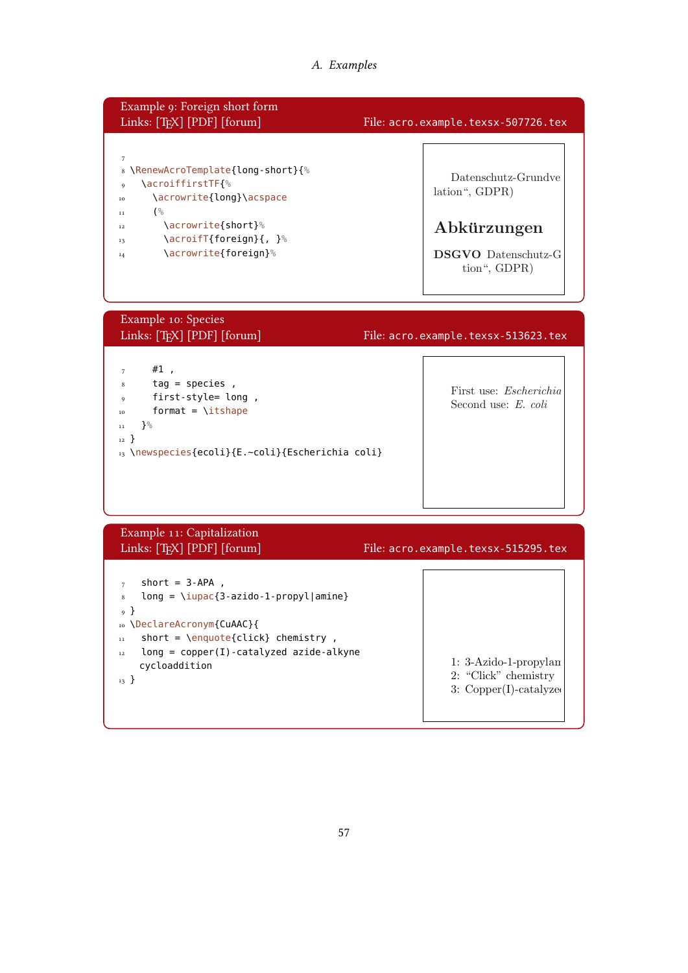## A. Examples

<span id="page-56-1"></span><span id="page-56-0"></span>

| Example 9: Foreign short form<br>Links: [TEX] [PDF] [forum]                                                                                                                                                                                                                       | File: acro.example.texsx-507726.tex                                                                |
|-----------------------------------------------------------------------------------------------------------------------------------------------------------------------------------------------------------------------------------------------------------------------------------|----------------------------------------------------------------------------------------------------|
| $\boldsymbol{7}$<br>& \RenewAcroTemplate{long-short}{%<br>\acroiffirstTF{%<br>9<br>\acrowrite{long}\acspace<br>10<br>(%<br>11<br>\acrowrite{short}%<br>12<br>\acroifT{foreign}{, }%<br>13<br>\acrowrite{foreign}%<br>14                                                           | Datenschutz-Grundve<br>lation", GDPR)<br>Abkürzungen<br><b>DSGVO</b> Datenschutz-G<br>tion", GDPR) |
| Example 10: Species<br>Links: [TFX] [PDF] [forum]                                                                                                                                                                                                                                 | File: acro.example.texsx-513623.tex                                                                |
| $#1$ ,<br>$\overline{7}$<br>$tag = species$ ,<br>8<br>first-style= long,<br>9<br>format = $\iota$ itshape<br>10<br>$\}$ %<br>$1\,1$<br>$_{12}$ }<br>13 \newspecies{ecoli}{E.~coli}{Escherichia coli}                                                                              | First use: <i>Escherichia</i><br>Second use: E. coli                                               |
| Example 11: Capitalization<br>Links: [TEX] [PDF] [forum]                                                                                                                                                                                                                          | File: acro.example.texsx-515295.tex                                                                |
| short = $3-APA$ ,<br>$\overline{7}$<br>$long = \iota\{3 - azido - 1 - propyl   amine\}$<br>8<br><sup>9</sup> }<br>10 \DeclareAcronym{CuAAC}{<br>short = $\end{right}$ chemistry,<br>$1\,1$<br>$long = copper(I) - cataloged aside-alkyne$<br>$1\,2$<br>cycloaddition<br>$_{13}$ } | 1: 3-Azido-1-propylan<br>2: "Click" chemistry<br>3: $Copper(I)-catalog$                            |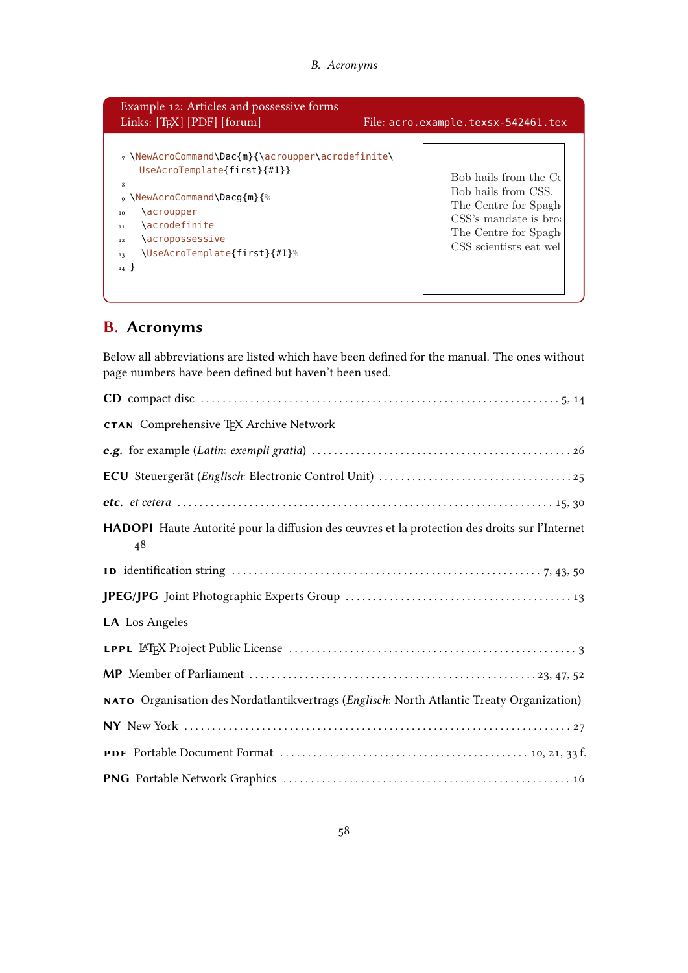<span id="page-57-12"></span>

| Example 12: Articles and possessive forms<br>Links: [TFX] [PDF] [forum]                                                                                                                                                                                                        | File: acro.example.texsx-542461.tex                                                                                                                |
|--------------------------------------------------------------------------------------------------------------------------------------------------------------------------------------------------------------------------------------------------------------------------------|----------------------------------------------------------------------------------------------------------------------------------------------------|
| 7 \NewAcroCommand\Dac{m}{\acroupper\acrodefinite\<br>UseAcroTemplate{first}{#1}}<br>8<br>∘ \NewAcroCommand\Dacq{m}{ <sup>%</sup><br>\acroupper<br>10<br><b><i><u>Nacrodefinite</u></i></b><br>11<br>\acropossessive<br>$12\,$<br>\UseAcroTemplate{first}{#1}%<br>13<br>$_{14}$ | Bob hails from the $C_f$<br>Bob hails from CSS.<br>The Centre for Spagh<br>CSS's mandate is broa<br>The Centre for Spagh<br>CSS scientists eat wel |

## <span id="page-57-1"></span>B. Acronyms

Below all abbreviations are listed which have been defined for the manual. The ones without page numbers have been defined but haven't been used.

<span id="page-57-11"></span><span id="page-57-10"></span><span id="page-57-9"></span><span id="page-57-8"></span><span id="page-57-7"></span><span id="page-57-6"></span><span id="page-57-5"></span><span id="page-57-4"></span><span id="page-57-3"></span><span id="page-57-2"></span><span id="page-57-0"></span>

| <b>CTAN</b> Comprehensive TEX Archive Network                                                              |
|------------------------------------------------------------------------------------------------------------|
|                                                                                                            |
|                                                                                                            |
|                                                                                                            |
| <b>HADOPI</b> Haute Autorité pour la diffusion des œuvres et la protection des droits sur l'Internet<br>48 |
|                                                                                                            |
|                                                                                                            |
| LA Los Angeles                                                                                             |
|                                                                                                            |
|                                                                                                            |
| NATO Organisation des Nordatlantikvertrags (Englisch: North Atlantic Treaty Organization)                  |
|                                                                                                            |
|                                                                                                            |
|                                                                                                            |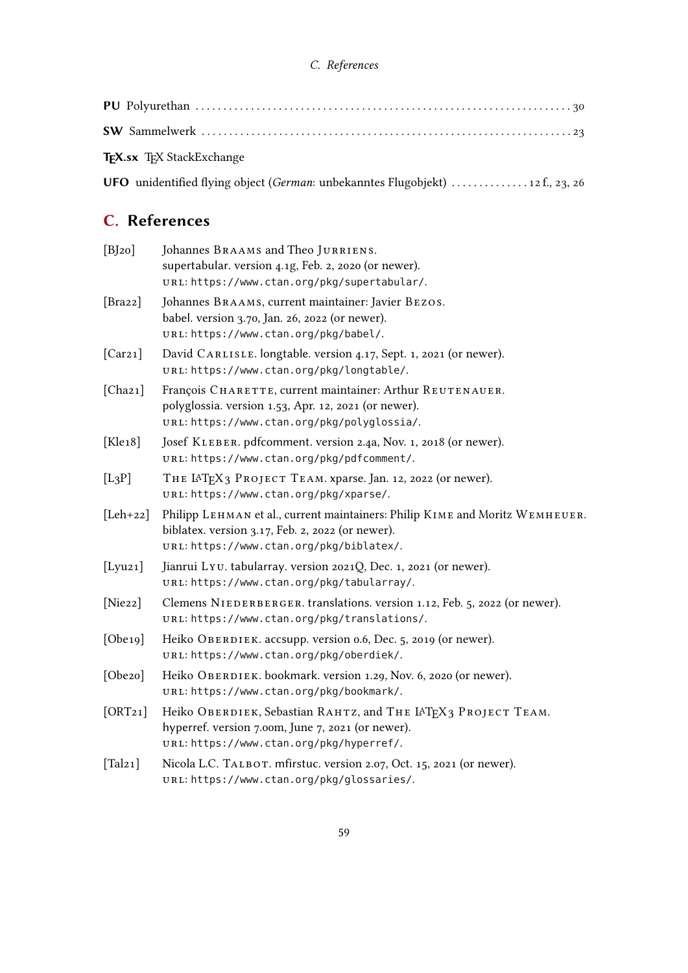<span id="page-58-9"></span><span id="page-58-6"></span>

| <b>T<sub>F</sub>X.sx T</b> <sub>F</sub> X StackExchange |
|---------------------------------------------------------|

<span id="page-58-5"></span>UFO unidentified flying object (German: unbekanntes Flugobjekt) . . . . . . . . . . . . . . [12](#page-11-0) f., [23,](#page-22-4) [26](#page-25-1)

## <span id="page-58-0"></span>C. References

<span id="page-58-16"></span><span id="page-58-14"></span><span id="page-58-13"></span><span id="page-58-10"></span><span id="page-58-4"></span><span id="page-58-3"></span>

| [B] 20]                                           | Johannes BRAAMS and Theo JURRIENS.<br>supertabular. version 4.1g, Feb. 2, 2020 (or newer).<br>URL: https://www.ctan.org/pkg/supertabular/.                                   |
|---------------------------------------------------|------------------------------------------------------------------------------------------------------------------------------------------------------------------------------|
| $[\text{Bra22}]$                                  | Johannes BRAAMS, current maintainer: Javier BEZOS.<br>babel. version 3.70, Jan. 26, 2022 (or newer).<br>URL: https://www.ctan.org/pkg/babel/.                                |
| [Car21]                                           | David CARLISLE. longtable. version 4.17, Sept. 1, 2021 (or newer).<br>URL: https://www.ctan.org/pkg/longtable/.                                                              |
| [Chaz1]                                           | François CHARETTE, current maintainer: Arthur REUTENAUER.<br>polyglossia. version 1.53, Apr. 12, 2021 (or newer).<br>URL: https://www.ctan.org/pkg/polyglossia/.             |
| [Kle18]                                           | Josef KLEBER. pdfcomment. version 2.4a, Nov. 1, 2018 (or newer).<br>URL: https://www.ctan.org/pkg/pdfcomment/.                                                               |
| $[L_3P]$                                          | THE IATEX3 PROJECT TEAM. xparse. Jan. 12, 2022 (or newer).<br>URL: https://www.ctan.org/pkg/xparse/.                                                                         |
| $[Leh+22]$                                        | Philipp LEHMAN et al., current maintainers: Philip KIME and Moritz WEMHEUER.<br>biblatex. version 3.17, Feb. 2, 2022 (or newer).<br>URL: https://www.ctan.org/pkg/biblatex/. |
| $[Lyuz_1]$                                        | Jianrui Lyu. tabularray. version 2021Q, Dec. 1, 2021 (or newer).<br>URL: https://www.ctan.org/pkg/tabularray/.                                                               |
| [ $Nie22$ ]                                       | Clemens NIEDERBERGER. translations. version 1.12, Feb. 5, 2022 (or newer).<br>URL: https://www.ctan.org/pkg/translations/.                                                   |
| [Obe19]                                           | Heiko OBERDIEK. accsupp. version 0.6, Dec. 5, 2019 (or newer).<br>URL: https://www.ctan.org/pkg/oberdiek/.                                                                   |
| [Obe20]                                           | Heiko OBERDIEK. bookmark. version 1.29, Nov. 6, 2020 (or newer).<br>URL: https://www.ctan.org/pkg/bookmark/.                                                                 |
| [ORT21]                                           | Heiko OBERDIEK, Sebastian RAHTZ, and THE IATEX3 PROJECT TEAM.<br>hyperref. version 7.00m, June 7, 2021 (or newer).<br>URL: https://www.ctan.org/pkg/hyperref/.               |
| $\Gamma$ $\Gamma$ $\sim$ $\Gamma$ $\sim$ $\Gamma$ | Missle L.C. Turnor usefuctuo regulare e que Oet expected (or neuron)                                                                                                         |

<span id="page-58-15"></span><span id="page-58-12"></span><span id="page-58-11"></span><span id="page-58-8"></span><span id="page-58-7"></span><span id="page-58-2"></span><span id="page-58-1"></span>[Tal21] Nicola L.C. TALBOT. mfirstuc. version 2.07, Oct. 15, 2021 (or newer). url: <https://www.ctan.org/pkg/glossaries/>.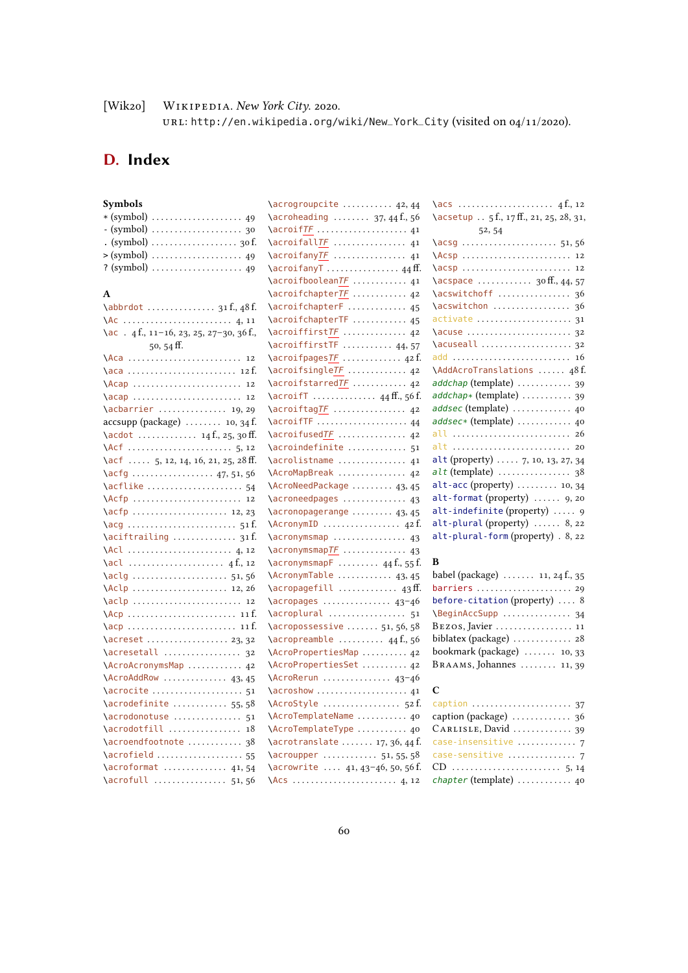### <span id="page-59-1"></span>[Wik20] WIKIPEDIA. New York City. 2020. url: [http://en.wikipedia.org/wiki/New\\_York\\_City](http://en.wikipedia.org/wiki/New_York_City) (visited on 04/11/2020).

## <span id="page-59-0"></span>D. Index

| Symbols                                              | ∖                        |
|------------------------------------------------------|--------------------------|
|                                                      | $\overline{\phantom{0}}$ |
| $-$ (symbol)<br>30                                   | $\overline{\phantom{0}}$ |
| . (symbol) $\dots\dots\dots\dots\dots\dots$ 30 f.    | $\overline{\phantom{0}}$ |
| 49                                                   | $\overline{\phantom{0}}$ |
| ? (symbol)<br>49                                     | $\overline{\phantom{0}}$ |
|                                                      | $\overline{\phantom{0}}$ |
| A                                                    | $\overline{\phantom{0}}$ |
| \abbrdot  31 f., 48 f.                               | $\overline{\phantom{0}}$ |
|                                                      | $\overline{\phantom{0}}$ |
| $4f, 11-16, 23, 25, 27-30, 36f,$<br>\ac              | $\overline{\phantom{0}}$ |
| 50, 54 ff.                                           | $\overline{\phantom{0}}$ |
| \Aca<br>12                                           | $\overline{\phantom{0}}$ |
| \aca  12 f.                                          | $\overline{\phantom{0}}$ |
| $\text{Acap}$<br>12                                  | $\backslash$             |
| $\acap$<br>12                                        | $\overline{\phantom{0}}$ |
|                                                      | $\overline{\phantom{0}}$ |
| $accsupp$ (package) $\ldots$ 10, 34 f.               | $\overline{\phantom{0}}$ |
|                                                      | N                        |
|                                                      | $\overline{\phantom{0}}$ |
|                                                      | $\overline{\phantom{0}}$ |
| $\arctan 5$ , 12, 14, 16, 21, 25, 28 ff.             |                          |
| $\arctan 47, 51, 56$                                 | $\backslash$             |
| \acflike<br>54                                       | $\overline{\phantom{0}}$ |
| $\Lambda$ cfp<br>12                                  | $\overline{\phantom{0}}$ |
| \acfp  12, 23                                        | $\overline{\phantom{0}}$ |
|                                                      | $\overline{\phantom{0}}$ |
| \aciftrailing  31f.                                  | $\lambda$                |
|                                                      | $\overline{\phantom{0}}$ |
| $\cat \ldots \ldots \ldots \ldots \ldots 4f., 12$    | $\overline{\phantom{0}}$ |
| \aclg  51,56                                         | $\overline{\phantom{0}}$ |
|                                                      | $\overline{\phantom{0}}$ |
| $\aclp$<br>12                                        | $\overline{\phantom{0}}$ |
|                                                      | $\overline{\phantom{0}}$ |
|                                                      | $\overline{\phantom{0}}$ |
| $\arccos\! \ldots \ldots \ldots \ldots \quad 23, 32$ | $\overline{\phantom{0}}$ |
| \acresetall<br>32                                    | $\overline{\phantom{0}}$ |
| \AcroAcronymsMap<br>42                               | $\backslash$             |
| \AcroAddRow  43,45                                   | N                        |
| \acrocite<br>51                                      | $\overline{\phantom{0}}$ |
| $\arctan 55, 58$                                     | $\overline{\phantom{0}}$ |
| \acrodonotuse<br>51                                  | ∖                        |
| \acrodotfill<br>18                                   | $\overline{\phantom{0}}$ |
| \acroendfootnote<br>38                               | ∖                        |
| \acrofield  55                                       | ∖                        |
| \acroformat  41,54                                   | $\overline{\phantom{0}}$ |
| \acrofull<br>56<br>.<br>51,                          | $\lambda$                |
|                                                      |                          |

| $\chi$ dcrogroupcite  42, 44            |  |
|-----------------------------------------|--|
| $\arctan 37, 44$ f., 56                 |  |
| \acroif <u>TF</u> 41                    |  |
| \acroifall <u>TF</u> 41                 |  |
|                                         |  |
| $\sqrt{a}$ croifany $T$ 44 ff.          |  |
| \acroifbooleanTF  41                    |  |
| \acroifchapter <mark>TF</mark> 42       |  |
| \acroifchapterF  45                     |  |
| \acroifchapterTF  45                    |  |
| \acroiffirst <u>TF</u> 42               |  |
| $\arcsin f$ irstTF  44,57               |  |
| \acroifpages $\overline{IF}$ 42 f.      |  |
| \acroifsingle <u>TF</u> 42              |  |
| \acroifstarred <u>TF</u> 42             |  |
|                                         |  |
| \acroiftag <u>TF</u> 42                 |  |
| \acroifTF  44                           |  |
| \acroifused $\overline{IF}$ 42          |  |
| \acroindefinite  51                     |  |
| \acrolistname  41                       |  |
| \AcroMapBreak  42                       |  |
| \AcroNeedPackage  43, 45                |  |
| \acroneedpages  43                      |  |
| \acronopagerange  43, 45                |  |
| $\text{AcronymID}$ 42 f.                |  |
| $\text{Circum}$ smap  43                |  |
| \acronymsmapTF  43                      |  |
| $\text{Cov}$ acronymsmapF  44 f., 55 f. |  |
| \AcronymTable  43,45                    |  |
| \acropagefill  43 ff.                   |  |
| $\arccos 43-46$                         |  |
| \acroplural  51                         |  |
| $\arccos$ s and $\arccos$ 51, 56, 58    |  |
| $\arctan b = \ldots + 44f, 56$          |  |
| \AcroPropertiesMap  42                  |  |
| \AcroPropertiesSet  42                  |  |
| $\text{AcroRerun}$ 43-46                |  |
| \acroshow  41                           |  |
| \AcroStyle  52f.                        |  |
| \AcroTemplateName  40                   |  |
| \AcroTemplateType  40                   |  |
| \acrotranslate  17, 36, 44 f.           |  |
| $\arctan 51, 55, 58$                    |  |
| $\arctan 41, 43-46, 50, 56f.$           |  |
|                                         |  |

| $\arctan\frac{1}{2}$                   |                                                          |
|----------------------------------------|----------------------------------------------------------|
| $\arctan$ - acroheading  37, 44 f., 56 | \acsetup . 5 f., 17 ff., 21, 25, 28, 31,                 |
| \acroif <u>TF</u> 41                   | 52, 54                                                   |
| \acroifallTF  41                       |                                                          |
| \acroifanyTF  41                       | \Acsp  12                                                |
|                                        |                                                          |
| \acroifbooleanTF  41                   | \acspace  30 ff., 44, 57                                 |
| \acroifchapterTF  42                   | \acswitchoff  36                                         |
| \acroifchapterF  45                    | \acswitchon  36                                          |
| \acroifchapterTF  45                   | activate  31                                             |
| \acroiffirstTF  42                     | \acuse  32                                               |
| $\arcsin f firstTF$ 44, 57             | $\{\text{accused1} \dots \dots \dots \dots \dots \ 32\}$ |
| \acroifpagesTF  42 f.                  | add  16                                                  |
| \acroifsingleTF  42                    | \AddAcroTranslations  48 f.                              |
| \acroifstarredTF  42                   | $addchap$ (template) $\ldots \ldots \ldots$ 39           |
| $\arcsin T$ 44 ff., 56 f.              | addchap* (template)  39                                  |
| \acroiftagTF  42                       | addsec (template)  40                                    |
|                                        | $addsec*(template) \ldots \ldots \ldots 40$              |
| \acroifusedTF  42                      | all  26                                                  |
| \acroindefinite  51                    | alt  20                                                  |
| \acrolistname  41                      | alt (property)  7, 10, 13, 27, 34                        |
| \AcroMapBreak  42                      | $alt$ (template)  38                                     |
| \AcroNeedPackage  43, 45               | alt-acc (property)  10, 34                               |
| \acroneedpages  43                     | $alt$ -format (property)  9, 20                          |
| \acronopagerange  43, 45               | alt-indefinite (property)  9                             |
| $\Lambda$ cronymID  42 f.              | alt-plural (property)  8, 22                             |
| \acronymsmap  43                       | alt-plural-form (property) . 8, 22                       |
|                                        |                                                          |

#### B

| babel (package) $\ldots \ldots \ldots$ 11, 24 f., 35 |
|------------------------------------------------------|
| barriers  29                                         |
| before-citation (property) $\ldots$ 8                |
| \BeginAccSupp  34                                    |
| BEZOS, Javier  11                                    |
|                                                      |
| bookmark (package) $\ldots$ 10, 33                   |
| BRAAMS, Johannes  11, 39                             |

### C

| caption  37            |
|------------------------|
|                        |
| CARLISLE, David  39    |
|                        |
| case-sensitive  7      |
|                        |
| chapter (template)  40 |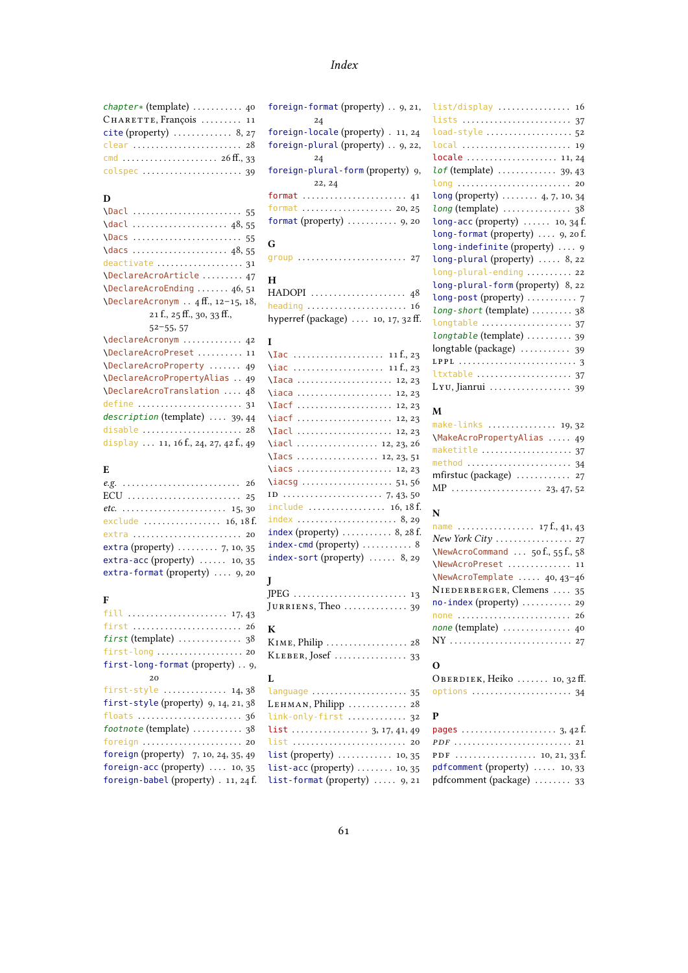### Index

| $chapters * (template) \ldots \ldots \ldots 40$     |
|-----------------------------------------------------|
| CHARETTE, François  11                              |
| cite (property) $\ldots \ldots \ldots \ldots 8, 27$ |
| clear  28                                           |
|                                                     |
| colspec  39                                         |
|                                                     |

### D

| \Dacl  55                                  |  |
|--------------------------------------------|--|
| $\frac{1}{48, 55}$                         |  |
| $\Delta$                                   |  |
| $\frac{48,55}{1000}$                       |  |
|                                            |  |
| \DeclareAcroArticle  47                    |  |
| \DeclareAcroEnding  46, 51                 |  |
| $\Delta$ PeclareAcronym  4 ff., 12-15, 18, |  |
| 21 f., 25 ff., 30, 33 ff.,                 |  |
| $52 - 55, 57$                              |  |
| \declareAcronym  42                        |  |
| \DeclareAcroPreset  11                     |  |
|                                            |  |
| \DeclareAcroProperty  49                   |  |
| \DeclareAcroPropertyAlias  49              |  |
| \DeclareAcroTranslation  48                |  |
|                                            |  |

description (template) .... [39,](#page-38-2) [44](#page-43-1) disable ...................... [28](#page-27-1) display ... [11,](#page-10-2) [16](#page-15-3) f., [24,](#page-23-2) [27,](#page-26-2) [42](#page-41-2) f., [49](#page-48-1)

#### $\mathbf E$

| e.g. $\ldots \ldots \ldots \ldots \ldots \ldots \ldots \ldots \ldots 26$ | V. |
|--------------------------------------------------------------------------|----|
|                                                                          | Ħ  |
|                                                                          | iı |
| exclude  16, 18 f.                                                       | i. |
| extra  20                                                                | i. |
| extra (property) $\ldots$ 7, 10, 35                                      | i. |
| extra-acc (property) $\ldots$ 10, 35                                     | i. |
| extra-format (property)  9, 20                                           |    |
|                                                                          | L  |

#### F

| $fill \ldots \ldots \ldots \ldots \ldots \ldots \ldots \ldots \ldots$ |
|-----------------------------------------------------------------------|
|                                                                       |
|                                                                       |
| $first$ -long  20                                                     |
| first-long-format (property)  9,                                      |
| 20                                                                    |
| first-style $14,38$                                                   |
| first-style (property) 9, 14, 21, 38                                  |
| floats  36                                                            |
| footnote (template) $\ldots \ldots \ldots$ 38                         |
| foreign  20                                                           |
| foreign (property) 7, 10, 24, 35, 49                                  |
| foreign-acc (property) $\ldots$ 10, 35                                |
| foreign-babel (property) . 11, 24 f.                                  |
|                                                                       |

| foreign-format (property) $\ldots$ 9, 21,        |
|--------------------------------------------------|
| 24                                               |
| foreign-locale (property) . 11, 24               |
| foreign-plural (property)  9, 22,                |
| 24                                               |
| foreign-plural-form (property) 9,                |
| 22.24                                            |
|                                                  |
| format  20, 25                                   |
| format (property) $\ldots \ldots \ldots$ , 9, 20 |
|                                                  |

| G |           |  |
|---|-----------|--|
|   | qroup  27 |  |

# H

| heading $16$                       |  |
|------------------------------------|--|
| hyperref (package)  10, 17, 32 ff. |  |

### I

| \iac  11 f., 23                                         |
|---------------------------------------------------------|
| $\{Iaca \ldots \ldots \ldots \ldots \ldots 12, 23\}$    |
|                                                         |
| \Iacf  12, 23                                           |
| \iacf  12, 23                                           |
| \Iacl  12, 23                                           |
|                                                         |
|                                                         |
|                                                         |
|                                                         |
|                                                         |
| include  16, 18f.                                       |
| $index \ldots \ldots \ldots \ldots \ldots \ldots 8, 29$ |
| index (property) $\ldots \ldots \ldots 8$ , 28 f.       |
| $index$ -cmd (property)  8                              |
| $index$ -sort (property)  8, 29                         |
|                                                         |

| JURRIENS, Theo $\ldots \ldots \ldots \ldots$ 39 |  |
|-------------------------------------------------|--|
| К                                               |  |

### L

| language  35                                        |  |
|-----------------------------------------------------|--|
| LEHMAN, Philipp  28                                 |  |
| $link-only-first$ 32                                |  |
| list  3, 17, 41, 49                                 |  |
| list  20                                            |  |
| list (property) $\ldots$ 10, 35                     |  |
| $list - acc (property) \ldots \ldots \ldots 10, 35$ |  |
| list-format (property)  9, 21                       |  |
|                                                     |  |

#### M

| make-links $\ldots \ldots \ldots \ldots$ 19, 32 |  |
|-------------------------------------------------|--|
| \MakeAcroPropertyAlias  49                      |  |
| maketitle  37                                   |  |
| method  34                                      |  |
|                                                 |  |
|                                                 |  |

### N

| name  17f., 41, 43                |
|-----------------------------------|
| New York City  27                 |
| \NewAcroCommand  50 f., 55 f., 58 |
| \NewAcroPreset  11                |
| \NewAcroTemplate  40, 43-46       |
| NIEDERBERGER, Clemens  35         |
| $no$ -index (property)  29        |
| none                              |
| none (template)  40               |
|                                   |

#### O

OBERDIEK, Heiko ....... [10,](#page-9-2) [32](#page-31-3) ff. options . . . . . . . . . . . . . . . . . . . . . . [34](#page-33-1)

### P

| $pdfcomment$ (property)  10, 33 |  |
|---------------------------------|--|
| pdfcomment (package)  33        |  |